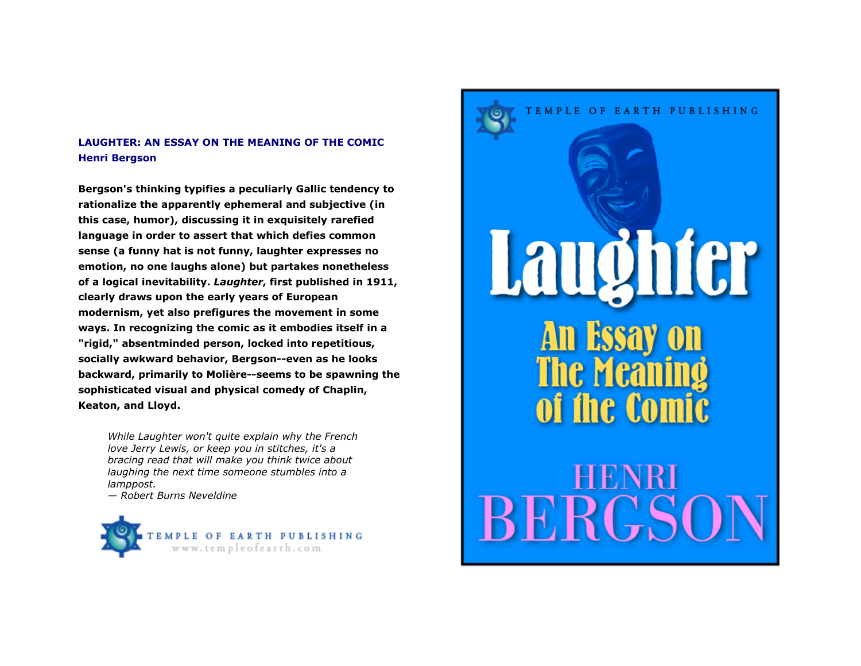## **LAUGHTER: AN ESSAY ON THE MEANING OF THE COMIC Henri Bergson**

**Bergson's thinking typifies a peculiarly Gallic tendency to rationalize the apparently ephemeral and subjective (in this case, humor), discussing it in exquisitely rarefied language in order to assert that which defies common sense (a funny hat is not funny, laughter expresses no emotion, no one laughs alone) but partakes nonetheless of a logical inevitability.** *Laughter***, first published in 1911, clearly draws upon the early years of European modernism, yet also prefigures the movement in some ways. In recognizing the comic as it embodies itself in a "rigid," absentminded person, locked into repetitious, socially awkward behavior, Bergson--even as he looks backward, primarily to Molière--seems to be spawning the sophisticated visual and physical comedy of Chaplin, Keaton, and Lloyd.** 

*While Laughter won't quite explain why the French love Jerry Lewis, or keep you in stitches, it's a bracing read that will make you think twice about laughing the next time someone stumbles into a lamppost.* 

*— Robert Burns Neveldine* 



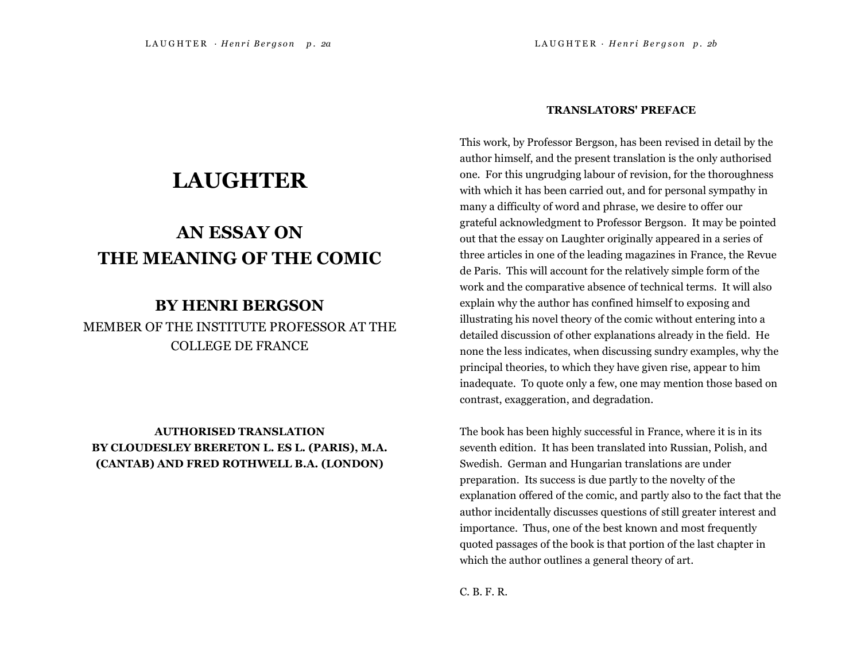# **LAUGHTER**

# **AN ESSAY ON THE MEANING OF THE COMIC**

# **BY HENRI BERGSON**

MEMBER OF THE INSTITUTE PROFESSOR AT THE COLLEGE DE FRANCE

**AUTHORISED TRANSLATION BY CLOUDESLEY BRERETON L. ES L. (PARIS), M.A. (CANTAB) AND FRED ROTHWELL B.A. (LONDON)** 

#### **TRANSLATORS' PREFACE**

This work, by Professor Bergson, has been revised in detail by the author himself, and the present translation is the only authorised one. For this ungrudging labour of revision, for the thoroughness with which it has been carried out, and for personal sympathy in many a difficulty of word and phrase, we desire to offer our grateful acknowledgment to Professor Bergson. It may be pointed out that the essay on Laughter originally appeared in a series of three articles in one of the leading magazines in France, the Revue de Paris. This will account for the relatively simple form of the work and the comparative absence of technical terms. It will also explain why the author has confined himself to exposing and illustrating his novel theory of the comic without entering into a detailed discussion of other explanations already in the field. He none the less indicates, when discussing sundry examples, why the principal theories, to which they have given rise, appear to him inadequate. To quote only a few, one may mention those based on contrast, exaggeration, and degradation.

The book has been highly successful in France, where it is in its seventh edition. It has been translated into Russian, Polish, and Swedish. German and Hungarian translations are under preparation. Its success is due partly to the novelty of the explanation offered of the comic, and partly also to the fact that the author incidentally discusses questions of still greater interest and importance. Thus, one of the best known and most frequently quoted passages of the book is that portion of the last chapter in which the author outlines a general theory of art.

C. B. F. R.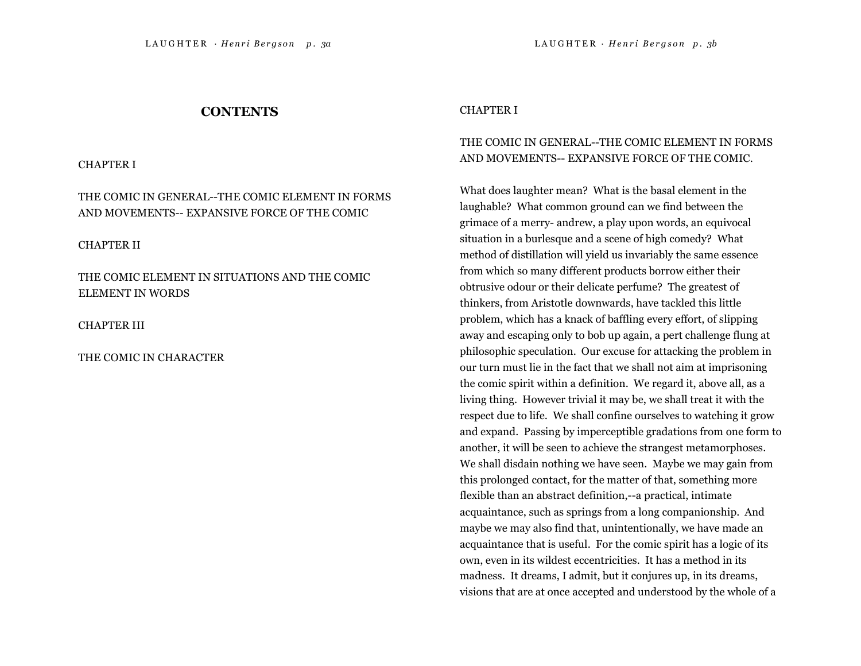## **CONTENTS**

CHAPTER I

THE COMIC IN GENERAL--THE COMIC ELEMENT IN FORMS AND MOVEMENTS-- EXPANSIVE FORCE OF THE COMIC

CHAPTER II

THE COMIC ELEMENT IN SITUATIONS AND THE COMIC ELEMENT IN WORDS

CHAPTER III

THE COMIC IN CHARACTER

#### CHAPTER I

## THE COMIC IN GENERAL--THE COMIC ELEMENT IN FORMS AND MOVEMENTS-- EXPANSIVE FORCE OF THE COMIC.

What does laughter mean? What is the basal element in the laughable? What common ground can we find between the grimace of a merry- andrew, a play upon words, an equivocal situation in a burlesque and a scene of high comedy? What method of distillation will yield us invariably the same essence from which so many different products borrow either their obtrusive odour or their delicate perfume? The greatest of thinkers, from Aristotle downwards, have tackled this little problem, which has a knack of baffling every effort, of slipping away and escaping only to bob up again, a pert challenge flung at philosophic speculation. Our excuse for attacking the problem in our turn must lie in the fact that we shall not aim at imprisoning the comic spirit within a definition. We regard it, above all, as a living thing. However trivial it may be, we shall treat it with the respect due to life. We shall confine ourselves to watching it grow and expand. Passing by imperceptible gradations from one form to another, it will be seen to achieve the strangest metamorphoses. We shall disdain nothing we have seen. Maybe we may gain from this prolonged contact, for the matter of that, something more flexible than an abstract definition,--a practical, intimate acquaintance, such as springs from a long companionship. And maybe we may also find that, unintentionally, we have made an acquaintance that is useful. For the comic spirit has a logic of its own, even in its wildest eccentricities. It has a method in its madness. It dreams, I admit, but it conjures up, in its dreams, visions that are at once accepted and understood by the whole of a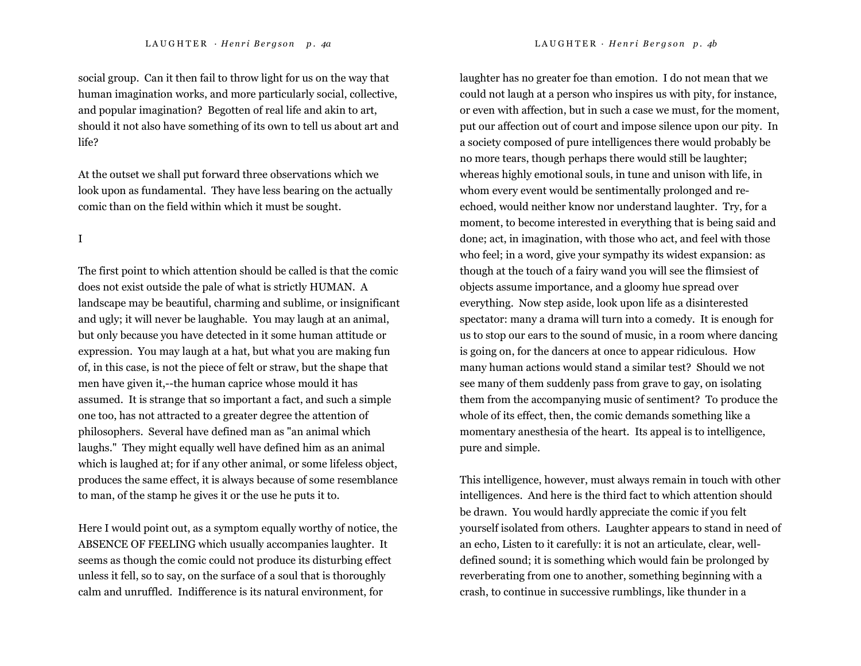social group. Can it then fail to throw light for us on the way that human imagination works, and more particularly social, collective, and popular imagination? Begotten of real life and akin to art, should it not also have something of its own to tell us about art and life?

At the outset we shall put forward three observations which we look upon as fundamental. They have less bearing on the actually comic than on the field within which it must be sought.

I

The first point to which attention should be called is that the comic does not exist outside the pale of what is strictly HUMAN. A landscape may be beautiful, charming and sublime, or insignificant and ugly; it will never be laughable. You may laugh at an animal, but only because you have detected in it some human attitude or expression. You may laugh at a hat, but what you are making fun of, in this case, is not the piece of felt or straw, but the shape that men have given it,--the human caprice whose mould it has assumed. It is strange that so important a fact, and such a simple one too, has not attracted to a greater degree the attention of philosophers. Several have defined man as "an animal which laughs." They might equally well have defined him as an animal which is laughed at; for if any other animal, or some lifeless object, produces the same effect, it is always because of some resemblance to man, of the stamp he gives it or the use he puts it to.

Here I would point out, as a symptom equally worthy of notice, the ABSENCE OF FEELING which usually accompanies laughter. It seems as though the comic could not produce its disturbing effect unless it fell, so to say, on the surface of a soul that is thoroughly calm and unruffled. Indifference is its natural environment, for

laughter has no greater foe than emotion. I do not mean that we could not laugh at a person who inspires us with pity, for instance, or even with affection, but in such a case we must, for the moment, put our affection out of court and impose silence upon our pity. In a society composed of pure intelligences there would probably be no more tears, though perhaps there would still be laughter; whereas highly emotional souls, in tune and unison with life, in whom every event would be sentimentally prolonged and reechoed, would neither know nor understand laughter. Try, for a moment, to become interested in everything that is being said and done; act, in imagination, with those who act, and feel with those who feel; in a word, give your sympathy its widest expansion: as though at the touch of a fairy wand you will see the flimsiest of objects assume importance, and a gloomy hue spread over everything. Now step aside, look upon life as a disinterested spectator: many a drama will turn into a comedy. It is enough for us to stop our ears to the sound of music, in a room where dancing is going on, for the dancers at once to appear ridiculous. How many human actions would stand a similar test? Should we not see many of them suddenly pass from grave to gay, on isolating them from the accompanying music of sentiment? To produce the whole of its effect, then, the comic demands something like a momentary anesthesia of the heart. Its appeal is to intelligence, pure and simple.

This intelligence, however, must always remain in touch with other intelligences. And here is the third fact to which attention should be drawn. You would hardly appreciate the comic if you felt yourself isolated from others. Laughter appears to stand in need of an echo, Listen to it carefully: it is not an articulate, clear, welldefined sound; it is something which would fain be prolonged by reverberating from one to another, something beginning with a crash, to continue in successive rumblings, like thunder in a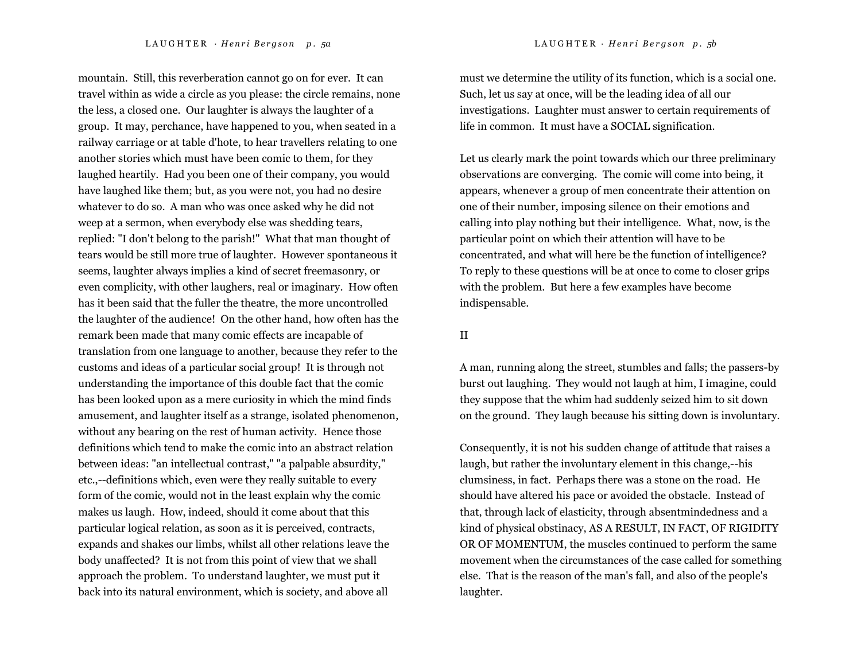mountain. Still, this reverberation cannot go on for ever. It can travel within as wide a circle as you please: the circle remains, none the less, a closed one. Our laughter is always the laughter of a group. It may, perchance, have happened to you, when seated in a railway carriage or at table d'hote, to hear travellers relating to one another stories which must have been comic to them, for they laughed heartily. Had you been one of their company, you would have laughed like them; but, as you were not, you had no desire whatever to do so. A man who was once asked why he did not weep at a sermon, when everybody else was shedding tears, replied: "I don't belong to the parish!" What that man thought of tears would be still more true of laughter. However spontaneous it seems, laughter always implies a kind of secret freemasonry, or even complicity, with other laughers, real or imaginary. How often has it been said that the fuller the theatre, the more uncontrolled the laughter of the audience! On the other hand, how often has the remark been made that many comic effects are incapable of translation from one language to another, because they refer to the customs and ideas of a particular social group! It is through not understanding the importance of this double fact that the comic has been looked upon as a mere curiosity in which the mind finds amusement, and laughter itself as a strange, isolated phenomenon, without any bearing on the rest of human activity. Hence those definitions which tend to make the comic into an abstract relation between ideas: "an intellectual contrast," "a palpable absurdity," etc.,--definitions which, even were they really suitable to every form of the comic, would not in the least explain why the comic makes us laugh. How, indeed, should it come about that this particular logical relation, as soon as it is perceived, contracts, expands and shakes our limbs, whilst all other relations leave the body unaffected? It is not from this point of view that we shall approach the problem. To understand laughter, we must put it back into its natural environment, which is society, and above all

must we determine the utility of its function, which is a social one.

Such, let us say at once, will be the leading idea of all our investigations. Laughter must answer to certain requirements of life in common. It must have a SOCIAL signification.

Let us clearly mark the point towards which our three preliminary observations are converging. The comic will come into being, it appears, whenever a group of men concentrate their attention on one of their number, imposing silence on their emotions and calling into play nothing but their intelligence. What, now, is the particular point on which their attention will have to be concentrated, and what will here be the function of intelligence? To reply to these questions will be at once to come to closer grips with the problem. But here a few examples have become indispensable.

## II

A man, running along the street, stumbles and falls; the passers-by burst out laughing. They would not laugh at him, I imagine, could they suppose that the whim had suddenly seized him to sit down on the ground. They laugh because his sitting down is involuntary.

Consequently, it is not his sudden change of attitude that raises a laugh, but rather the involuntary element in this change,--his clumsiness, in fact. Perhaps there was a stone on the road. He should have altered his pace or avoided the obstacle. Instead of that, through lack of elasticity, through absentmindedness and a kind of physical obstinacy, AS A RESULT, IN FACT, OF RIGIDITY OR OF MOMENTUM, the muscles continued to perform the same movement when the circumstances of the case called for something else. That is the reason of the man's fall, and also of the people's laughter.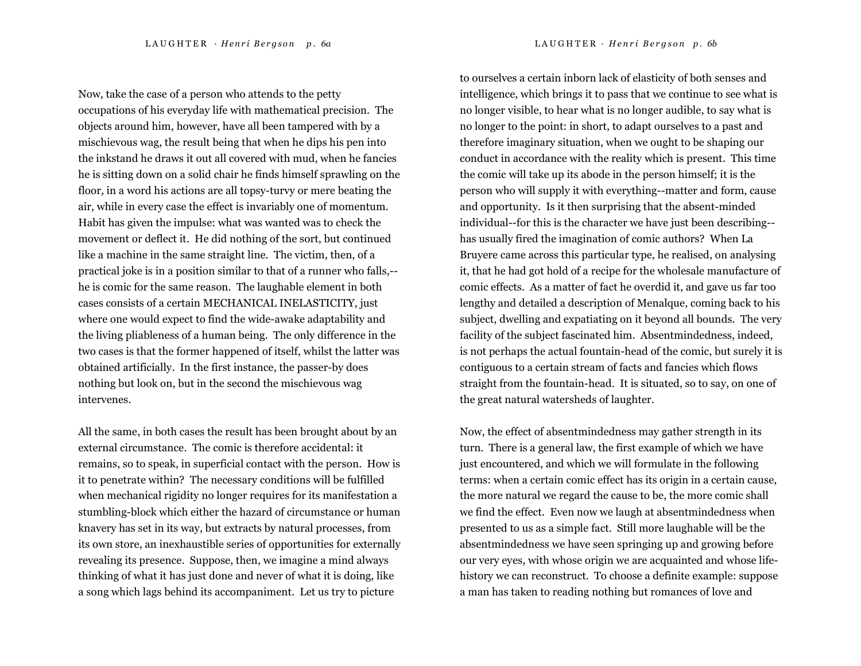LAUGHTER · Henri Bergson p. 6a LAUGHTER · Henri Bergson p. 6b

Now, take the case of a person who attends to the petty occupations of his everyday life with mathematical precision. The objects around him, however, have all been tampered with by a mischievous wag, the result being that when he dips his pen into the inkstand he draws it out all covered with mud, when he fancies he is sitting down on a solid chair he finds himself sprawling on the floor, in a word his actions are all topsy-turvy or mere beating the air, while in every case the effect is invariably one of momentum. Habit has given the impulse: what was wanted was to check the movement or deflect it. He did nothing of the sort, but continued like a machine in the same straight line. The victim, then, of a practical joke is in a position similar to that of a runner who falls,- he is comic for the same reason. The laughable element in both cases consists of a certain MECHANICAL INELASTICITY, just where one would expect to find the wide-awake adaptability and the living pliableness of a human being. The only difference in the two cases is that the former happened of itself, whilst the latter was obtained artificially. In the first instance, the passer-by does nothing but look on, but in the second the mischievous wag intervenes.

All the same, in both cases the result has been brought about by an external circumstance. The comic is therefore accidental: it remains, so to speak, in superficial contact with the person. How is it to penetrate within? The necessary conditions will be fulfilled when mechanical rigidity no longer requires for its manifestation a stumbling-block which either the hazard of circumstance or human knavery has set in its way, but extracts by natural processes, from its own store, an inexhaustible series of opportunities for externally revealing its presence. Suppose, then, we imagine a mind always thinking of what it has just done and never of what it is doing, like a song which lags behind its accompaniment. Let us try to picture

to ourselves a certain inborn lack of elasticity of both senses and intelligence, which brings it to pass that we continue to see what is no longer visible, to hear what is no longer audible, to say what is no longer to the point: in short, to adapt ourselves to a past and therefore imaginary situation, when we ought to be shaping our conduct in accordance with the reality which is present. This time the comic will take up its abode in the person himself; it is the person who will supply it with everything--matter and form, cause and opportunity. Is it then surprising that the absent-minded individual--for this is the character we have just been describing- has usually fired the imagination of comic authors? When La Bruyere came across this particular type, he realised, on analysing it, that he had got hold of a recipe for the wholesale manufacture of comic effects. As a matter of fact he overdid it, and gave us far too lengthy and detailed a description of Menalque, coming back to his subject, dwelling and expatiating on it beyond all bounds. The very facility of the subject fascinated him. Absentmindedness, indeed, is not perhaps the actual fountain-head of the comic, but surely it is contiguous to a certain stream of facts and fancies which flows straight from the fountain-head. It is situated, so to say, on one of the great natural watersheds of laughter.

Now, the effect of absentmindedness may gather strength in its turn. There is a general law, the first example of which we have just encountered, and which we will formulate in the following terms: when a certain comic effect has its origin in a certain cause, the more natural we regard the cause to be, the more comic shall we find the effect. Even now we laugh at absentmindedness when presented to us as a simple fact. Still more laughable will be the absentmindedness we have seen springing up and growing before our very eyes, with whose origin we are acquainted and whose lifehistory we can reconstruct. To choose a definite example: suppose a man has taken to reading nothing but romances of love and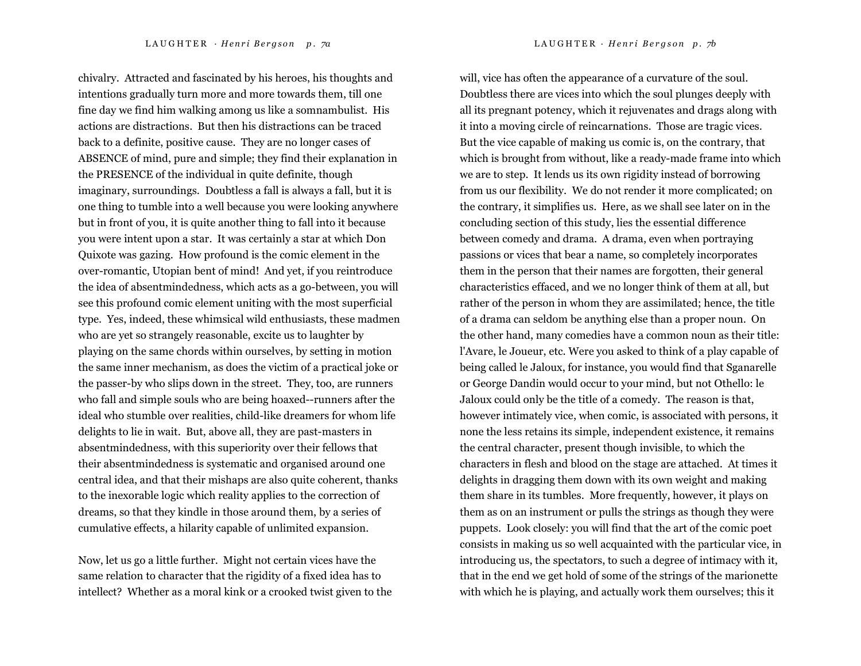chivalry. Attracted and fascinated by his heroes, his thoughts and intentions gradually turn more and more towards them, till one fine day we find him walking among us like a somnambulist. His actions are distractions. But then his distractions can be traced back to a definite, positive cause. They are no longer cases of ABSENCE of mind, pure and simple; they find their explanation in the PRESENCE of the individual in quite definite, though imaginary, surroundings. Doubtless a fall is always a fall, but it is one thing to tumble into a well because you were looking anywhere but in front of you, it is quite another thing to fall into it because you were intent upon a star. It was certainly a star at which Don Quixote was gazing. How profound is the comic element in the over-romantic, Utopian bent of mind! And yet, if you reintroduce the idea of absentmindedness, which acts as a go-between, you will see this profound comic element uniting with the most superficial type. Yes, indeed, these whimsical wild enthusiasts, these madmen who are yet so strangely reasonable, excite us to laughter by playing on the same chords within ourselves, by setting in motion the same inner mechanism, as does the victim of a practical joke or the passer-by who slips down in the street. They, too, are runners who fall and simple souls who are being hoaxed--runners after the ideal who stumble over realities, child-like dreamers for whom life delights to lie in wait. But, above all, they are past-masters in absentmindedness, with this superiority over their fellows that their absentmindedness is systematic and organised around one

central idea, and that their mishaps are also quite coherent, thanks to the inexorable logic which reality applies to the correction of dreams, so that they kindle in those around them, by a series of cumulative effects, a hilarity capable of unlimited expansion.

Now, let us go a little further. Might not certain vices have the same relation to character that the rigidity of a fixed idea has to intellect? Whether as a moral kink or a crooked twist given to the will, vice has often the appearance of a curvature of the soul. Doubtless there are vices into which the soul plunges deeply with all its pregnant potency, which it rejuvenates and drags along with it into a moving circle of reincarnations. Those are tragic vices. But the vice capable of making us comic is, on the contrary, that which is brought from without, like a ready-made frame into which we are to step. It lends us its own rigidity instead of borrowing from us our flexibility. We do not render it more complicated; on the contrary, it simplifies us. Here, as we shall see later on in the concluding section of this study, lies the essential difference between comedy and drama. A drama, even when portraying passions or vices that bear a name, so completely incorporates them in the person that their names are forgotten, their general characteristics effaced, and we no longer think of them at all, but rather of the person in whom they are assimilated; hence, the title of a drama can seldom be anything else than a proper noun. On the other hand, many comedies have a common noun as their title: l'Avare, le Joueur, etc. Were you asked to think of a play capable of being called le Jaloux, for instance, you would find that Sganarelle or George Dandin would occur to your mind, but not Othello: le Jaloux could only be the title of a comedy. The reason is that, however intimately vice, when comic, is associated with persons, it none the less retains its simple, independent existence, it remains the central character, present though invisible, to which the characters in flesh and blood on the stage are attached. At times it delights in dragging them down with its own weight and making them share in its tumbles. More frequently, however, it plays on them as on an instrument or pulls the strings as though they were puppets. Look closely: you will find that the art of the comic poet consists in making us so well acquainted with the particular vice, in introducing us, the spectators, to such a degree of intimacy with it, that in the end we get hold of some of the strings of the marionette with which he is playing, and actually work them ourselves; this it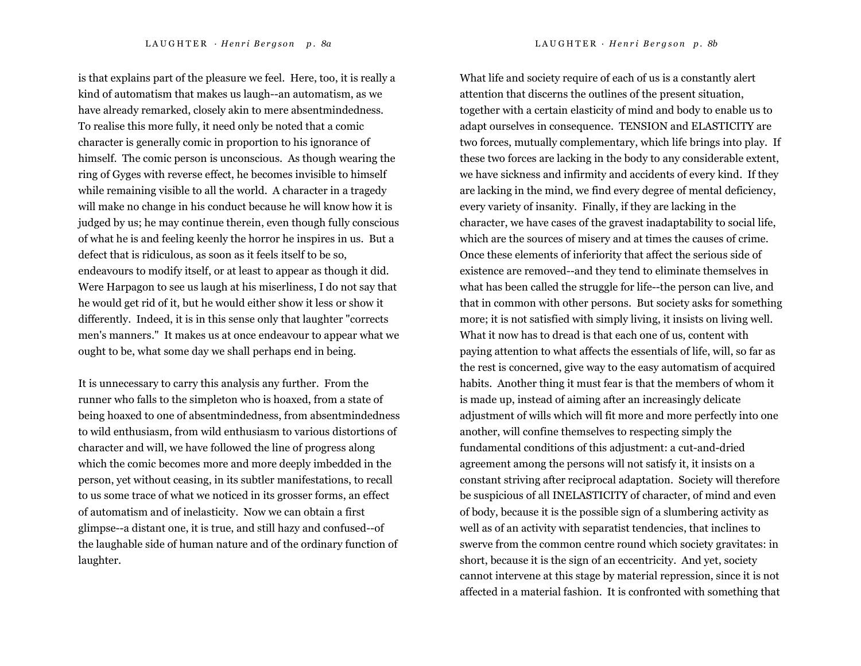is that explains part of the pleasure we feel. Here, too, it is really a kind of automatism that makes us laugh--an automatism, as we have already remarked, closely akin to mere absentmindedness. To realise this more fully, it need only be noted that a comic character is generally comic in proportion to his ignorance of himself. The comic person is unconscious. As though wearing the ring of Gyges with reverse effect, he becomes invisible to himself while remaining visible to all the world. A character in a tragedy will make no change in his conduct because he will know how it is

judged by us; he may continue therein, even though fully conscious of what he is and feeling keenly the horror he inspires in us. But a defect that is ridiculous, as soon as it feels itself to be so, endeavours to modify itself, or at least to appear as though it did. Were Harpagon to see us laugh at his miserliness, I do not say that he would get rid of it, but he would either show it less or show it differently. Indeed, it is in this sense only that laughter "corrects men's manners." It makes us at once endeavour to appear what we ought to be, what some day we shall perhaps end in being.

It is unnecessary to carry this analysis any further. From the runner who falls to the simpleton who is hoaxed, from a state of being hoaxed to one of absentmindedness, from absentmindedness to wild enthusiasm, from wild enthusiasm to various distortions of character and will, we have followed the line of progress along which the comic becomes more and more deeply imbedded in the person, yet without ceasing, in its subtler manifestations, to recall to us some trace of what we noticed in its grosser forms, an effect of automatism and of inelasticity. Now we can obtain a first glimpse--a distant one, it is true, and still hazy and confused--of the laughable side of human nature and of the ordinary function of laughter.

What life and society require of each of us is a constantly alert attention that discerns the outlines of the present situation, together with a certain elasticity of mind and body to enable us to adapt ourselves in consequence. TENSION and ELASTICITY are two forces, mutually complementary, which life brings into play. If these two forces are lacking in the body to any considerable extent, we have sickness and infirmity and accidents of every kind. If they are lacking in the mind, we find every degree of mental deficiency, every variety of insanity. Finally, if they are lacking in the character, we have cases of the gravest inadaptability to social life, which are the sources of misery and at times the causes of crime. Once these elements of inferiority that affect the serious side of existence are removed--and they tend to eliminate themselves in what has been called the struggle for life--the person can live, and that in common with other persons. But society asks for something more; it is not satisfied with simply living, it insists on living well. What it now has to dread is that each one of us, content with paying attention to what affects the essentials of life, will, so far as the rest is concerned, give way to the easy automatism of acquired habits. Another thing it must fear is that the members of whom it is made up, instead of aiming after an increasingly delicate adjustment of wills which will fit more and more perfectly into one another, will confine themselves to respecting simply the fundamental conditions of this adjustment: a cut-and-dried agreement among the persons will not satisfy it, it insists on a constant striving after reciprocal adaptation. Society will therefore be suspicious of all INELASTICITY of character, of mind and even of body, because it is the possible sign of a slumbering activity as well as of an activity with separatist tendencies, that inclines to swerve from the common centre round which society gravitates: in short, because it is the sign of an eccentricity. And yet, society cannot intervene at this stage by material repression, since it is not affected in a material fashion. It is confronted with something that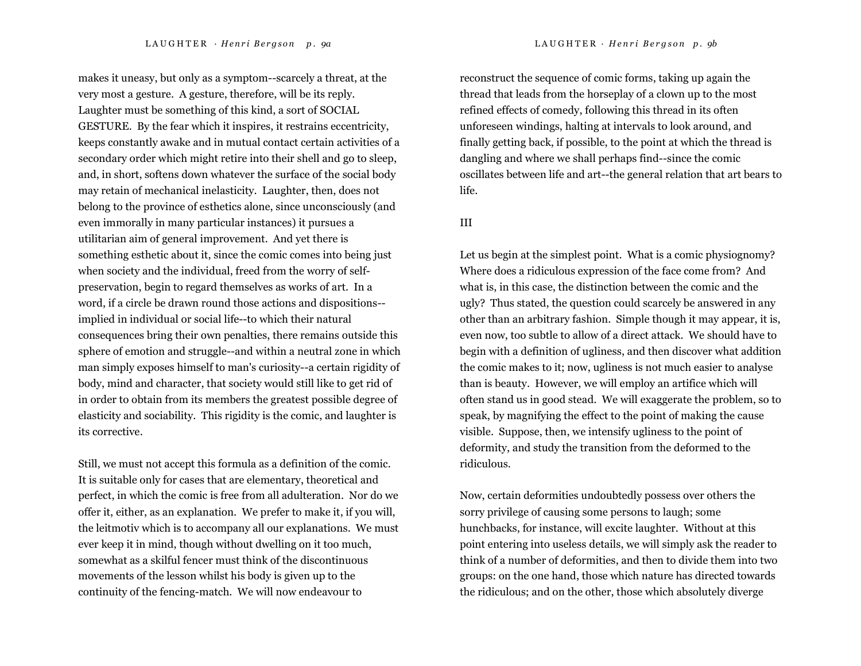makes it uneasy, but only as a symptom--scarcely a threat, at the very most a gesture. A gesture, therefore, will be its reply. Laughter must be something of this kind, a sort of SOCIAL GESTURE. By the fear which it inspires, it restrains eccentricity, keeps constantly awake and in mutual contact certain activities of a secondary order which might retire into their shell and go to sleep, and, in short, softens down whatever the surface of the social body may retain of mechanical inelasticity. Laughter, then, does not belong to the province of esthetics alone, since unconsciously (and even immorally in many particular instances) it pursues a utilitarian aim of general improvement. And yet there is something esthetic about it, since the comic comes into being just when society and the individual, freed from the worry of selfpreservation, begin to regard themselves as works of art. In a word, if a circle be drawn round those actions and dispositions- implied in individual or social life--to which their natural consequences bring their own penalties, there remains outside this sphere of emotion and struggle--and within a neutral zone in which man simply exposes himself to man's curiosity--a certain rigidity of body, mind and character, that society would still like to get rid of in order to obtain from its members the greatest possible degree of elasticity and sociability. This rigidity is the comic, and laughter is its corrective.

Still, we must not accept this formula as a definition of the comic. It is suitable only for cases that are elementary, theoretical and perfect, in which the comic is free from all adulteration. Nor do we offer it, either, as an explanation. We prefer to make it, if you will, the leitmotiv which is to accompany all our explanations. We must ever keep it in mind, though without dwelling on it too much, somewhat as a skilful fencer must think of the discontinuous movements of the lesson whilst his body is given up to the continuity of the fencing-match. We will now endeavour to

reconstruct the sequence of comic forms, taking up again the thread that leads from the horseplay of a clown up to the most refined effects of comedy, following this thread in its often unforeseen windings, halting at intervals to look around, and finally getting back, if possible, to the point at which the thread is dangling and where we shall perhaps find--since the comic oscillates between life and art--the general relation that art bears to life.

### III

Let us begin at the simplest point. What is a comic physiognomy? Where does a ridiculous expression of the face come from? And what is, in this case, the distinction between the comic and the ugly? Thus stated, the question could scarcely be answered in any other than an arbitrary fashion. Simple though it may appear, it is, even now, too subtle to allow of a direct attack. We should have to begin with a definition of ugliness, and then discover what addition the comic makes to it; now, ugliness is not much easier to analyse than is beauty. However, we will employ an artifice which will often stand us in good stead. We will exaggerate the problem, so to speak, by magnifying the effect to the point of making the cause visible. Suppose, then, we intensify ugliness to the point of deformity, and study the transition from the deformed to the ridiculous.

Now, certain deformities undoubtedly possess over others the sorry privilege of causing some persons to laugh; some hunchbacks, for instance, will excite laughter. Without at this point entering into useless details, we will simply ask the reader to think of a number of deformities, and then to divide them into two groups: on the one hand, those which nature has directed towards the ridiculous; and on the other, those which absolutely diverge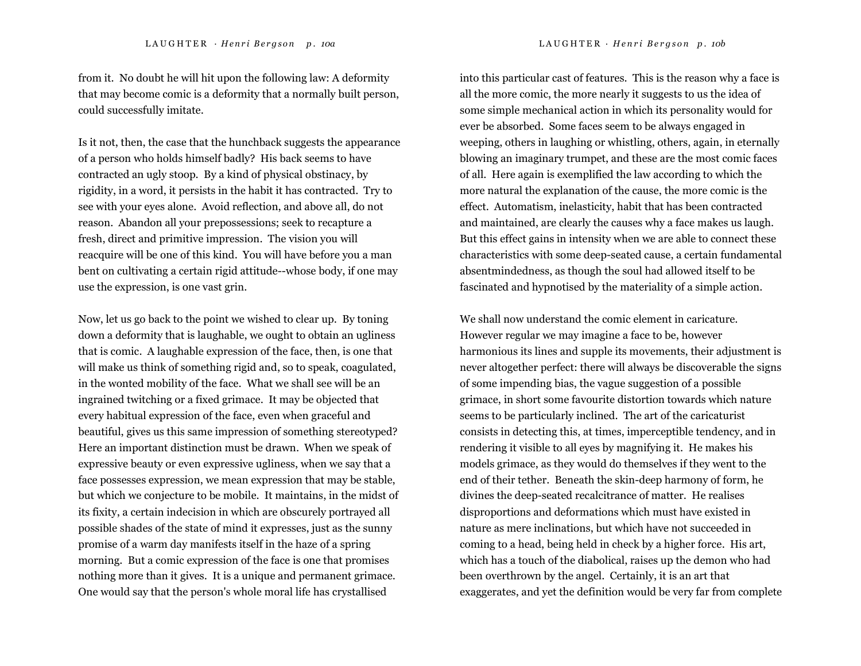from it. No doubt he will hit upon the following law: A deformity that may become comic is a deformity that a normally built person, could successfully imitate.

Is it not, then, the case that the hunchback suggests the appearance of a person who holds himself badly? His back seems to have contracted an ugly stoop. By a kind of physical obstinacy, by rigidity, in a word, it persists in the habit it has contracted. Try to see with your eyes alone. Avoid reflection, and above all, do not reason. Abandon all your prepossessions; seek to recapture a fresh, direct and primitive impression. The vision you will reacquire will be one of this kind. You will have before you a man bent on cultivating a certain rigid attitude--whose body, if one may use the expression, is one vast grin.

Now, let us go back to the point we wished to clear up. By toning down a deformity that is laughable, we ought to obtain an ugliness that is comic. A laughable expression of the face, then, is one that will make us think of something rigid and, so to speak, coagulated, in the wonted mobility of the face. What we shall see will be an ingrained twitching or a fixed grimace. It may be objected that every habitual expression of the face, even when graceful and beautiful, gives us this same impression of something stereotyped? Here an important distinction must be drawn. When we speak of expressive beauty or even expressive ugliness, when we say that a face possesses expression, we mean expression that may be stable, but which we conjecture to be mobile. It maintains, in the midst of its fixity, a certain indecision in which are obscurely portrayed all possible shades of the state of mind it expresses, just as the sunny promise of a warm day manifests itself in the haze of a spring morning. But a comic expression of the face is one that promises nothing more than it gives. It is a unique and permanent grimace. One would say that the person's whole moral life has crystallised

into this particular cast of features. This is the reason why a face is all the more comic, the more nearly it suggests to us the idea of some simple mechanical action in which its personality would for ever be absorbed. Some faces seem to be always engaged in weeping, others in laughing or whistling, others, again, in eternally blowing an imaginary trumpet, and these are the most comic faces of all. Here again is exemplified the law according to which the more natural the explanation of the cause, the more comic is the effect. Automatism, inelasticity, habit that has been contracted and maintained, are clearly the causes why a face makes us laugh. But this effect gains in intensity when we are able to connect these characteristics with some deep-seated cause, a certain fundamental absentmindedness, as though the soul had allowed itself to be fascinated and hypnotised by the materiality of a simple action.

We shall now understand the comic element in caricature. However regular we may imagine a face to be, however harmonious its lines and supple its movements, their adjustment is never altogether perfect: there will always be discoverable the signs of some impending bias, the vague suggestion of a possible grimace, in short some favourite distortion towards which nature seems to be particularly inclined. The art of the caricaturist consists in detecting this, at times, imperceptible tendency, and in rendering it visible to all eyes by magnifying it. He makes his models grimace, as they would do themselves if they went to the end of their tether. Beneath the skin-deep harmony of form, he divines the deep-seated recalcitrance of matter. He realises disproportions and deformations which must have existed in nature as mere inclinations, but which have not succeeded in coming to a head, being held in check by a higher force. His art, which has a touch of the diabolical, raises up the demon who had been overthrown by the angel. Certainly, it is an art that exaggerates, and yet the definition would be very far from complete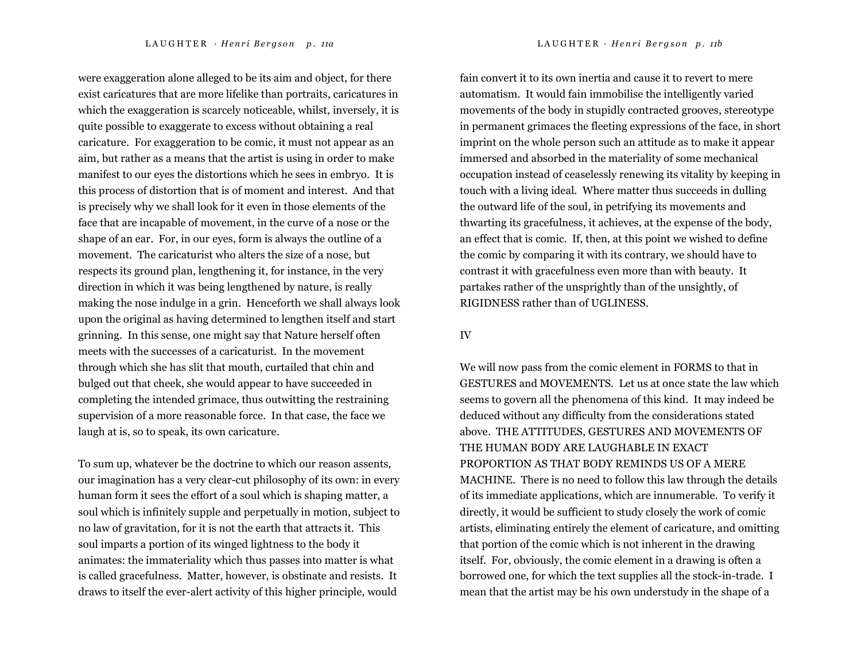were exaggeration alone alleged to be its aim and object, for there exist caricatures that are more lifelike than portraits, caricatures in which the exaggeration is scarcely noticeable, whilst, inversely, it is quite possible to exaggerate to excess without obtaining a real caricature. For exaggeration to be comic, it must not appear as an aim, but rather as a means that the artist is using in order to make manifest to our eyes the distortions which he sees in embryo. It is this process of distortion that is of moment and interest. And that is precisely why we shall look for it even in those elements of the face that are incapable of movement, in the curve of a nose or the shape of an ear. For, in our eyes, form is always the outline of a movement. The caricaturist who alters the size of a nose, but respects its ground plan, lengthening it, for instance, in the very direction in which it was being lengthened by nature, is really

making the nose indulge in a grin. Henceforth we shall always look upon the original as having determined to lengthen itself and start grinning. In this sense, one might say that Nature herself often meets with the successes of a caricaturist. In the movement through which she has slit that mouth, curtailed that chin and bulged out that cheek, she would appear to have succeeded in completing the intended grimace, thus outwitting the restraining supervision of a more reasonable force. In that case, the face we laugh at is, so to speak, its own caricature.

To sum up, whatever be the doctrine to which our reason assents, our imagination has a very clear-cut philosophy of its own: in every human form it sees the effort of a soul which is shaping matter, a soul which is infinitely supple and perpetually in motion, subject to no law of gravitation, for it is not the earth that attracts it. This soul imparts a portion of its winged lightness to the body it animates: the immateriality which thus passes into matter is what is called gracefulness. Matter, however, is obstinate and resists. It draws to itself the ever-alert activity of this higher principle, would

fain convert it to its own inertia and cause it to revert to mere automatism. It would fain immobilise the intelligently varied movements of the body in stupidly contracted grooves, stereotype in permanent grimaces the fleeting expressions of the face, in short imprint on the whole person such an attitude as to make it appear immersed and absorbed in the materiality of some mechanical occupation instead of ceaselessly renewing its vitality by keeping in touch with a living ideal. Where matter thus succeeds in dulling the outward life of the soul, in petrifying its movements and thwarting its gracefulness, it achieves, at the expense of the body, an effect that is comic. If, then, at this point we wished to define

the comic by comparing it with its contrary, we should have to contrast it with gracefulness even more than with beauty. It partakes rather of the unsprightly than of the unsightly, of RIGIDNESS rather than of UGLINESS.

#### IV

We will now pass from the comic element in FORMS to that in GESTURES and MOVEMENTS. Let us at once state the law which seems to govern all the phenomena of this kind. It may indeed be deduced without any difficulty from the considerations stated above. THE ATTITUDES, GESTURES AND MOVEMENTS OF THE HUMAN BODY ARE LAUGHABLE IN EXACT PROPORTION AS THAT BODY REMINDS US OF A MERE MACHINE. There is no need to follow this law through the details of its immediate applications, which are innumerable. To verify it directly, it would be sufficient to study closely the work of comic artists, eliminating entirely the element of caricature, and omitting that portion of the comic which is not inherent in the drawing itself. For, obviously, the comic element in a drawing is often a borrowed one, for which the text supplies all the stock-in-trade. I mean that the artist may be his own understudy in the shape of a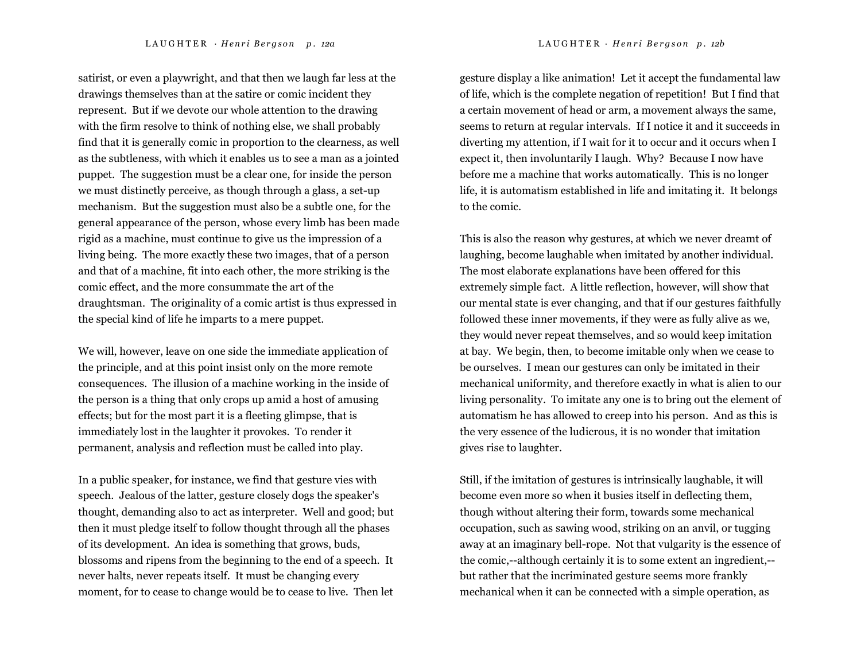satirist, or even a playwright, and that then we laugh far less at the drawings themselves than at the satire or comic incident they represent. But if we devote our whole attention to the drawing with the firm resolve to think of nothing else, we shall probably find that it is generally comic in proportion to the clearness, as well as the subtleness, with which it enables us to see a man as a jointed puppet. The suggestion must be a clear one, for inside the person we must distinctly perceive, as though through a glass, a set-up mechanism. But the suggestion must also be a subtle one, for the general appearance of the person, whose every limb has been made rigid as a machine, must continue to give us the impression of a living being. The more exactly these two images, that of a person and that of a machine, fit into each other, the more striking is the comic effect, and the more consummate the art of the draughtsman. The originality of a comic artist is thus expressed in the special kind of life he imparts to a mere puppet.

We will, however, leave on one side the immediate application of the principle, and at this point insist only on the more remote consequences. The illusion of a machine working in the inside of the person is a thing that only crops up amid a host of amusing effects; but for the most part it is a fleeting glimpse, that is immediately lost in the laughter it provokes. To render it permanent, analysis and reflection must be called into play.

In a public speaker, for instance, we find that gesture vies with speech. Jealous of the latter, gesture closely dogs the speaker's thought, demanding also to act as interpreter. Well and good; but then it must pledge itself to follow thought through all the phases of its development. An idea is something that grows, buds, blossoms and ripens from the beginning to the end of a speech. It never halts, never repeats itself. It must be changing every moment, for to cease to change would be to cease to live. Then let

gesture display a like animation! Let it accept the fundamental law of life, which is the complete negation of repetition! But I find that a certain movement of head or arm, a movement always the same, seems to return at regular intervals. If I notice it and it succeeds in diverting my attention, if I wait for it to occur and it occurs when I expect it, then involuntarily I laugh. Why? Because I now have before me a machine that works automatically. This is no longer life, it is automatism established in life and imitating it. It belongs to the comic.

This is also the reason why gestures, at which we never dreamt of laughing, become laughable when imitated by another individual. The most elaborate explanations have been offered for this extremely simple fact. A little reflection, however, will show that our mental state is ever changing, and that if our gestures faithfully followed these inner movements, if they were as fully alive as we, they would never repeat themselves, and so would keep imitation at bay. We begin, then, to become imitable only when we cease to be ourselves. I mean our gestures can only be imitated in their mechanical uniformity, and therefore exactly in what is alien to our living personality. To imitate any one is to bring out the element of automatism he has allowed to creep into his person. And as this is the very essence of the ludicrous, it is no wonder that imitation gives rise to laughter.

Still, if the imitation of gestures is intrinsically laughable, it will become even more so when it busies itself in deflecting them, though without altering their form, towards some mechanical occupation, such as sawing wood, striking on an anvil, or tugging away at an imaginary bell-rope. Not that vulgarity is the essence of the comic,--although certainly it is to some extent an ingredient,- but rather that the incriminated gesture seems more frankly mechanical when it can be connected with a simple operation, as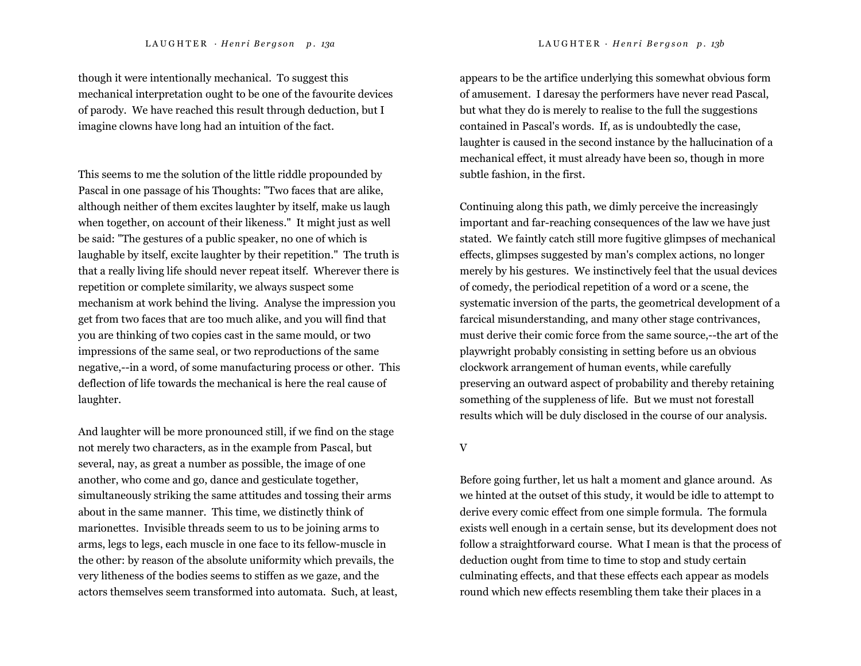though it were intentionally mechanical. To suggest this mechanical interpretation ought to be one of the favourite devices of parody. We have reached this result through deduction, but I imagine clowns have long had an intuition of the fact.

This seems to me the solution of the little riddle propounded by Pascal in one passage of his Thoughts: "Two faces that are alike, although neither of them excites laughter by itself, make us laugh when together, on account of their likeness." It might just as well be said: "The gestures of a public speaker, no one of which is laughable by itself, excite laughter by their repetition." The truth is that a really living life should never repeat itself. Wherever there is repetition or complete similarity, we always suspect some mechanism at work behind the living. Analyse the impression you get from two faces that are too much alike, and you will find that you are thinking of two copies cast in the same mould, or two impressions of the same seal, or two reproductions of the same negative,--in a word, of some manufacturing process or other. This deflection of life towards the mechanical is here the real cause of laughter.

And laughter will be more pronounced still, if we find on the stage not merely two characters, as in the example from Pascal, but several, nay, as great a number as possible, the image of one another, who come and go, dance and gesticulate together, simultaneously striking the same attitudes and tossing their arms about in the same manner. This time, we distinctly think of marionettes. Invisible threads seem to us to be joining arms to arms, legs to legs, each muscle in one face to its fellow-muscle in the other: by reason of the absolute uniformity which prevails, the very litheness of the bodies seems to stiffen as we gaze, and the actors themselves seem transformed into automata. Such, at least, appears to be the artifice underlying this somewhat obvious form of amusement. I daresay the performers have never read Pascal, but what they do is merely to realise to the full the suggestions contained in Pascal's words. If, as is undoubtedly the case, laughter is caused in the second instance by the hallucination of a mechanical effect, it must already have been so, though in more subtle fashion, in the first.

Continuing along this path, we dimly perceive the increasingly important and far-reaching consequences of the law we have just stated. We faintly catch still more fugitive glimpses of mechanical effects, glimpses suggested by man's complex actions, no longer merely by his gestures. We instinctively feel that the usual devices of comedy, the periodical repetition of a word or a scene, the systematic inversion of the parts, the geometrical development of a farcical misunderstanding, and many other stage contrivances, must derive their comic force from the same source,--the art of the playwright probably consisting in setting before us an obvious clockwork arrangement of human events, while carefully preserving an outward aspect of probability and thereby retaining something of the suppleness of life. But we must not forestall results which will be duly disclosed in the course of our analysis.

V

Before going further, let us halt a moment and glance around. As we hinted at the outset of this study, it would be idle to attempt to derive every comic effect from one simple formula. The formula exists well enough in a certain sense, but its development does not follow a straightforward course. What I mean is that the process of deduction ought from time to time to stop and study certain culminating effects, and that these effects each appear as models round which new effects resembling them take their places in a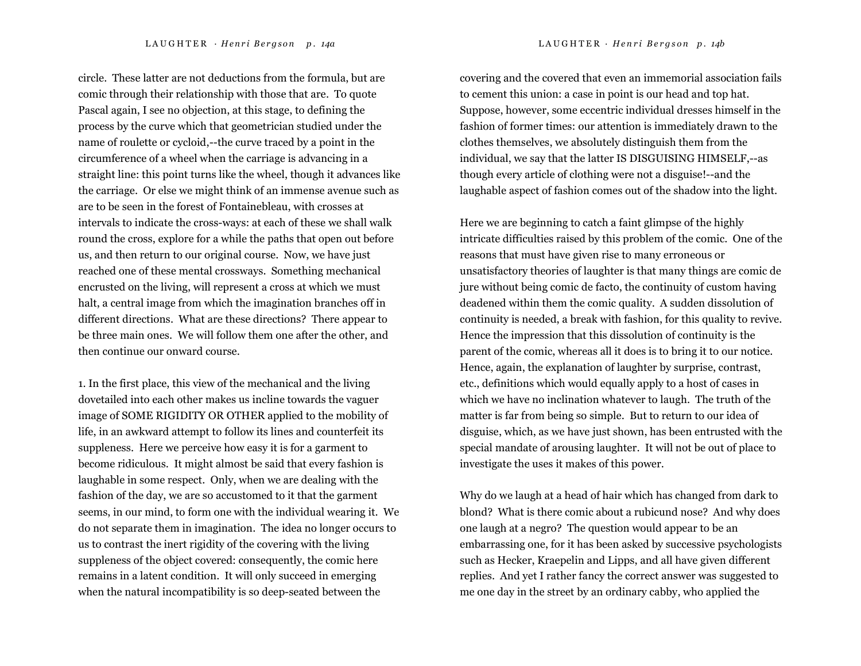circle. These latter are not deductions from the formula, but are comic through their relationship with those that are. To quote Pascal again, I see no objection, at this stage, to defining the process by the curve which that geometrician studied under the name of roulette or cycloid,--the curve traced by a point in the circumference of a wheel when the carriage is advancing in a straight line: this point turns like the wheel, though it advances like the carriage. Or else we might think of an immense avenue such as are to be seen in the forest of Fontainebleau, with crosses at intervals to indicate the cross-ways: at each of these we shall walk round the cross, explore for a while the paths that open out before us, and then return to our original course. Now, we have just reached one of these mental crossways. Something mechanical encrusted on the living, will represent a cross at which we must halt, a central image from which the imagination branches off in different directions. What are these directions? There appear to be three main ones. We will follow them one after the other, and then continue our onward course.

1. In the first place, this view of the mechanical and the living dovetailed into each other makes us incline towards the vaguer image of SOME RIGIDITY OR OTHER applied to the mobility of life, in an awkward attempt to follow its lines and counterfeit its suppleness. Here we perceive how easy it is for a garment to become ridiculous. It might almost be said that every fashion is laughable in some respect. Only, when we are dealing with the fashion of the day, we are so accustomed to it that the garment seems, in our mind, to form one with the individual wearing it. We do not separate them in imagination. The idea no longer occurs to us to contrast the inert rigidity of the covering with the living suppleness of the object covered: consequently, the comic here remains in a latent condition. It will only succeed in emerging when the natural incompatibility is so deep-seated between the

covering and the covered that even an immemorial association fails to cement this union: a case in point is our head and top hat. Suppose, however, some eccentric individual dresses himself in the fashion of former times: our attention is immediately drawn to the clothes themselves, we absolutely distinguish them from the individual, we say that the latter IS DISGUISING HIMSELF,--as though every article of clothing were not a disguise!--and the laughable aspect of fashion comes out of the shadow into the light.

Here we are beginning to catch a faint glimpse of the highly intricate difficulties raised by this problem of the comic. One of the reasons that must have given rise to many erroneous or unsatisfactory theories of laughter is that many things are comic de jure without being comic de facto, the continuity of custom having deadened within them the comic quality. A sudden dissolution of continuity is needed, a break with fashion, for this quality to revive. Hence the impression that this dissolution of continuity is the parent of the comic, whereas all it does is to bring it to our notice. Hence, again, the explanation of laughter by surprise, contrast, etc., definitions which would equally apply to a host of cases in which we have no inclination whatever to laugh. The truth of the matter is far from being so simple. But to return to our idea of disguise, which, as we have just shown, has been entrusted with the special mandate of arousing laughter. It will not be out of place to investigate the uses it makes of this power.

Why do we laugh at a head of hair which has changed from dark to blond? What is there comic about a rubicund nose? And why does one laugh at a negro? The question would appear to be an embarrassing one, for it has been asked by successive psychologists such as Hecker, Kraepelin and Lipps, and all have given different replies. And yet I rather fancy the correct answer was suggested to me one day in the street by an ordinary cabby, who applied the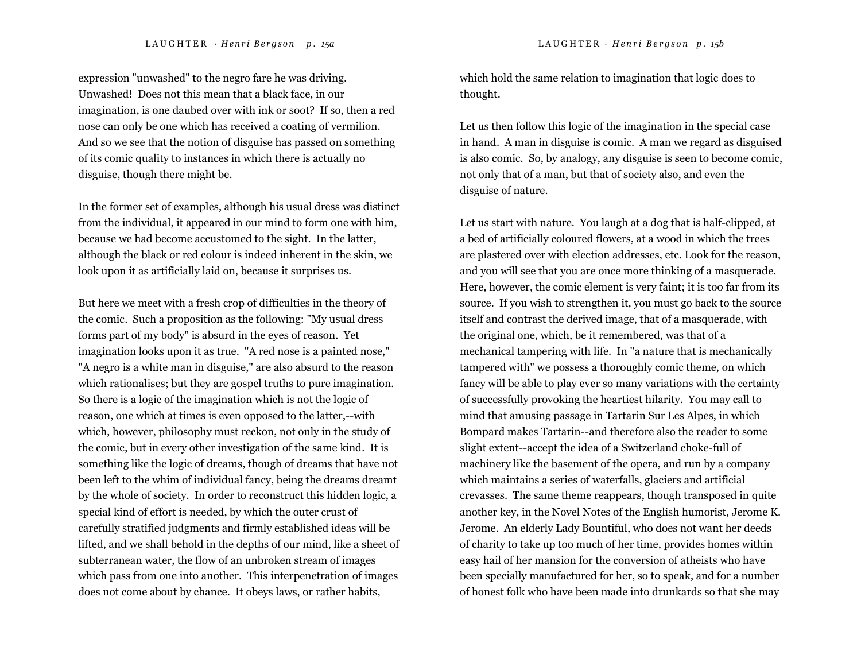expression "unwashed" to the negro fare he was driving. Unwashed! Does not this mean that a black face, in our imagination, is one daubed over with ink or soot? If so, then a red nose can only be one which has received a coating of vermilion. And so we see that the notion of disguise has passed on something of its comic quality to instances in which there is actually no disguise, though there might be.

In the former set of examples, although his usual dress was distinct from the individual, it appeared in our mind to form one with him, because we had become accustomed to the sight. In the latter, although the black or red colour is indeed inherent in the skin, we look upon it as artificially laid on, because it surprises us.

But here we meet with a fresh crop of difficulties in the theory of the comic. Such a proposition as the following: "My usual dress forms part of my body" is absurd in the eyes of reason. Yet imagination looks upon it as true. "A red nose is a painted nose," "A negro is a white man in disguise," are also absurd to the reason which rationalises; but they are gospel truths to pure imagination. So there is a logic of the imagination which is not the logic of reason, one which at times is even opposed to the latter,--with which, however, philosophy must reckon, not only in the study of the comic, but in every other investigation of the same kind. It is something like the logic of dreams, though of dreams that have not been left to the whim of individual fancy, being the dreams dreamt by the whole of society. In order to reconstruct this hidden logic, a special kind of effort is needed, by which the outer crust of carefully stratified judgments and firmly established ideas will be lifted, and we shall behold in the depths of our mind, like a sheet of subterranean water, the flow of an unbroken stream of images which pass from one into another. This interpenetration of images does not come about by chance. It obeys laws, or rather habits,

which hold the same relation to imagination that logic does to thought.

Let us then follow this logic of the imagination in the special case in hand. A man in disguise is comic. A man we regard as disguised is also comic. So, by analogy, any disguise is seen to become comic, not only that of a man, but that of society also, and even the disguise of nature.

Let us start with nature. You laugh at a dog that is half-clipped, at a bed of artificially coloured flowers, at a wood in which the trees are plastered over with election addresses, etc. Look for the reason, and you will see that you are once more thinking of a masquerade. Here, however, the comic element is very faint; it is too far from its source. If you wish to strengthen it, you must go back to the source itself and contrast the derived image, that of a masquerade, with the original one, which, be it remembered, was that of a mechanical tampering with life. In "a nature that is mechanically tampered with" we possess a thoroughly comic theme, on which fancy will be able to play ever so many variations with the certainty of successfully provoking the heartiest hilarity. You may call to mind that amusing passage in Tartarin Sur Les Alpes, in which Bompard makes Tartarin--and therefore also the reader to some slight extent--accept the idea of a Switzerland choke-full of machinery like the basement of the opera, and run by a company which maintains a series of waterfalls, glaciers and artificial crevasses. The same theme reappears, though transposed in quite another key, in the Novel Notes of the English humorist, Jerome K. Jerome. An elderly Lady Bountiful, who does not want her deeds of charity to take up too much of her time, provides homes within easy hail of her mansion for the conversion of atheists who have been specially manufactured for her, so to speak, and for a number of honest folk who have been made into drunkards so that she may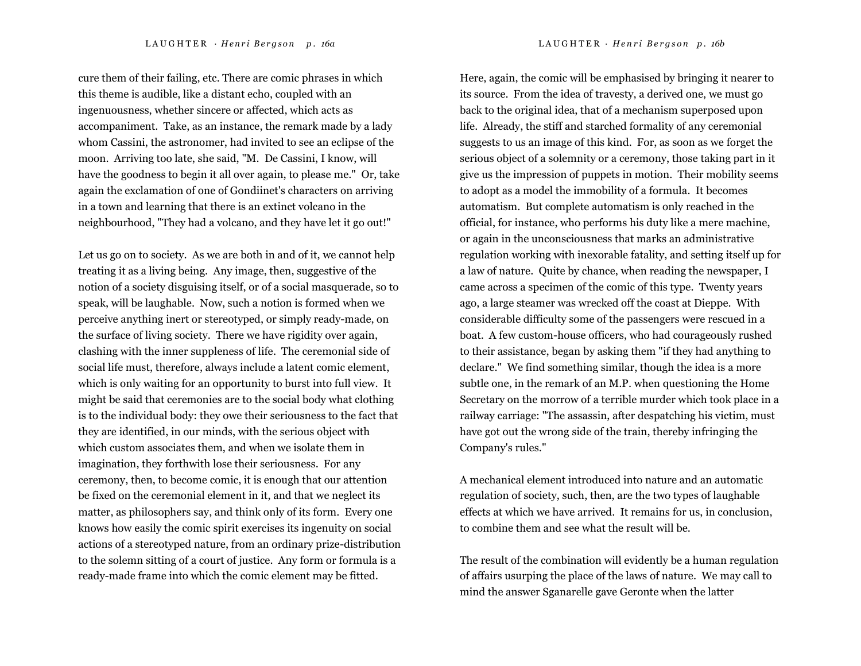cure them of their failing, etc. There are comic phrases in which this theme is audible, like a distant echo, coupled with an ingenuousness, whether sincere or affected, which acts as accompaniment. Take, as an instance, the remark made by a lady whom Cassini, the astronomer, had invited to see an eclipse of the moon. Arriving too late, she said, "M. De Cassini, I know, will have the goodness to begin it all over again, to please me." Or, take again the exclamation of one of Gondiinet's characters on arriving

in a town and learning that there is an extinct volcano in the neighbourhood, "They had a volcano, and they have let it go out!"

Let us go on to society. As we are both in and of it, we cannot help treating it as a living being. Any image, then, suggestive of the notion of a society disguising itself, or of a social masquerade, so to speak, will be laughable. Now, such a notion is formed when we perceive anything inert or stereotyped, or simply ready-made, on the surface of living society. There we have rigidity over again, clashing with the inner suppleness of life. The ceremonial side of social life must, therefore, always include a latent comic element, which is only waiting for an opportunity to burst into full view. It might be said that ceremonies are to the social body what clothing is to the individual body: they owe their seriousness to the fact that they are identified, in our minds, with the serious object with which custom associates them, and when we isolate them in imagination, they forthwith lose their seriousness. For any ceremony, then, to become comic, it is enough that our attention be fixed on the ceremonial element in it, and that we neglect its matter, as philosophers say, and think only of its form. Every one knows how easily the comic spirit exercises its ingenuity on social actions of a stereotyped nature, from an ordinary prize-distribution to the solemn sitting of a court of justice. Any form or formula is a ready-made frame into which the comic element may be fitted.

Here, again, the comic will be emphasised by bringing it nearer to its source. From the idea of travesty, a derived one, we must go back to the original idea, that of a mechanism superposed upon life. Already, the stiff and starched formality of any ceremonial suggests to us an image of this kind. For, as soon as we forget the serious object of a solemnity or a ceremony, those taking part in it give us the impression of puppets in motion. Their mobility seems to adopt as a model the immobility of a formula. It becomes automatism. But complete automatism is only reached in the official, for instance, who performs his duty like a mere machine, or again in the unconsciousness that marks an administrative regulation working with inexorable fatality, and setting itself up for a law of nature. Quite by chance, when reading the newspaper, I came across a specimen of the comic of this type. Twenty years ago, a large steamer was wrecked off the coast at Dieppe. With considerable difficulty some of the passengers were rescued in a boat. A few custom-house officers, who had courageously rushed to their assistance, began by asking them "if they had anything to declare." We find something similar, though the idea is a more subtle one, in the remark of an M.P. when questioning the Home Secretary on the morrow of a terrible murder which took place in a railway carriage: "The assassin, after despatching his victim, must have got out the wrong side of the train, thereby infringing the Company's rules."

A mechanical element introduced into nature and an automatic regulation of society, such, then, are the two types of laughable effects at which we have arrived. It remains for us, in conclusion, to combine them and see what the result will be.

The result of the combination will evidently be a human regulation of affairs usurping the place of the laws of nature. We may call to mind the answer Sganarelle gave Geronte when the latter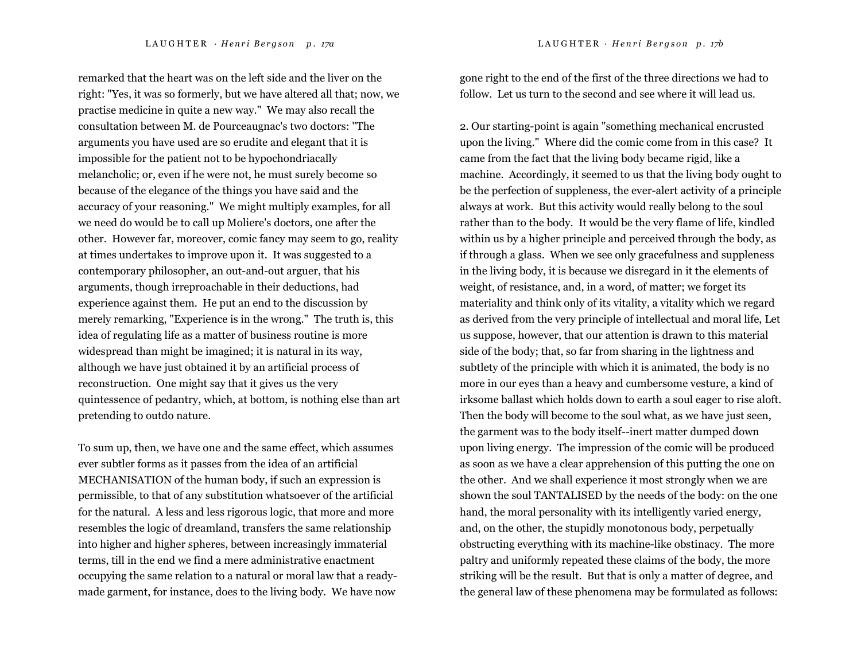L A U G H T E R · *H <sup>e</sup> <sup>n</sup> <sup>r</sup> i B <sup>e</sup> <sup>r</sup> g <sup>s</sup> <sup>o</sup> <sup>n</sup> p . 17a* LAUGHTER *· H <sup>e</sup> <sup>n</sup> <sup>r</sup> i B <sup>e</sup> <sup>r</sup> g <sup>s</sup> <sup>o</sup> <sup>n</sup> p . 17b* 

remarked that the heart was on the left side and the liver on the right: "Yes, it was so formerly, but we have altered all that; now, we practise medicine in quite a new way." We may also recall the consultation between M. de Pourceaugnac's two doctors: "The arguments you have used are so erudite and elegant that it is impossible for the patient not to be hypochondriacally melancholic; or, even if he were not, he must surely become so because of the elegance of the things you have said and the accuracy of your reasoning." We might multiply examples, for all we need do would be to call up Moliere's doctors, one after the other. However far, moreover, comic fancy may seem to go, reality at times undertakes to improve upon it. It was suggested to a contemporary philosopher, an out-and-out arguer, that his arguments, though irreproachable in their deductions, had experience against them. He put an end to the discussion by merely remarking, "Experience is in the wrong." The truth is, this idea of regulating life as a matter of business routine is more widespread than might be imagined; it is natural in its way, although we have just obtained it by an artificial process of reconstruction. One might say that it gives us the very quintessence of pedantry, which, at bottom, is nothing else than art pretending to outdo nature.

To sum up, then, we have one and the same effect, which assumes ever subtler forms as it passes from the idea of an artificial MECHANISATION of the human body, if such an expression is permissible, to that of any substitution whatsoever of the artificial for the natural. A less and less rigorous logic, that more and more resembles the logic of dreamland, transfers the same relationship into higher and higher spheres, between increasingly immaterial terms, till in the end we find a mere administrative enactment occupying the same relation to a natural or moral law that a readymade garment, for instance, does to the living body. We have now

gone right to the end of the first of the three directions we had to follow. Let us turn to the second and see where it will lead us.

2. Our starting-point is again "something mechanical encrusted upon the living." Where did the comic come from in this case? It came from the fact that the living body became rigid, like a machine. Accordingly, it seemed to us that the living body ought to be the perfection of suppleness, the ever-alert activity of a principle always at work. But this activity would really belong to the soul rather than to the body. It would be the very flame of life, kindled within us by a higher principle and perceived through the body, as if through a glass. When we see only gracefulness and suppleness in the living body, it is because we disregard in it the elements of weight, of resistance, and, in a word, of matter; we forget its materiality and think only of its vitality, a vitality which we regard as derived from the very principle of intellectual and moral life, Let us suppose, however, that our attention is drawn to this material side of the body; that, so far from sharing in the lightness and subtlety of the principle with which it is animated, the body is no more in our eyes than a heavy and cumbersome vesture, a kind of irksome ballast which holds down to earth a soul eager to rise aloft. Then the body will become to the soul what, as we have just seen, the garment was to the body itself--inert matter dumped down upon living energy. The impression of the comic will be produced as soon as we have a clear apprehension of this putting the one on the other. And we shall experience it most strongly when we are shown the soul TANTALISED by the needs of the body: on the one hand, the moral personality with its intelligently varied energy, and, on the other, the stupidly monotonous body, perpetually obstructing everything with its machine-like obstinacy. The more paltry and uniformly repeated these claims of the body, the more striking will be the result. But that is only a matter of degree, and the general law of these phenomena may be formulated as follows: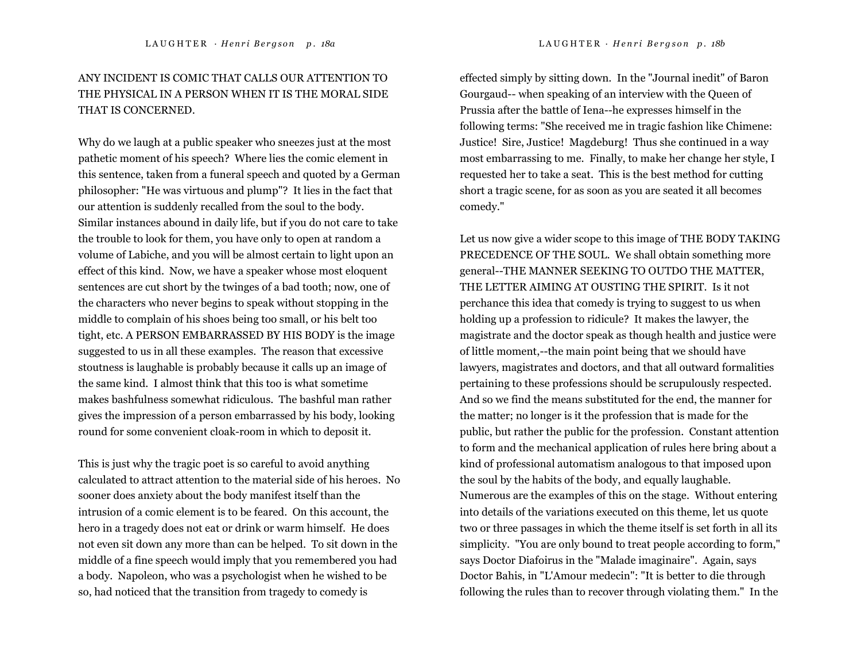# ANY INCIDENT IS COMIC THAT CALLS OUR ATTENTION TO THE PHYSICAL IN A PERSON WHEN IT IS THE MORAL SIDE THAT IS CONCERNED.

Why do we laugh at a public speaker who sneezes just at the most pathetic moment of his speech? Where lies the comic element in this sentence, taken from a funeral speech and quoted by a German philosopher: "He was virtuous and plump"? It lies in the fact that our attention is suddenly recalled from the soul to the body. Similar instances abound in daily life, but if you do not care to take the trouble to look for them, you have only to open at random a volume of Labiche, and you will be almost certain to light upon an effect of this kind. Now, we have a speaker whose most eloquent sentences are cut short by the twinges of a bad tooth; now, one of the characters who never begins to speak without stopping in the middle to complain of his shoes being too small, or his belt too tight, etc. A PERSON EMBARRASSED BY HIS BODY is the image suggested to us in all these examples. The reason that excessive stoutness is laughable is probably because it calls up an image of the same kind. I almost think that this too is what sometime makes bashfulness somewhat ridiculous. The bashful man rather gives the impression of a person embarrassed by his body, looking round for some convenient cloak-room in which to deposit it.

This is just why the tragic poet is so careful to avoid anything calculated to attract attention to the material side of his heroes. No sooner does anxiety about the body manifest itself than the intrusion of a comic element is to be feared. On this account, the hero in a tragedy does not eat or drink or warm himself. He does not even sit down any more than can be helped. To sit down in the middle of a fine speech would imply that you remembered you had a body. Napoleon, who was a psychologist when he wished to be so, had noticed that the transition from tragedy to comedy is

effected simply by sitting down. In the "Journal inedit" of Baron Gourgaud-- when speaking of an interview with the Queen of Prussia after the battle of Iena--he expresses himself in the following terms: "She received me in tragic fashion like Chimene: Justice! Sire, Justice! Magdeburg! Thus she continued in a way most embarrassing to me. Finally, to make her change her style, I requested her to take a seat. This is the best method for cutting short a tragic scene, for as soon as you are seated it all becomes comedy."

Let us now give a wider scope to this image of THE BODY TAKING PRECEDENCE OF THE SOUL. We shall obtain something more general--THE MANNER SEEKING TO OUTDO THE MATTER, THE LETTER AIMING AT OUSTING THE SPIRIT. Is it not perchance this idea that comedy is trying to suggest to us when holding up a profession to ridicule? It makes the lawyer, the magistrate and the doctor speak as though health and justice were of little moment,--the main point being that we should have lawyers, magistrates and doctors, and that all outward formalities pertaining to these professions should be scrupulously respected. And so we find the means substituted for the end, the manner for the matter; no longer is it the profession that is made for the public, but rather the public for the profession. Constant attention to form and the mechanical application of rules here bring about a kind of professional automatism analogous to that imposed upon the soul by the habits of the body, and equally laughable. Numerous are the examples of this on the stage. Without entering into details of the variations executed on this theme, let us quote two or three passages in which the theme itself is set forth in all its simplicity. "You are only bound to treat people according to form," says Doctor Diafoirus in the "Malade imaginaire". Again, says Doctor Bahis, in "L'Amour medecin": "It is better to die through following the rules than to recover through violating them." In the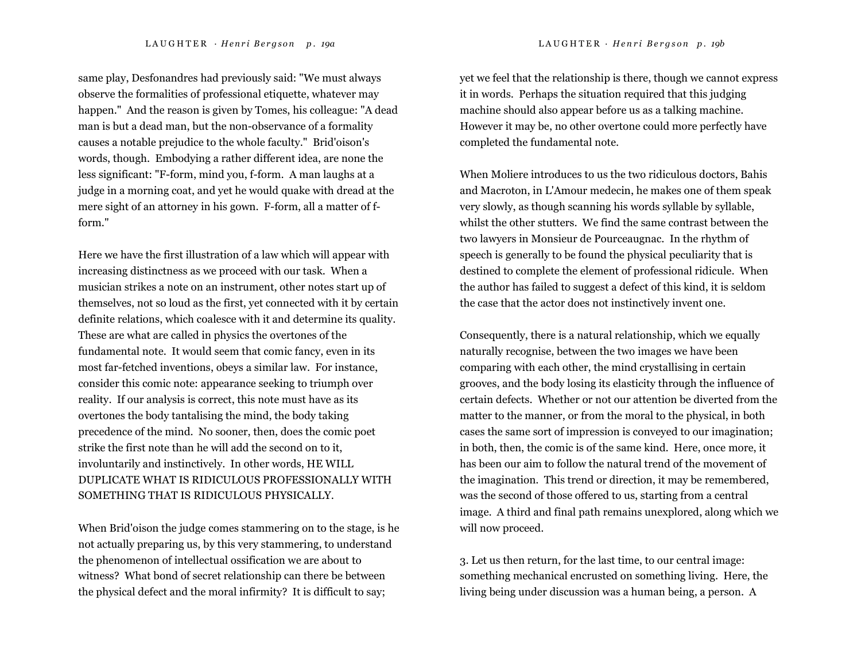same play, Desfonandres had previously said: "We must always observe the formalities of professional etiquette, whatever may happen." And the reason is given by Tomes, his colleague: "A dead man is but a dead man, but the non-observance of a formality causes a notable prejudice to the whole faculty." Brid'oison's words, though. Embodying a rather different idea, are none the less significant: "F-form, mind you, f-form. A man laughs at a judge in a morning coat, and yet he would quake with dread at the mere sight of an attorney in his gown. F-form, all a matter of fform."

Here we have the first illustration of a law which will appear with increasing distinctness as we proceed with our task. When a musician strikes a note on an instrument, other notes start up of themselves, not so loud as the first, yet connected with it by certain definite relations, which coalesce with it and determine its quality. These are what are called in physics the overtones of the fundamental note. It would seem that comic fancy, even in its most far-fetched inventions, obeys a similar law. For instance, consider this comic note: appearance seeking to triumph over reality. If our analysis is correct, this note must have as its overtones the body tantalising the mind, the body taking precedence of the mind. No sooner, then, does the comic poet strike the first note than he will add the second on to it, involuntarily and instinctively. In other words, HE WILL DUPLICATE WHAT IS RIDICULOUS PROFESSIONALLY WITH SOMETHING THAT IS RIDICULOUS PHYSICALLY.

When Brid'oison the judge comes stammering on to the stage, is he not actually preparing us, by this very stammering, to understand the phenomenon of intellectual ossification we are about to witness? What bond of secret relationship can there be between the physical defect and the moral infirmity? It is difficult to say;

yet we feel that the relationship is there, though we cannot express it in words. Perhaps the situation required that this judging machine should also appear before us as a talking machine. However it may be, no other overtone could more perfectly have completed the fundamental note.

When Moliere introduces to us the two ridiculous doctors, Bahis and Macroton, in L'Amour medecin, he makes one of them speak very slowly, as though scanning his words syllable by syllable, whilst the other stutters. We find the same contrast between the two lawyers in Monsieur de Pourceaugnac. In the rhythm of speech is generally to be found the physical peculiarity that is destined to complete the element of professional ridicule. When the author has failed to suggest a defect of this kind, it is seldom the case that the actor does not instinctively invent one.

Consequently, there is a natural relationship, which we equally naturally recognise, between the two images we have been comparing with each other, the mind crystallising in certain grooves, and the body losing its elasticity through the influence of certain defects. Whether or not our attention be diverted from the matter to the manner, or from the moral to the physical, in both cases the same sort of impression is conveyed to our imagination; in both, then, the comic is of the same kind. Here, once more, it has been our aim to follow the natural trend of the movement of the imagination. This trend or direction, it may be remembered, was the second of those offered to us, starting from a central image. A third and final path remains unexplored, along which we will now proceed.

3. Let us then return, for the last time, to our central image: something mechanical encrusted on something living. Here, the living being under discussion was a human being, a person. A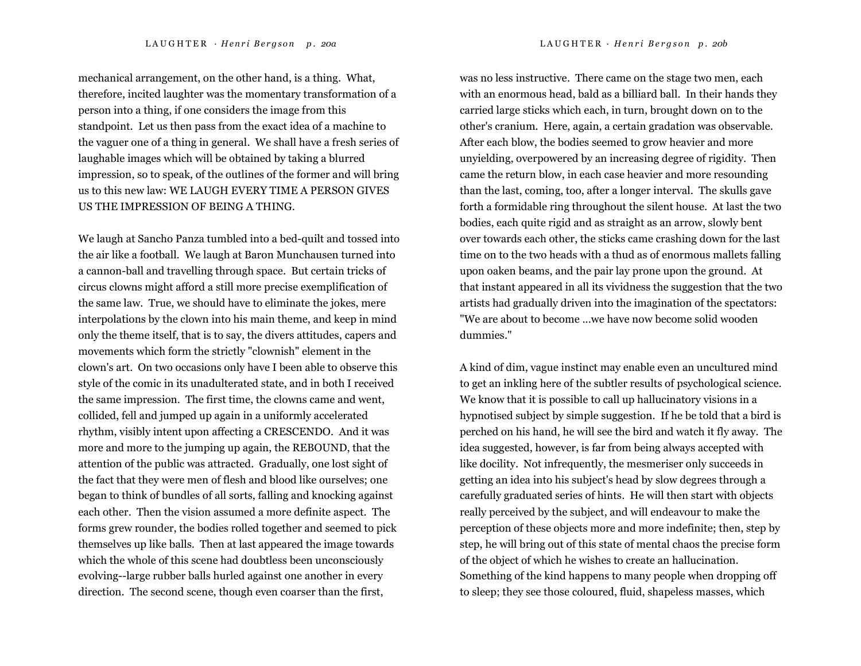mechanical arrangement, on the other hand, is a thing. What, therefore, incited laughter was the momentary transformation of a person into a thing, if one considers the image from this standpoint. Let us then pass from the exact idea of a machine to the vaguer one of a thing in general. We shall have a fresh series of laughable images which will be obtained by taking a blurred impression, so to speak, of the outlines of the former and will bring us to this new law: WE LAUGH EVERY TIME A PERSON GIVES US THE IMPRESSION OF BEING A THING.

We laugh at Sancho Panza tumbled into a bed-quilt and tossed into the air like a football. We laugh at Baron Munchausen turned into a cannon-ball and travelling through space. But certain tricks of circus clowns might afford a still more precise exemplification of the same law. True, we should have to eliminate the jokes, mere interpolations by the clown into his main theme, and keep in mind only the theme itself, that is to say, the divers attitudes, capers and movements which form the strictly "clownish" element in the clown's art. On two occasions only have I been able to observe this style of the comic in its unadulterated state, and in both I received the same impression. The first time, the clowns came and went, collided, fell and jumped up again in a uniformly accelerated rhythm, visibly intent upon affecting a CRESCENDO. And it was more and more to the jumping up again, the REBOUND, that the attention of the public was attracted. Gradually, one lost sight of the fact that they were men of flesh and blood like ourselves; one began to think of bundles of all sorts, falling and knocking against each other. Then the vision assumed a more definite aspect. The forms grew rounder, the bodies rolled together and seemed to pick themselves up like balls. Then at last appeared the image towards which the whole of this scene had doubtless been unconsciously evolving--large rubber balls hurled against one another in every direction. The second scene, though even coarser than the first,

was no less instructive. There came on the stage two men, each with an enormous head, bald as a billiard ball. In their hands they carried large sticks which each, in turn, brought down on to the other's cranium. Here, again, a certain gradation was observable. After each blow, the bodies seemed to grow heavier and more unyielding, overpowered by an increasing degree of rigidity. Then came the return blow, in each case heavier and more resounding than the last, coming, too, after a longer interval. The skulls gave forth a formidable ring throughout the silent house. At last the two bodies, each quite rigid and as straight as an arrow, slowly bent over towards each other, the sticks came crashing down for the last time on to the two heads with a thud as of enormous mallets falling upon oaken beams, and the pair lay prone upon the ground. At that instant appeared in all its vividness the suggestion that the two artists had gradually driven into the imagination of the spectators: "We are about to become ...we have now become solid wooden dummies."

A kind of dim, vague instinct may enable even an uncultured mind to get an inkling here of the subtler results of psychological science. We know that it is possible to call up hallucinatory visions in a hypnotised subject by simple suggestion. If he be told that a bird is perched on his hand, he will see the bird and watch it fly away. The idea suggested, however, is far from being always accepted with like docility. Not infrequently, the mesmeriser only succeeds in getting an idea into his subject's head by slow degrees through a carefully graduated series of hints. He will then start with objects really perceived by the subject, and will endeavour to make the perception of these objects more and more indefinite; then, step by step, he will bring out of this state of mental chaos the precise form of the object of which he wishes to create an hallucination. Something of the kind happens to many people when dropping off to sleep; they see those coloured, fluid, shapeless masses, which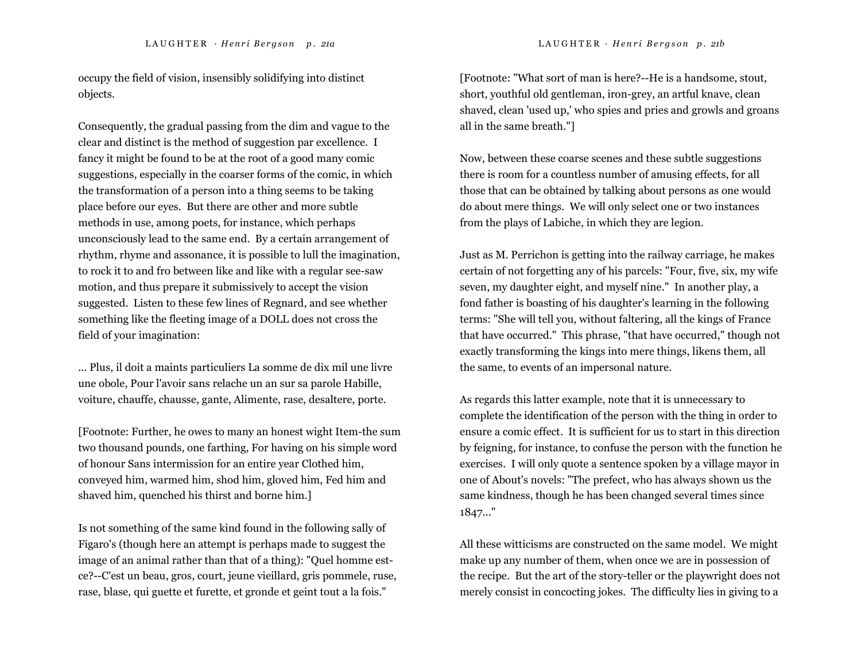occupy the field of vision, insensibly solidifying into distinct objects.

Consequently, the gradual passing from the dim and vague to the clear and distinct is the method of suggestion par excellence. I fancy it might be found to be at the root of a good many comic suggestions, especially in the coarser forms of the comic, in which the transformation of a person into a thing seems to be taking place before our eyes. But there are other and more subtle methods in use, among poets, for instance, which perhaps unconsciously lead to the same end. By a certain arrangement of rhythm, rhyme and assonance, it is possible to lull the imagination, to rock it to and fro between like and like with a regular see-saw motion, and thus prepare it submissively to accept the vision suggested. Listen to these few lines of Regnard, and see whether something like the fleeting image of a DOLL does not cross the field of your imagination:

... Plus, il doit a maints particuliers La somme de dix mil une livre une obole, Pour l'avoir sans relache un an sur sa parole Habille, voiture, chauffe, chausse, gante, Alimente, rase, desaltere, porte.

[Footnote: Further, he owes to many an honest wight Item-the sum two thousand pounds, one farthing, For having on his simple word of honour Sans intermission for an entire year Clothed him, conveyed him, warmed him, shod him, gloved him, Fed him and shaved him, quenched his thirst and borne him.]

Is not something of the same kind found in the following sally of Figaro's (though here an attempt is perhaps made to suggest the image of an animal rather than that of a thing): "Quel homme estce?--C'est un beau, gros, court, jeune vieillard, gris pommele, ruse, rase, blase, qui guette et furette, et gronde et geint tout a la fois."

[Footnote: "What sort of man is here?--He is a handsome, stout, short, youthful old gentleman, iron-grey, an artful knave, clean shaved, clean 'used up,' who spies and pries and growls and groans all in the same breath."]

Now, between these coarse scenes and these subtle suggestions there is room for a countless number of amusing effects, for all those that can be obtained by talking about persons as one would do about mere things. We will only select one or two instances from the plays of Labiche, in which they are legion.

Just as M. Perrichon is getting into the railway carriage, he makes certain of not forgetting any of his parcels: "Four, five, six, my wife seven, my daughter eight, and myself nine." In another play, a fond father is boasting of his daughter's learning in the following terms: "She will tell you, without faltering, all the kings of France that have occurred." This phrase, "that have occurred," though not exactly transforming the kings into mere things, likens them, all the same, to events of an impersonal nature.

As regards this latter example, note that it is unnecessary to complete the identification of the person with the thing in order to ensure a comic effect. It is sufficient for us to start in this direction by feigning, for instance, to confuse the person with the function he exercises. I will only quote a sentence spoken by a village mayor in one of About's novels: "The prefect, who has always shown us the same kindness, though he has been changed several times since 1847..."

All these witticisms are constructed on the same model. We might make up any number of them, when once we are in possession of the recipe. But the art of the story-teller or the playwright does not merely consist in concocting jokes. The difficulty lies in giving to a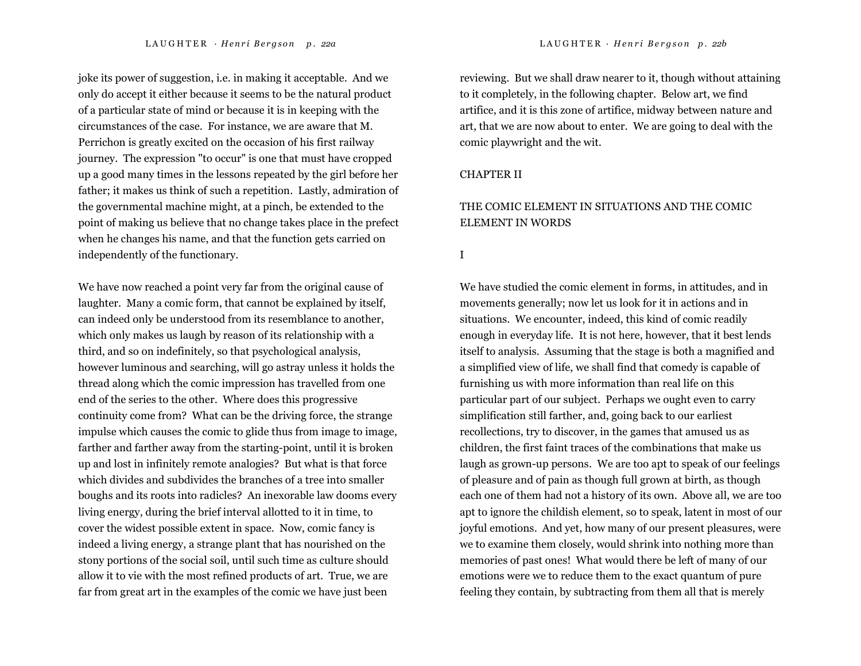joke its power of suggestion, i.e. in making it acceptable. And we only do accept it either because it seems to be the natural product of a particular state of mind or because it is in keeping with the circumstances of the case. For instance, we are aware that M. Perrichon is greatly excited on the occasion of his first railway journey. The expression "to occur" is one that must have cropped up a good many times in the lessons repeated by the girl before her father; it makes us think of such a repetition. Lastly, admiration of the governmental machine might, at a pinch, be extended to the point of making us believe that no change takes place in the prefect when he changes his name, and that the function gets carried on independently of the functionary.

We have now reached a point very far from the original cause of laughter. Many a comic form, that cannot be explained by itself, can indeed only be understood from its resemblance to another, which only makes us laugh by reason of its relationship with a third, and so on indefinitely, so that psychological analysis, however luminous and searching, will go astray unless it holds the thread along which the comic impression has travelled from one end of the series to the other. Where does this progressive continuity come from? What can be the driving force, the strange impulse which causes the comic to glide thus from image to image, farther and farther away from the starting-point, until it is broken up and lost in infinitely remote analogies? But what is that force which divides and subdivides the branches of a tree into smaller boughs and its roots into radicles? An inexorable law dooms every living energy, during the brief interval allotted to it in time, to cover the widest possible extent in space. Now, comic fancy is indeed a living energy, a strange plant that has nourished on the stony portions of the social soil, until such time as culture should allow it to vie with the most refined products of art. True, we are far from great art in the examples of the comic we have just been

reviewing. But we shall draw nearer to it, though without attaining to it completely, in the following chapter. Below art, we find artifice, and it is this zone of artifice, midway between nature and art, that we are now about to enter. We are going to deal with the comic playwright and the wit.

### CHAPTER II

## THE COMIC ELEMENT IN SITUATIONS AND THE COMIC ELEMENT IN WORDS

I

We have studied the comic element in forms, in attitudes, and in movements generally; now let us look for it in actions and in situations. We encounter, indeed, this kind of comic readily enough in everyday life. It is not here, however, that it best lends itself to analysis. Assuming that the stage is both a magnified and a simplified view of life, we shall find that comedy is capable of furnishing us with more information than real life on this particular part of our subject. Perhaps we ought even to carry simplification still farther, and, going back to our earliest recollections, try to discover, in the games that amused us as children, the first faint traces of the combinations that make us laugh as grown-up persons. We are too apt to speak of our feelings of pleasure and of pain as though full grown at birth, as though each one of them had not a history of its own. Above all, we are too apt to ignore the childish element, so to speak, latent in most of our joyful emotions. And yet, how many of our present pleasures, were we to examine them closely, would shrink into nothing more than memories of past ones! What would there be left of many of our emotions were we to reduce them to the exact quantum of pure feeling they contain, by subtracting from them all that is merely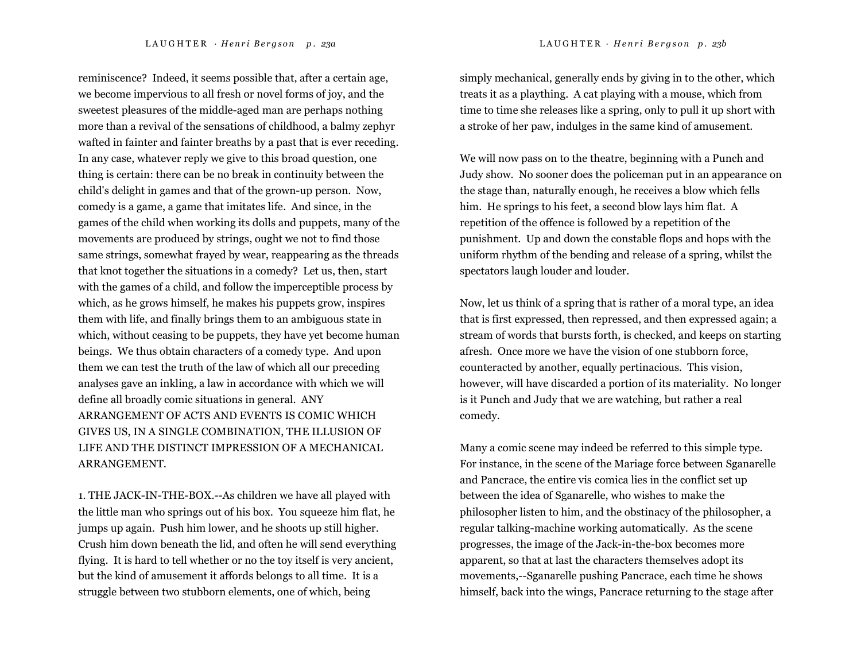reminiscence? Indeed, it seems possible that, after a certain age, we become impervious to all fresh or novel forms of joy, and the sweetest pleasures of the middle-aged man are perhaps nothing more than a revival of the sensations of childhood, a balmy zephyr wafted in fainter and fainter breaths by a past that is ever receding. In any case, whatever reply we give to this broad question, one thing is certain: there can be no break in continuity between the child's delight in games and that of the grown-up person. Now, comedy is a game, a game that imitates life. And since, in the games of the child when working its dolls and puppets, many of the movements are produced by strings, ought we not to find those same strings, somewhat frayed by wear, reappearing as the threads that knot together the situations in a comedy? Let us, then, start with the games of a child, and follow the imperceptible process by which, as he grows himself, he makes his puppets grow, inspires them with life, and finally brings them to an ambiguous state in which, without ceasing to be puppets, they have yet become human beings. We thus obtain characters of a comedy type. And upon them we can test the truth of the law of which all our preceding analyses gave an inkling, a law in accordance with which we will define all broadly comic situations in general. ANY ARRANGEMENT OF ACTS AND EVENTS IS COMIC WHICH GIVES US, IN A SINGLE COMBINATION, THE ILLUSION OF LIFE AND THE DISTINCT IMPRESSION OF A MECHANICAL ARRANGEMENT.

1. THE JACK-IN-THE-BOX.--As children we have all played with the little man who springs out of his box. You squeeze him flat, he jumps up again. Push him lower, and he shoots up still higher. Crush him down beneath the lid, and often he will send everything flying. It is hard to tell whether or no the toy itself is very ancient, but the kind of amusement it affords belongs to all time. It is a struggle between two stubborn elements, one of which, being

simply mechanical, generally ends by giving in to the other, which treats it as a plaything. A cat playing with a mouse, which from time to time she releases like a spring, only to pull it up short with a stroke of her paw, indulges in the same kind of amusement.

We will now pass on to the theatre, beginning with a Punch and Judy show. No sooner does the policeman put in an appearance on the stage than, naturally enough, he receives a blow which fells him. He springs to his feet, a second blow lays him flat. A repetition of the offence is followed by a repetition of the punishment. Up and down the constable flops and hops with the uniform rhythm of the bending and release of a spring, whilst the spectators laugh louder and louder.

Now, let us think of a spring that is rather of a moral type, an idea that is first expressed, then repressed, and then expressed again; a stream of words that bursts forth, is checked, and keeps on starting afresh. Once more we have the vision of one stubborn force, counteracted by another, equally pertinacious. This vision, however, will have discarded a portion of its materiality. No longer is it Punch and Judy that we are watching, but rather a real comedy.

Many a comic scene may indeed be referred to this simple type. For instance, in the scene of the Mariage force between Sganarelle and Pancrace, the entire vis comica lies in the conflict set up between the idea of Sganarelle, who wishes to make the philosopher listen to him, and the obstinacy of the philosopher, a regular talking-machine working automatically. As the scene progresses, the image of the Jack-in-the-box becomes more apparent, so that at last the characters themselves adopt its movements,--Sganarelle pushing Pancrace, each time he shows himself, back into the wings, Pancrace returning to the stage after

L A U G H T E R · *H <sup>e</sup> <sup>n</sup> <sup>r</sup> i B <sup>e</sup> <sup>r</sup> g <sup>s</sup> <sup>o</sup> <sup>n</sup> p . 23a* LAUGHTER *· H <sup>e</sup> <sup>n</sup> <sup>r</sup> i B <sup>e</sup> <sup>r</sup> g <sup>s</sup> <sup>o</sup> <sup>n</sup> p . 23b*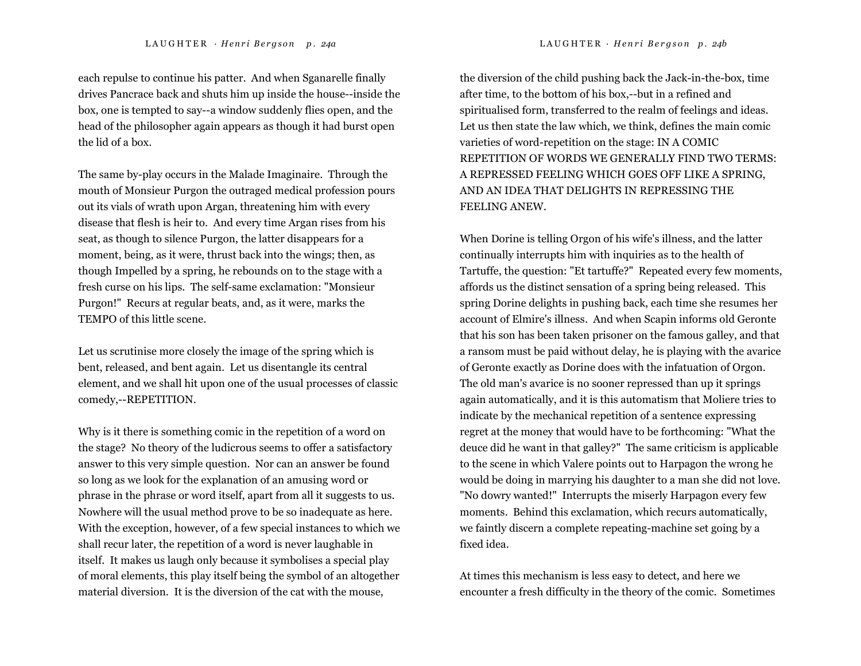each repulse to continue his patter. And when Sganarelle finally drives Pancrace back and shuts him up inside the house--inside the box, one is tempted to say--a window suddenly flies open, and the head of the philosopher again appears as though it had burst open the lid of a box.

The same by-play occurs in the Malade Imaginaire. Through the mouth of Monsieur Purgon the outraged medical profession pours out its vials of wrath upon Argan, threatening him with every disease that flesh is heir to. And every time Argan rises from his seat, as though to silence Purgon, the latter disappears for a moment, being, as it were, thrust back into the wings; then, as though Impelled by a spring, he rebounds on to the stage with a fresh curse on his lips. The self-same exclamation: "Monsieur Purgon!" Recurs at regular beats, and, as it were, marks the TEMPO of this little scene.

Let us scrutinise more closely the image of the spring which is bent, released, and bent again. Let us disentangle its central element, and we shall hit upon one of the usual processes of classic comedy,--REPETITION.

Why is it there is something comic in the repetition of a word on the stage? No theory of the ludicrous seems to offer a satisfactory answer to this very simple question. Nor can an answer be found so long as we look for the explanation of an amusing word or phrase in the phrase or word itself, apart from all it suggests to us. Nowhere will the usual method prove to be so inadequate as here. With the exception, however, of a few special instances to which we shall recur later, the repetition of a word is never laughable in itself. It makes us laugh only because it symbolises a special play of moral elements, this play itself being the symbol of an altogether material diversion. It is the diversion of the cat with the mouse,

the diversion of the child pushing back the Jack-in-the-box, time after time, to the bottom of his box,--but in a refined and spiritualised form, transferred to the realm of feelings and ideas. Let us then state the law which, we think, defines the main comic varieties of word-repetition on the stage: IN A COMIC REPETITION OF WORDS WE GENERALLY FIND TWO TERMS: A REPRESSED FEELING WHICH GOES OFF LIKE A SPRING, AND AN IDEA THAT DELIGHTS IN REPRESSING THE FEELING ANEW.

When Dorine is telling Orgon of his wife's illness, and the latter continually interrupts him with inquiries as to the health of Tartuffe, the question: "Et tartuffe?" Repeated every few moments, affords us the distinct sensation of a spring being released. This spring Dorine delights in pushing back, each time she resumes her account of Elmire's illness. And when Scapin informs old Geronte that his son has been taken prisoner on the famous galley, and that a ransom must be paid without delay, he is playing with the avarice of Geronte exactly as Dorine does with the infatuation of Orgon. The old man's avarice is no sooner repressed than up it springs again automatically, and it is this automatism that Moliere tries to indicate by the mechanical repetition of a sentence expressing regret at the money that would have to be forthcoming: "What the deuce did he want in that galley?" The same criticism is applicable to the scene in which Valere points out to Harpagon the wrong he would be doing in marrying his daughter to a man she did not love. "No dowry wanted!" Interrupts the miserly Harpagon every few moments. Behind this exclamation, which recurs automatically, we faintly discern a complete repeating-machine set going by a fixed idea.

At times this mechanism is less easy to detect, and here we encounter a fresh difficulty in the theory of the comic. Sometimes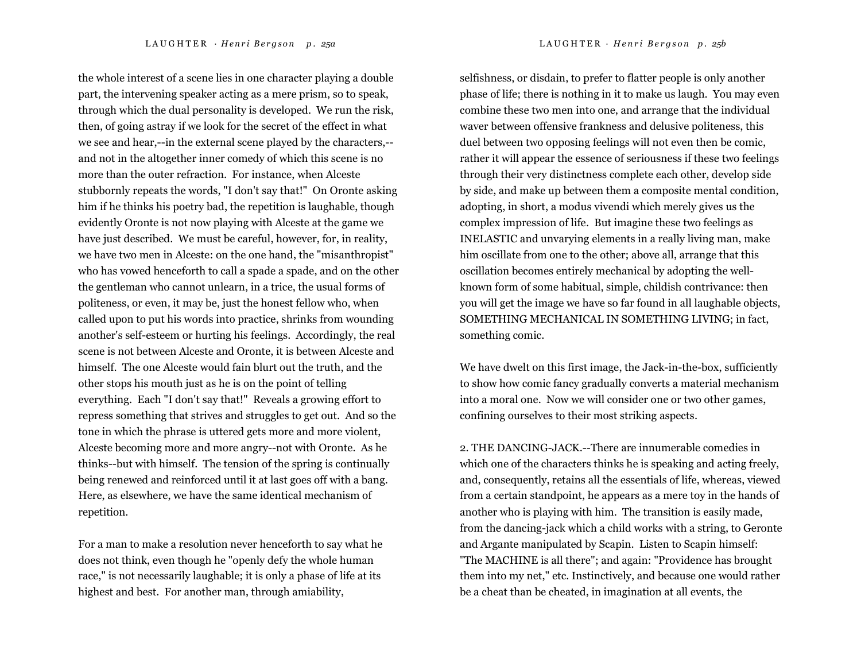the whole interest of a scene lies in one character playing a double part, the intervening speaker acting as a mere prism, so to speak, through which the dual personality is developed. We run the risk, then, of going astray if we look for the secret of the effect in what we see and hear,--in the external scene played by the characters,- and not in the altogether inner comedy of which this scene is no more than the outer refraction. For instance, when Alceste stubbornly repeats the words, "I don't say that!" On Oronte asking him if he thinks his poetry bad, the repetition is laughable, though evidently Oronte is not now playing with Alceste at the game we have just described. We must be careful, however, for, in reality, we have two men in Alceste: on the one hand, the "misanthropist" who has vowed henceforth to call a spade a spade, and on the other the gentleman who cannot unlearn, in a trice, the usual forms of politeness, or even, it may be, just the honest fellow who, when called upon to put his words into practice, shrinks from wounding another's self-esteem or hurting his feelings. Accordingly, the real scene is not between Alceste and Oronte, it is between Alceste and himself. The one Alceste would fain blurt out the truth, and the other stops his mouth just as he is on the point of telling everything. Each "I don't say that!" Reveals a growing effort to repress something that strives and struggles to get out. And so the tone in which the phrase is uttered gets more and more violent, Alceste becoming more and more angry--not with Oronte. As he thinks--but with himself. The tension of the spring is continually being renewed and reinforced until it at last goes off with a bang. Here, as elsewhere, we have the same identical mechanism of repetition.

For a man to make a resolution never henceforth to say what he does not think, even though he "openly defy the whole human race," is not necessarily laughable; it is only a phase of life at its highest and best. For another man, through amiability,

selfishness, or disdain, to prefer to flatter people is only another phase of life; there is nothing in it to make us laugh. You may even combine these two men into one, and arrange that the individual waver between offensive frankness and delusive politeness, this duel between two opposing feelings will not even then be comic, rather it will appear the essence of seriousness if these two feelings through their very distinctness complete each other, develop side by side, and make up between them a composite mental condition, adopting, in short, a modus vivendi which merely gives us the complex impression of life. But imagine these two feelings as INELASTIC and unvarying elements in a really living man, make him oscillate from one to the other; above all, arrange that this oscillation becomes entirely mechanical by adopting the wellknown form of some habitual, simple, childish contrivance: then you will get the image we have so far found in all laughable objects, SOMETHING MECHANICAL IN SOMETHING LIVING; in fact, something comic.

We have dwelt on this first image, the Jack-in-the-box, sufficiently to show how comic fancy gradually converts a material mechanism into a moral one. Now we will consider one or two other games, confining ourselves to their most striking aspects.

2. THE DANCING-JACK.--There are innumerable comedies in which one of the characters thinks he is speaking and acting freely, and, consequently, retains all the essentials of life, whereas, viewed from a certain standpoint, he appears as a mere toy in the hands of another who is playing with him. The transition is easily made, from the dancing-jack which a child works with a string, to Geronte and Argante manipulated by Scapin. Listen to Scapin himself: "The MACHINE is all there"; and again: "Providence has brought them into my net," etc. Instinctively, and because one would rather be a cheat than be cheated, in imagination at all events, the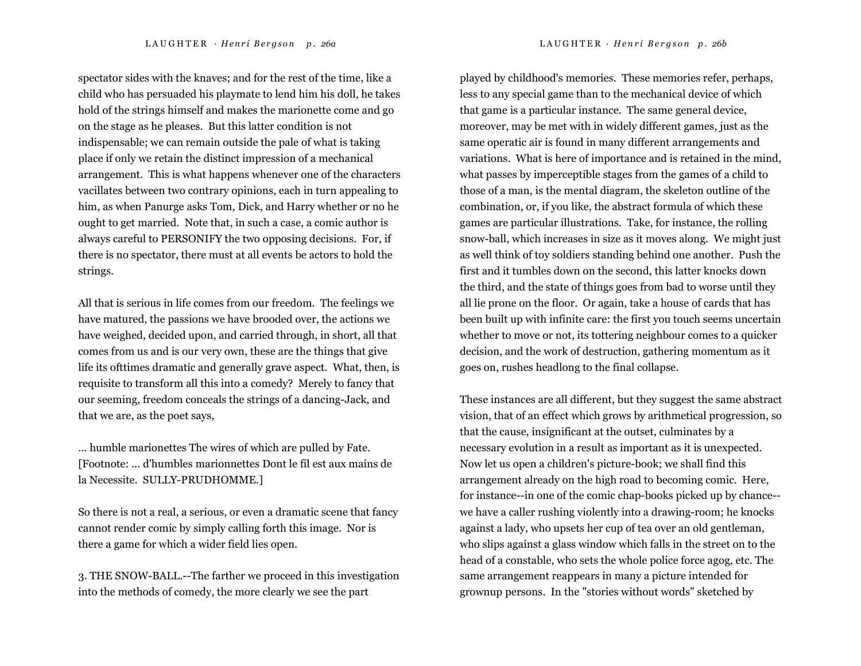spectator sides with the knaves; and for the rest of the time, like a child who has persuaded his playmate to lend him his doll, he takes hold of the strings himself and makes the marionette come and go on the stage as he pleases. But this latter condition is not indispensable; we can remain outside the pale of what is taking place if only we retain the distinct impression of a mechanical arrangement. This is what happens whenever one of the characters vacillates between two contrary opinions, each in turn appealing to him, as when Panurge asks Tom, Dick, and Harry whether or no he ought to get married. Note that, in such a case, a comic author is always careful to PERSONIFY the two opposing decisions. For, if there is no spectator, there must at all events be actors to hold the

All that is serious in life comes from our freedom. The feelings we have matured, the passions we have brooded over, the actions we have weighed, decided upon, and carried through, in short, all that comes from us and is our very own, these are the things that give life its ofttimes dramatic and generally grave aspect. What, then, is requisite to transform all this into a comedy? Merely to fancy that our seeming, freedom conceals the strings of a dancing-Jack, and that we are, as the poet says,

strings.

... humble marionettes The wires of which are pulled by Fate. [Footnote: ... d'humbles marionnettes Dont le fil est aux mains de la Necessite. SULLY-PRUDHOMME.]

So there is not a real, a serious, or even a dramatic scene that fancy cannot render comic by simply calling forth this image. Nor is there a game for which a wider field lies open.

3. THE SNOW-BALL.--The farther we proceed in this investigation into the methods of comedy, the more clearly we see the part

played by childhood's memories. These memories refer, perhaps, less to any special game than to the mechanical device of which that game is a particular instance. The same general device, moreover, may be met with in widely different games, just as the same operatic air is found in many different arrangements and variations. What is here of importance and is retained in the mind, what passes by imperceptible stages from the games of a child to those of a man, is the mental diagram, the skeleton outline of the combination, or, if you like, the abstract formula of which these games are particular illustrations. Take, for instance, the rolling snow-ball, which increases in size as it moves along. We might just as well think of toy soldiers standing behind one another. Push the first and it tumbles down on the second, this latter knocks down the third, and the state of things goes from bad to worse until they all lie prone on the floor. Or again, take a house of cards that has been built up with infinite care: the first you touch seems uncertain whether to move or not, its tottering neighbour comes to a quicker decision, and the work of destruction, gathering momentum as it goes on, rushes headlong to the final collapse.

These instances are all different, but they suggest the same abstract vision, that of an effect which grows by arithmetical progression, so that the cause, insignificant at the outset, culminates by a necessary evolution in a result as important as it is unexpected. Now let us open a children's picture-book; we shall find this arrangement already on the high road to becoming comic. Here, for instance--in one of the comic chap-books picked up by chance- we have a caller rushing violently into a drawing-room; he knocks against a lady, who upsets her cup of tea over an old gentleman, who slips against a glass window which falls in the street on to the head of a constable, who sets the whole police force agog, etc. The same arrangement reappears in many a picture intended for grownup persons. In the "stories without words" sketched by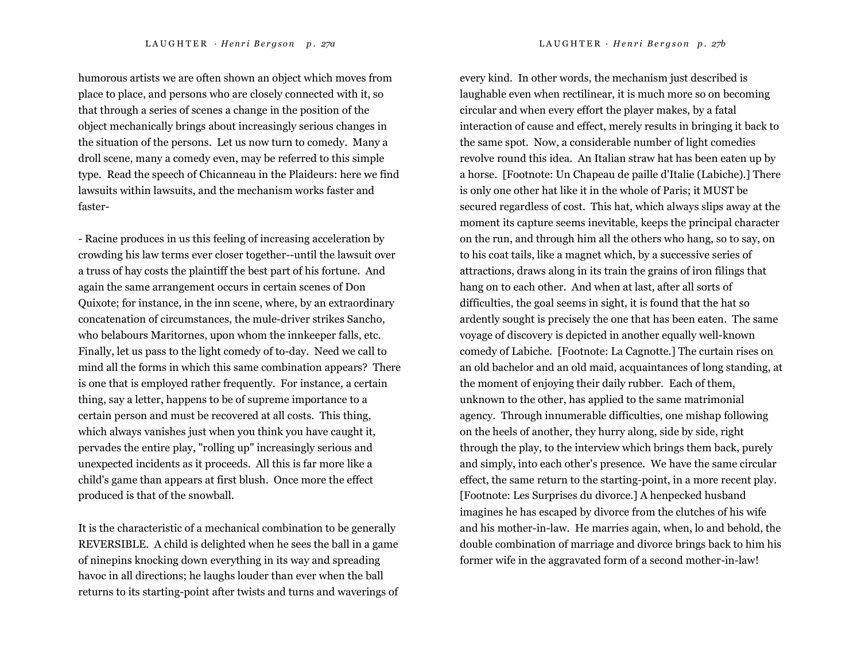humorous artists we are often shown an object which moves from place to place, and persons who are closely connected with it, so that through a series of scenes a change in the position of the object mechanically brings about increasingly serious changes in the situation of the persons. Let us now turn to comedy. Many a droll scene, many a comedy even, may be referred to this simple type. Read the speech of Chicanneau in the Plaideurs: here we find lawsuits within lawsuits, and the mechanism works faster and faster-

- Racine produces in us this feeling of increasing acceleration by crowding his law terms ever closer together--until the lawsuit over a truss of hay costs the plaintiff the best part of his fortune. And again the same arrangement occurs in certain scenes of Don Quixote; for instance, in the inn scene, where, by an extraordinary concatenation of circumstances, the mule-driver strikes Sancho, who belabours Maritornes, upon whom the innkeeper falls, etc. Finally, let us pass to the light comedy of to-day. Need we call to mind all the forms in which this same combination appears? There is one that is employed rather frequently. For instance, a certain thing, say a letter, happens to be of supreme importance to a certain person and must be recovered at all costs. This thing, which always vanishes just when you think you have caught it, pervades the entire play, "rolling up" increasingly serious and unexpected incidents as it proceeds. All this is far more like a child's game than appears at first blush. Once more the effect produced is that of the snowball.

It is the characteristic of a mechanical combination to be generally REVERSIBLE. A child is delighted when he sees the ball in a game of ninepins knocking down everything in its way and spreading havoc in all directions; he laughs louder than ever when the ball returns to its starting-point after twists and turns and waverings of every kind. In other words, the mechanism just described is laughable even when rectilinear, it is much more so on becoming circular and when every effort the player makes, by a fatal interaction of cause and effect, merely results in bringing it back to the same spot. Now, a considerable number of light comedies revolve round this idea. An Italian straw hat has been eaten up by a horse. [Footnote: Un Chapeau de paille d'Italie (Labiche).] There is only one other hat like it in the whole of Paris; it MUST be secured regardless of cost. This hat, which always slips away at the moment its capture seems inevitable, keeps the principal character on the run, and through him all the others who hang, so to say, on to his coat tails, like a magnet which, by a successive series of attractions, draws along in its train the grains of iron filings that hang on to each other. And when at last, after all sorts of difficulties, the goal seems in sight, it is found that the hat so ardently sought is precisely the one that has been eaten. The same voyage of discovery is depicted in another equally well-known comedy of Labiche. [Footnote: La Cagnotte.] The curtain rises on an old bachelor and an old maid, acquaintances of long standing, at the moment of enjoying their daily rubber. Each of them, unknown to the other, has applied to the same matrimonial agency. Through innumerable difficulties, one mishap following on the heels of another, they hurry along, side by side, right through the play, to the interview which brings them back, purely and simply, into each other's presence. We have the same circular effect, the same return to the starting-point, in a more recent play. [Footnote: Les Surprises du divorce.] A henpecked husband imagines he has escaped by divorce from the clutches of his wife and his mother-in-law. He marries again, when, lo and behold, the double combination of marriage and divorce brings back to him his former wife in the aggravated form of a second mother-in-law!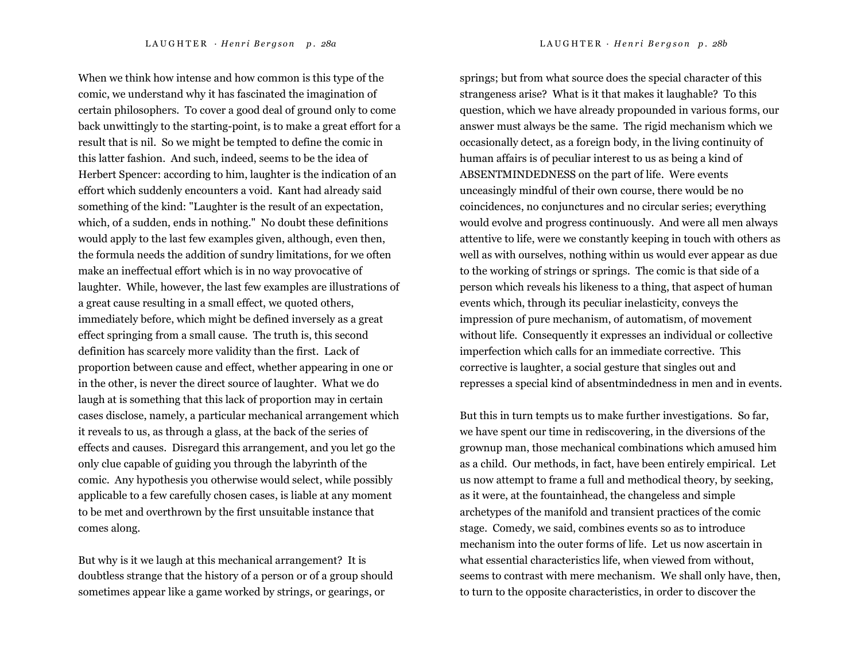When we think how intense and how common is this type of the comic, we understand why it has fascinated the imagination of certain philosophers. To cover a good deal of ground only to come back unwittingly to the starting-point, is to make a great effort for a result that is nil. So we might be tempted to define the comic in this latter fashion. And such, indeed, seems to be the idea of Herbert Spencer: according to him, laughter is the indication of an effort which suddenly encounters a void. Kant had already said something of the kind: "Laughter is the result of an expectation, which, of a sudden, ends in nothing." No doubt these definitions would apply to the last few examples given, although, even then, the formula needs the addition of sundry limitations, for we often make an ineffectual effort which is in no way provocative of laughter. While, however, the last few examples are illustrations of a great cause resulting in a small effect, we quoted others, immediately before, which might be defined inversely as a great effect springing from a small cause. The truth is, this second definition has scarcely more validity than the first. Lack of proportion between cause and effect, whether appearing in one or in the other, is never the direct source of laughter. What we do laugh at is something that this lack of proportion may in certain cases disclose, namely, a particular mechanical arrangement which it reveals to us, as through a glass, at the back of the series of effects and causes. Disregard this arrangement, and you let go the only clue capable of guiding you through the labyrinth of the comic. Any hypothesis you otherwise would select, while possibly applicable to a few carefully chosen cases, is liable at any moment to be met and overthrown by the first unsuitable instance that comes along.

But why is it we laugh at this mechanical arrangement? It is doubtless strange that the history of a person or of a group should sometimes appear like a game worked by strings, or gearings, or

LAUGHTER · Henri Bergson p. 28a LAUGHTER · Henri Bergson p. 28b

springs; but from what source does the special character of this strangeness arise? What is it that makes it laughable? To this question, which we have already propounded in various forms, our answer must always be the same. The rigid mechanism which we occasionally detect, as a foreign body, in the living continuity of human affairs is of peculiar interest to us as being a kind of ABSENTMINDEDNESS on the part of life. Were events unceasingly mindful of their own course, there would be no coincidences, no conjunctures and no circular series; everything would evolve and progress continuously. And were all men always attentive to life, were we constantly keeping in touch with others as well as with ourselves, nothing within us would ever appear as due to the working of strings or springs. The comic is that side of a person which reveals his likeness to a thing, that aspect of human events which, through its peculiar inelasticity, conveys the impression of pure mechanism, of automatism, of movement without life. Consequently it expresses an individual or collective imperfection which calls for an immediate corrective. This corrective is laughter, a social gesture that singles out and represses a special kind of absentmindedness in men and in events.

But this in turn tempts us to make further investigations. So far, we have spent our time in rediscovering, in the diversions of the grownup man, those mechanical combinations which amused him as a child. Our methods, in fact, have been entirely empirical. Let us now attempt to frame a full and methodical theory, by seeking, as it were, at the fountainhead, the changeless and simple archetypes of the manifold and transient practices of the comic stage. Comedy, we said, combines events so as to introduce mechanism into the outer forms of life. Let us now ascertain in what essential characteristics life, when viewed from without, seems to contrast with mere mechanism. We shall only have, then, to turn to the opposite characteristics, in order to discover the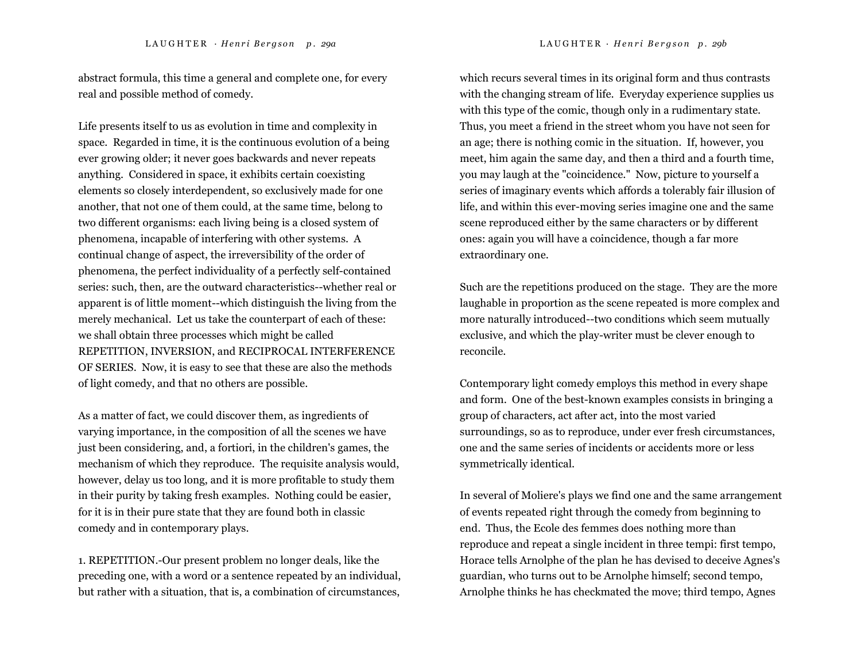abstract formula, this time a general and complete one, for every real and possible method of comedy.

Life presents itself to us as evolution in time and complexity in space. Regarded in time, it is the continuous evolution of a being ever growing older; it never goes backwards and never repeats anything. Considered in space, it exhibits certain coexisting elements so closely interdependent, so exclusively made for one another, that not one of them could, at the same time, belong to two different organisms: each living being is a closed system of phenomena, incapable of interfering with other systems. A continual change of aspect, the irreversibility of the order of phenomena, the perfect individuality of a perfectly self-contained series: such, then, are the outward characteristics--whether real or apparent is of little moment--which distinguish the living from the merely mechanical. Let us take the counterpart of each of these: we shall obtain three processes which might be called REPETITION, INVERSION, and RECIPROCAL INTERFERENCE OF SERIES. Now, it is easy to see that these are also the methods of light comedy, and that no others are possible.

As a matter of fact, we could discover them, as ingredients of varying importance, in the composition of all the scenes we have just been considering, and, a fortiori, in the children's games, the mechanism of which they reproduce. The requisite analysis would, however, delay us too long, and it is more profitable to study them in their purity by taking fresh examples. Nothing could be easier, for it is in their pure state that they are found both in classic comedy and in contemporary plays.

1. REPETITION.-Our present problem no longer deals, like the preceding one, with a word or a sentence repeated by an individual, but rather with a situation, that is, a combination of circumstances, which recurs several times in its original form and thus contrasts with the changing stream of life. Everyday experience supplies us with this type of the comic, though only in a rudimentary state. Thus, you meet a friend in the street whom you have not seen for an age; there is nothing comic in the situation. If, however, you meet, him again the same day, and then a third and a fourth time, you may laugh at the "coincidence." Now, picture to yourself a series of imaginary events which affords a tolerably fair illusion of life, and within this ever-moving series imagine one and the same scene reproduced either by the same characters or by different ones: again you will have a coincidence, though a far more extraordinary one.

Such are the repetitions produced on the stage. They are the more laughable in proportion as the scene repeated is more complex and more naturally introduced--two conditions which seem mutually exclusive, and which the play-writer must be clever enough to reconcile.

Contemporary light comedy employs this method in every shape and form. One of the best-known examples consists in bringing a group of characters, act after act, into the most varied surroundings, so as to reproduce, under ever fresh circumstances, one and the same series of incidents or accidents more or less symmetrically identical.

In several of Moliere's plays we find one and the same arrangement of events repeated right through the comedy from beginning to end. Thus, the Ecole des femmes does nothing more than reproduce and repeat a single incident in three tempi: first tempo, Horace tells Arnolphe of the plan he has devised to deceive Agnes's guardian, who turns out to be Arnolphe himself; second tempo, Arnolphe thinks he has checkmated the move; third tempo, Agnes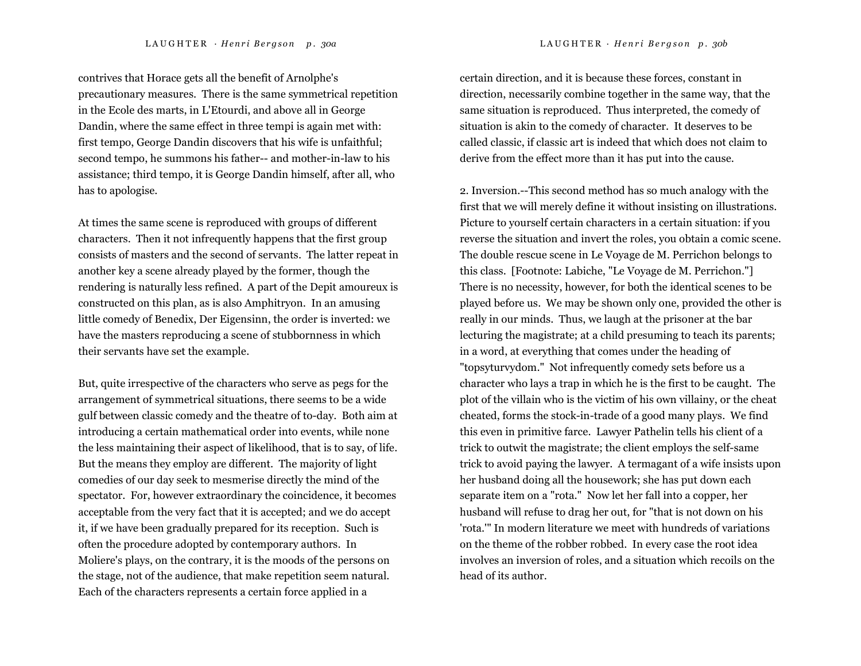contrives that Horace gets all the benefit of Arnolphe's precautionary measures. There is the same symmetrical repetition in the Ecole des marts, in L'Etourdi, and above all in George Dandin, where the same effect in three tempi is again met with: first tempo, George Dandin discovers that his wife is unfaithful; second tempo, he summons his father-- and mother-in-law to his assistance; third tempo, it is George Dandin himself, after all, who has to apologise.

At times the same scene is reproduced with groups of different characters. Then it not infrequently happens that the first group consists of masters and the second of servants. The latter repeat in another key a scene already played by the former, though the rendering is naturally less refined. A part of the Depit amoureux is constructed on this plan, as is also Amphitryon. In an amusing little comedy of Benedix, Der Eigensinn, the order is inverted: we have the masters reproducing a scene of stubbornness in which their servants have set the example.

But, quite irrespective of the characters who serve as pegs for the arrangement of symmetrical situations, there seems to be a wide gulf between classic comedy and the theatre of to-day. Both aim at introducing a certain mathematical order into events, while none the less maintaining their aspect of likelihood, that is to say, of life. But the means they employ are different. The majority of light comedies of our day seek to mesmerise directly the mind of the spectator. For, however extraordinary the coincidence, it becomes acceptable from the very fact that it is accepted; and we do accept it, if we have been gradually prepared for its reception. Such is often the procedure adopted by contemporary authors. In Moliere's plays, on the contrary, it is the moods of the persons on the stage, not of the audience, that make repetition seem natural. Each of the characters represents a certain force applied in a

certain direction, and it is because these forces, constant in direction, necessarily combine together in the same way, that the same situation is reproduced. Thus interpreted, the comedy of situation is akin to the comedy of character. It deserves to be called classic, if classic art is indeed that which does not claim to derive from the effect more than it has put into the cause.

2. Inversion.--This second method has so much analogy with the first that we will merely define it without insisting on illustrations. Picture to yourself certain characters in a certain situation: if you reverse the situation and invert the roles, you obtain a comic scene. The double rescue scene in Le Voyage de M. Perrichon belongs to this class. [Footnote: Labiche, "Le Voyage de M. Perrichon."] There is no necessity, however, for both the identical scenes to be played before us. We may be shown only one, provided the other is really in our minds. Thus, we laugh at the prisoner at the bar lecturing the magistrate; at a child presuming to teach its parents; in a word, at everything that comes under the heading of "topsyturvydom." Not infrequently comedy sets before us a character who lays a trap in which he is the first to be caught. The plot of the villain who is the victim of his own villainy, or the cheat cheated, forms the stock-in-trade of a good many plays. We find this even in primitive farce. Lawyer Pathelin tells his client of a trick to outwit the magistrate; the client employs the self-same trick to avoid paying the lawyer. A termagant of a wife insists upon her husband doing all the housework; she has put down each separate item on a "rota." Now let her fall into a copper, her husband will refuse to drag her out, for "that is not down on his 'rota.'" In modern literature we meet with hundreds of variations on the theme of the robber robbed. In every case the root idea involves an inversion of roles, and a situation which recoils on the head of its author.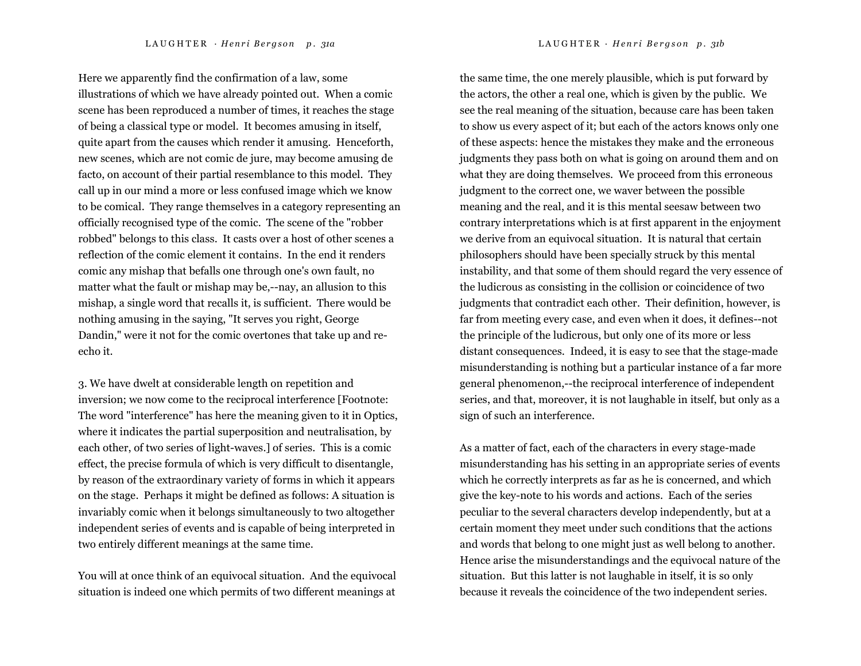Here we apparently find the confirmation of a law, some illustrations of which we have already pointed out. When a comic scene has been reproduced a number of times, it reaches the stage of being a classical type or model. It becomes amusing in itself, quite apart from the causes which render it amusing. Henceforth, new scenes, which are not comic de jure, may become amusing de facto, on account of their partial resemblance to this model. They call up in our mind a more or less confused image which we know to be comical. They range themselves in a category representing an officially recognised type of the comic. The scene of the "robber robbed" belongs to this class. It casts over a host of other scenes a reflection of the comic element it contains. In the end it renders comic any mishap that befalls one through one's own fault, no matter what the fault or mishap may be,--nay, an allusion to this mishap, a single word that recalls it, is sufficient. There would be nothing amusing in the saying, "It serves you right, George Dandin," were it not for the comic overtones that take up and reecho it.

3. We have dwelt at considerable length on repetition and inversion; we now come to the reciprocal interference [Footnote: The word "interference" has here the meaning given to it in Optics, where it indicates the partial superposition and neutralisation, by each other, of two series of light-waves.] of series. This is a comic effect, the precise formula of which is very difficult to disentangle, by reason of the extraordinary variety of forms in which it appears on the stage. Perhaps it might be defined as follows: A situation is invariably comic when it belongs simultaneously to two altogether independent series of events and is capable of being interpreted in two entirely different meanings at the same time.

You will at once think of an equivocal situation. And the equivocal situation is indeed one which permits of two different meanings at

the same time, the one merely plausible, which is put forward by the actors, the other a real one, which is given by the public. We see the real meaning of the situation, because care has been taken to show us every aspect of it; but each of the actors knows only one of these aspects: hence the mistakes they make and the erroneous judgments they pass both on what is going on around them and on what they are doing themselves. We proceed from this erroneous judgment to the correct one, we waver between the possible meaning and the real, and it is this mental seesaw between two contrary interpretations which is at first apparent in the enjoyment we derive from an equivocal situation. It is natural that certain philosophers should have been specially struck by this mental instability, and that some of them should regard the very essence of the ludicrous as consisting in the collision or coincidence of two judgments that contradict each other. Their definition, however, is far from meeting every case, and even when it does, it defines--not the principle of the ludicrous, but only one of its more or less distant consequences. Indeed, it is easy to see that the stage-made misunderstanding is nothing but a particular instance of a far more general phenomenon,--the reciprocal interference of independent series, and that, moreover, it is not laughable in itself, but only as a sign of such an interference.

As a matter of fact, each of the characters in every stage-made misunderstanding has his setting in an appropriate series of events which he correctly interprets as far as he is concerned, and which give the key-note to his words and actions. Each of the series peculiar to the several characters develop independently, but at a certain moment they meet under such conditions that the actions and words that belong to one might just as well belong to another. Hence arise the misunderstandings and the equivocal nature of the situation. But this latter is not laughable in itself, it is so only because it reveals the coincidence of the two independent series.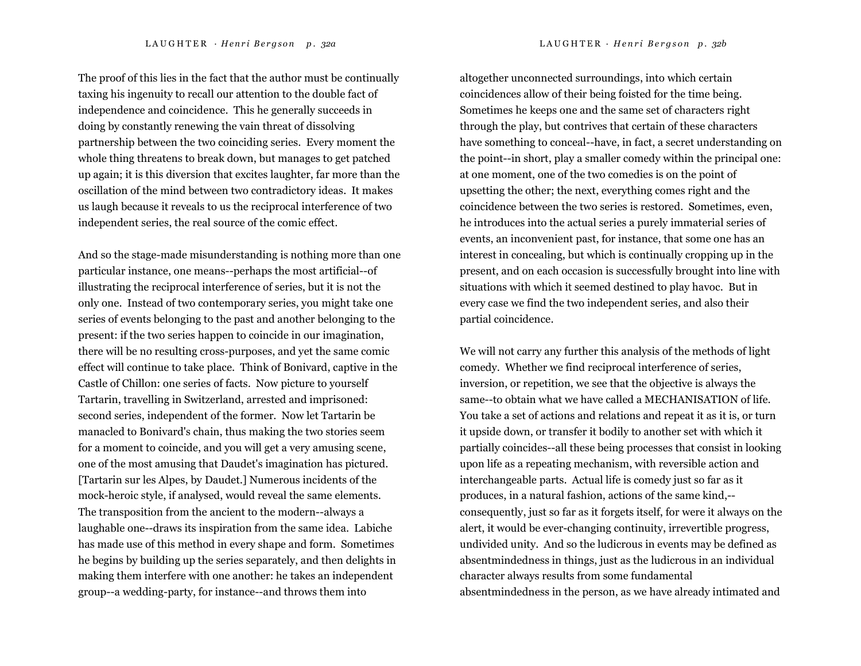The proof of this lies in the fact that the author must be continually taxing his ingenuity to recall our attention to the double fact of independence and coincidence. This he generally succeeds in doing by constantly renewing the vain threat of dissolving partnership between the two coinciding series. Every moment the whole thing threatens to break down, but manages to get patched up again; it is this diversion that excites laughter, far more than the oscillation of the mind between two contradictory ideas. It makes us laugh because it reveals to us the reciprocal interference of two independent series, the real source of the comic effect.

And so the stage-made misunderstanding is nothing more than one particular instance, one means--perhaps the most artificial--of illustrating the reciprocal interference of series, but it is not the only one. Instead of two contemporary series, you might take one series of events belonging to the past and another belonging to the present: if the two series happen to coincide in our imagination, there will be no resulting cross-purposes, and yet the same comic effect will continue to take place. Think of Bonivard, captive in the Castle of Chillon: one series of facts. Now picture to yourself Tartarin, travelling in Switzerland, arrested and imprisoned: second series, independent of the former. Now let Tartarin be manacled to Bonivard's chain, thus making the two stories seem for a moment to coincide, and you will get a very amusing scene, one of the most amusing that Daudet's imagination has pictured. [Tartarin sur les Alpes, by Daudet.] Numerous incidents of the mock-heroic style, if analysed, would reveal the same elements. The transposition from the ancient to the modern--always a laughable one--draws its inspiration from the same idea. Labiche has made use of this method in every shape and form. Sometimes he begins by building up the series separately, and then delights in making them interfere with one another: he takes an independent group--a wedding-party, for instance--and throws them into

altogether unconnected surroundings, into which certain coincidences allow of their being foisted for the time being. Sometimes he keeps one and the same set of characters right through the play, but contrives that certain of these characters have something to conceal--have, in fact, a secret understanding on the point--in short, play a smaller comedy within the principal one: at one moment, one of the two comedies is on the point of upsetting the other; the next, everything comes right and the coincidence between the two series is restored. Sometimes, even, he introduces into the actual series a purely immaterial series of events, an inconvenient past, for instance, that some one has an interest in concealing, but which is continually cropping up in the present, and on each occasion is successfully brought into line with situations with which it seemed destined to play havoc. But in every case we find the two independent series, and also their partial coincidence.

We will not carry any further this analysis of the methods of light comedy. Whether we find reciprocal interference of series, inversion, or repetition, we see that the objective is always the same--to obtain what we have called a MECHANISATION of life. You take a set of actions and relations and repeat it as it is, or turn it upside down, or transfer it bodily to another set with which it partially coincides--all these being processes that consist in looking upon life as a repeating mechanism, with reversible action and interchangeable parts. Actual life is comedy just so far as it produces, in a natural fashion, actions of the same kind,- consequently, just so far as it forgets itself, for were it always on the alert, it would be ever-changing continuity, irrevertible progress, undivided unity. And so the ludicrous in events may be defined as absentmindedness in things, just as the ludicrous in an individual character always results from some fundamental absentmindedness in the person, as we have already intimated and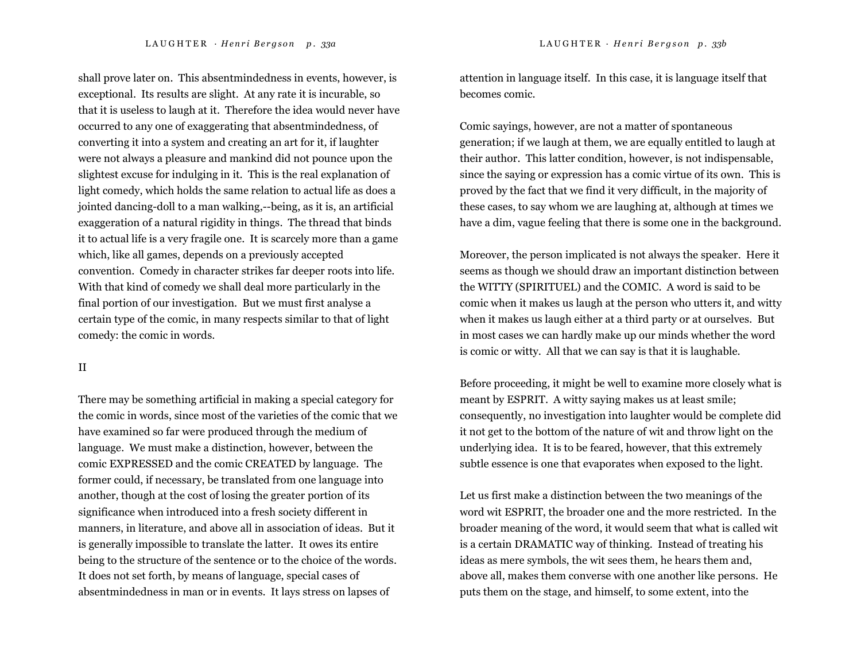shall prove later on. This absentmindedness in events, however, is exceptional. Its results are slight. At any rate it is incurable, so that it is useless to laugh at it. Therefore the idea would never have occurred to any one of exaggerating that absentmindedness, of converting it into a system and creating an art for it, if laughter were not always a pleasure and mankind did not pounce upon the slightest excuse for indulging in it. This is the real explanation of light comedy, which holds the same relation to actual life as does a jointed dancing-doll to a man walking,--being, as it is, an artificial exaggeration of a natural rigidity in things. The thread that binds it to actual life is a very fragile one. It is scarcely more than a game which, like all games, depends on a previously accepted convention. Comedy in character strikes far deeper roots into life. With that kind of comedy we shall deal more particularly in the final portion of our investigation. But we must first analyse a certain type of the comic, in many respects similar to that of light comedy: the comic in words.

#### II

There may be something artificial in making a special category for the comic in words, since most of the varieties of the comic that we have examined so far were produced through the medium of language. We must make a distinction, however, between the comic EXPRESSED and the comic CREATED by language. The former could, if necessary, be translated from one language into another, though at the cost of losing the greater portion of its significance when introduced into a fresh society different in manners, in literature, and above all in association of ideas. But it is generally impossible to translate the latter. It owes its entire being to the structure of the sentence or to the choice of the words. It does not set forth, by means of language, special cases of absentmindedness in man or in events. It lays stress on lapses of

attention in language itself. In this case, it is language itself that becomes comic.

Comic sayings, however, are not a matter of spontaneous generation; if we laugh at them, we are equally entitled to laugh at their author. This latter condition, however, is not indispensable, since the saying or expression has a comic virtue of its own. This is proved by the fact that we find it very difficult, in the majority of these cases, to say whom we are laughing at, although at times we have a dim, vague feeling that there is some one in the background.

Moreover, the person implicated is not always the speaker. Here it seems as though we should draw an important distinction between the WITTY (SPIRITUEL) and the COMIC. A word is said to be comic when it makes us laugh at the person who utters it, and witty when it makes us laugh either at a third party or at ourselves. But in most cases we can hardly make up our minds whether the word is comic or witty. All that we can say is that it is laughable.

Before proceeding, it might be well to examine more closely what is meant by ESPRIT. A witty saying makes us at least smile; consequently, no investigation into laughter would be complete did it not get to the bottom of the nature of wit and throw light on the underlying idea. It is to be feared, however, that this extremely subtle essence is one that evaporates when exposed to the light.

Let us first make a distinction between the two meanings of the word wit ESPRIT, the broader one and the more restricted. In the broader meaning of the word, it would seem that what is called wit is a certain DRAMATIC way of thinking. Instead of treating his ideas as mere symbols, the wit sees them, he hears them and, above all, makes them converse with one another like persons. He puts them on the stage, and himself, to some extent, into the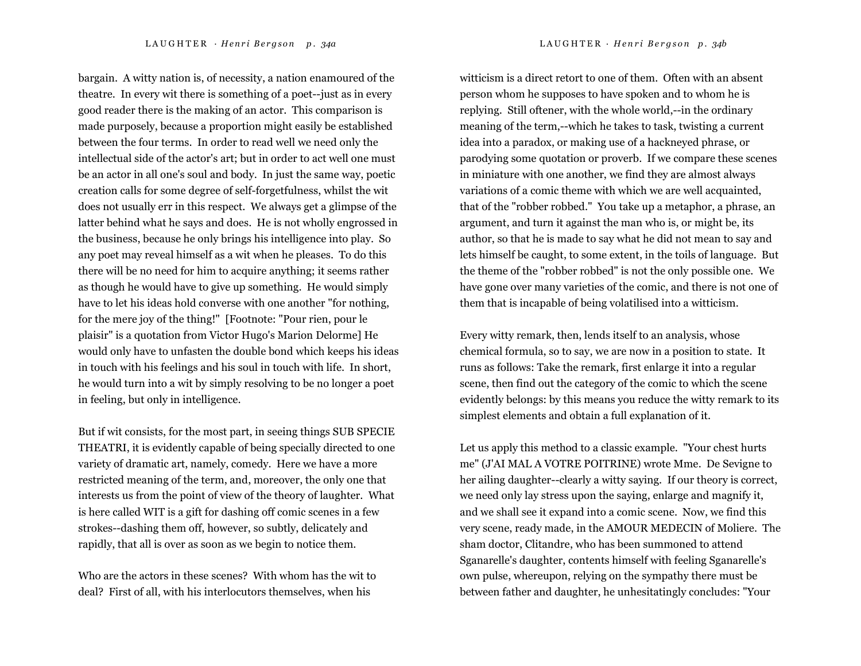bargain. A witty nation is, of necessity, a nation enamoured of the theatre. In every wit there is something of a poet--just as in every

good reader there is the making of an actor. This comparison is made purposely, because a proportion might easily be established between the four terms. In order to read well we need only the intellectual side of the actor's art; but in order to act well one must be an actor in all one's soul and body. In just the same way, poetic creation calls for some degree of self-forgetfulness, whilst the wit does not usually err in this respect. We always get a glimpse of the latter behind what he says and does. He is not wholly engrossed in the business, because he only brings his intelligence into play. So any poet may reveal himself as a wit when he pleases. To do this there will be no need for him to acquire anything; it seems rather as though he would have to give up something. He would simply have to let his ideas hold converse with one another "for nothing, for the mere joy of the thing!" [Footnote: "Pour rien, pour le plaisir" is a quotation from Victor Hugo's Marion Delorme] He would only have to unfasten the double bond which keeps his ideas in touch with his feelings and his soul in touch with life. In short, he would turn into a wit by simply resolving to be no longer a poet in feeling, but only in intelligence.

But if wit consists, for the most part, in seeing things SUB SPECIE THEATRI, it is evidently capable of being specially directed to one variety of dramatic art, namely, comedy. Here we have a more restricted meaning of the term, and, moreover, the only one that interests us from the point of view of the theory of laughter. What is here called WIT is a gift for dashing off comic scenes in a few strokes--dashing them off, however, so subtly, delicately and rapidly, that all is over as soon as we begin to notice them.

Who are the actors in these scenes? With whom has the wit to deal? First of all, with his interlocutors themselves, when his

witticism is a direct retort to one of them. Often with an absent person whom he supposes to have spoken and to whom he is replying. Still oftener, with the whole world,--in the ordinary meaning of the term,--which he takes to task, twisting a current idea into a paradox, or making use of a hackneyed phrase, or parodying some quotation or proverb. If we compare these scenes in miniature with one another, we find they are almost always variations of a comic theme with which we are well acquainted, that of the "robber robbed." You take up a metaphor, a phrase, an argument, and turn it against the man who is, or might be, its author, so that he is made to say what he did not mean to say and lets himself be caught, to some extent, in the toils of language. But the theme of the "robber robbed" is not the only possible one. We have gone over many varieties of the comic, and there is not one of them that is incapable of being volatilised into a witticism.

Every witty remark, then, lends itself to an analysis, whose chemical formula, so to say, we are now in a position to state. It runs as follows: Take the remark, first enlarge it into a regular scene, then find out the category of the comic to which the scene evidently belongs: by this means you reduce the witty remark to its simplest elements and obtain a full explanation of it.

Let us apply this method to a classic example. "Your chest hurts me" (J'AI MAL A VOTRE POITRINE) wrote Mme. De Sevigne to her ailing daughter--clearly a witty saying. If our theory is correct, we need only lay stress upon the saying, enlarge and magnify it, and we shall see it expand into a comic scene. Now, we find this very scene, ready made, in the AMOUR MEDECIN of Moliere. The sham doctor, Clitandre, who has been summoned to attend Sganarelle's daughter, contents himself with feeling Sganarelle's own pulse, whereupon, relying on the sympathy there must be between father and daughter, he unhesitatingly concludes: "Your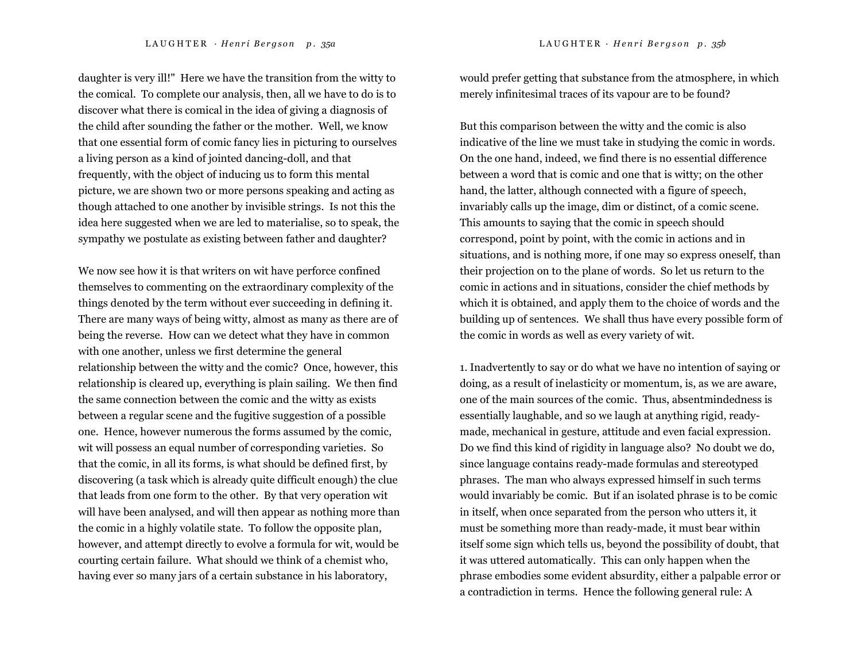daughter is very ill!" Here we have the transition from the witty to the comical. To complete our analysis, then, all we have to do is to discover what there is comical in the idea of giving a diagnosis of the child after sounding the father or the mother. Well, we know that one essential form of comic fancy lies in picturing to ourselves a living person as a kind of jointed dancing-doll, and that frequently, with the object of inducing us to form this mental picture, we are shown two or more persons speaking and acting as though attached to one another by invisible strings. Is not this the idea here suggested when we are led to materialise, so to speak, the sympathy we postulate as existing between father and daughter?

We now see how it is that writers on wit have perforce confined themselves to commenting on the extraordinary complexity of the things denoted by the term without ever succeeding in defining it. There are many ways of being witty, almost as many as there are of being the reverse. How can we detect what they have in common with one another, unless we first determine the general relationship between the witty and the comic? Once, however, this relationship is cleared up, everything is plain sailing. We then find the same connection between the comic and the witty as exists between a regular scene and the fugitive suggestion of a possible one. Hence, however numerous the forms assumed by the comic, wit will possess an equal number of corresponding varieties. So that the comic, in all its forms, is what should be defined first, by discovering (a task which is already quite difficult enough) the clue that leads from one form to the other. By that very operation wit will have been analysed, and will then appear as nothing more than the comic in a highly volatile state. To follow the opposite plan, however, and attempt directly to evolve a formula for wit, would be courting certain failure. What should we think of a chemist who, having ever so many jars of a certain substance in his laboratory,

would prefer getting that substance from the atmosphere, in which merely infinitesimal traces of its vapour are to be found?

But this comparison between the witty and the comic is also indicative of the line we must take in studying the comic in words. On the one hand, indeed, we find there is no essential difference between a word that is comic and one that is witty; on the other hand, the latter, although connected with a figure of speech, invariably calls up the image, dim or distinct, of a comic scene. This amounts to saying that the comic in speech should correspond, point by point, with the comic in actions and in situations, and is nothing more, if one may so express oneself, than their projection on to the plane of words. So let us return to the comic in actions and in situations, consider the chief methods by which it is obtained, and apply them to the choice of words and the building up of sentences. We shall thus have every possible form of the comic in words as well as every variety of wit.

1. Inadvertently to say or do what we have no intention of saying or doing, as a result of inelasticity or momentum, is, as we are aware, one of the main sources of the comic. Thus, absentmindedness is essentially laughable, and so we laugh at anything rigid, readymade, mechanical in gesture, attitude and even facial expression. Do we find this kind of rigidity in language also? No doubt we do, since language contains ready-made formulas and stereotyped phrases. The man who always expressed himself in such terms would invariably be comic. But if an isolated phrase is to be comic in itself, when once separated from the person who utters it, it must be something more than ready-made, it must bear within itself some sign which tells us, beyond the possibility of doubt, that it was uttered automatically. This can only happen when the phrase embodies some evident absurdity, either a palpable error or a contradiction in terms. Hence the following general rule: A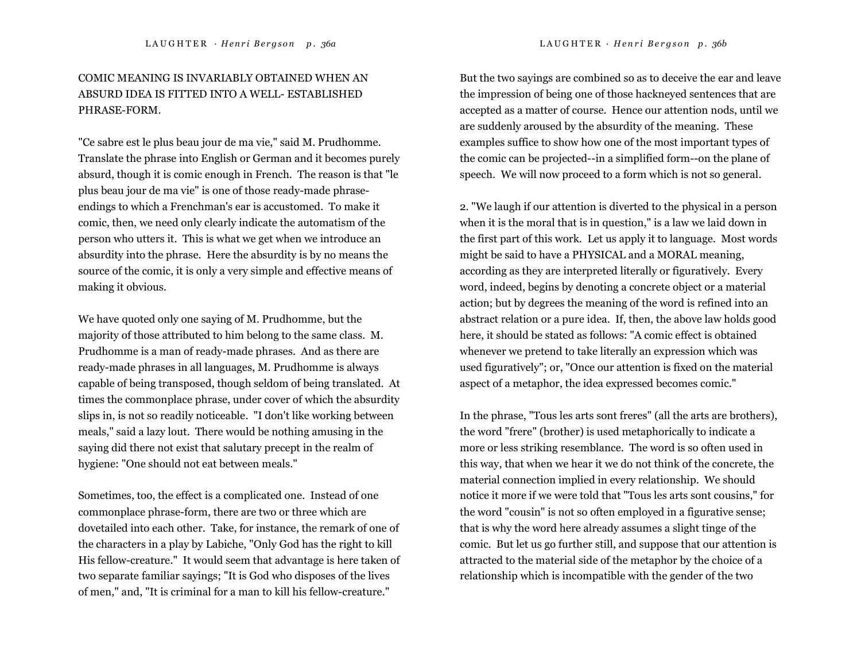# COMIC MEANING IS INVARIABLY OBTAINED WHEN AN ABSURD IDEA IS FITTED INTO A WELL- ESTABLISHED PHRASE-FORM.

"Ce sabre est le plus beau jour de ma vie," said M. Prudhomme. Translate the phrase into English or German and it becomes purely absurd, though it is comic enough in French. The reason is that "le plus beau jour de ma vie" is one of those ready-made phraseendings to which a Frenchman's ear is accustomed. To make it comic, then, we need only clearly indicate the automatism of the person who utters it. This is what we get when we introduce an absurdity into the phrase. Here the absurdity is by no means the source of the comic, it is only a very simple and effective means of making it obvious.

We have quoted only one saying of M. Prudhomme, but the majority of those attributed to him belong to the same class. M. Prudhomme is a man of ready-made phrases. And as there are ready-made phrases in all languages, M. Prudhomme is always capable of being transposed, though seldom of being translated. At times the commonplace phrase, under cover of which the absurdity slips in, is not so readily noticeable. "I don't like working between meals," said a lazy lout. There would be nothing amusing in the saying did there not exist that salutary precept in the realm of hygiene: "One should not eat between meals."

Sometimes, too, the effect is a complicated one. Instead of one commonplace phrase-form, there are two or three which are dovetailed into each other. Take, for instance, the remark of one of the characters in a play by Labiche, "Only God has the right to kill His fellow-creature." It would seem that advantage is here taken of two separate familiar sayings; "It is God who disposes of the lives of men," and, "It is criminal for a man to kill his fellow-creature."

But the two sayings are combined so as to deceive the ear and leave the impression of being one of those hackneyed sentences that are accepted as a matter of course. Hence our attention nods, until we are suddenly aroused by the absurdity of the meaning. These examples suffice to show how one of the most important types of the comic can be projected--in a simplified form--on the plane of speech. We will now proceed to a form which is not so general.

2. "We laugh if our attention is diverted to the physical in a person when it is the moral that is in question," is a law we laid down in the first part of this work. Let us apply it to language. Most words might be said to have a PHYSICAL and a MORAL meaning, according as they are interpreted literally or figuratively. Every word, indeed, begins by denoting a concrete object or a material action; but by degrees the meaning of the word is refined into an abstract relation or a pure idea. If, then, the above law holds good here, it should be stated as follows: "A comic effect is obtained whenever we pretend to take literally an expression which was used figuratively"; or, "Once our attention is fixed on the material aspect of a metaphor, the idea expressed becomes comic."

In the phrase, "Tous les arts sont freres" (all the arts are brothers), the word "frere" (brother) is used metaphorically to indicate a more or less striking resemblance. The word is so often used in this way, that when we hear it we do not think of the concrete, the material connection implied in every relationship. We should notice it more if we were told that "Tous les arts sont cousins," for the word "cousin" is not so often employed in a figurative sense; that is why the word here already assumes a slight tinge of the comic. But let us go further still, and suppose that our attention is attracted to the material side of the metaphor by the choice of a relationship which is incompatible with the gender of the two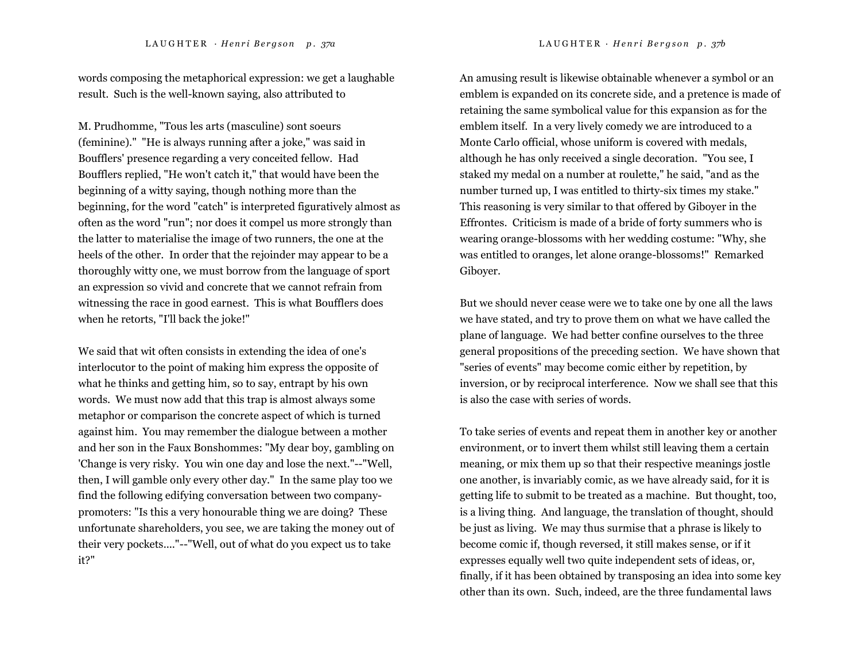words composing the metaphorical expression: we get a laughable result. Such is the well-known saying, also attributed to

M. Prudhomme, "Tous les arts (masculine) sont soeurs (feminine)." "He is always running after a joke," was said in Boufflers' presence regarding a very conceited fellow. Had Boufflers replied, "He won't catch it," that would have been the beginning of a witty saying, though nothing more than the beginning, for the word "catch" is interpreted figuratively almost as often as the word "run"; nor does it compel us more strongly than the latter to materialise the image of two runners, the one at the heels of the other. In order that the rejoinder may appear to be a thoroughly witty one, we must borrow from the language of sport an expression so vivid and concrete that we cannot refrain from witnessing the race in good earnest. This is what Boufflers does when he retorts, "I'll back the joke!"

We said that wit often consists in extending the idea of one's interlocutor to the point of making him express the opposite of what he thinks and getting him, so to say, entrapt by his own words. We must now add that this trap is almost always some metaphor or comparison the concrete aspect of which is turned against him. You may remember the dialogue between a mother and her son in the Faux Bonshommes: "My dear boy, gambling on 'Change is very risky. You win one day and lose the next."--"Well, then, I will gamble only every other day." In the same play too we find the following edifying conversation between two companypromoters: "Is this a very honourable thing we are doing? These unfortunate shareholders, you see, we are taking the money out of their very pockets...."--"Well, out of what do you expect us to take it?"

An amusing result is likewise obtainable whenever a symbol or an emblem is expanded on its concrete side, and a pretence is made of retaining the same symbolical value for this expansion as for the emblem itself. In a very lively comedy we are introduced to a Monte Carlo official, whose uniform is covered with medals, although he has only received a single decoration. "You see, I staked my medal on a number at roulette," he said, "and as the number turned up, I was entitled to thirty-six times my stake." This reasoning is very similar to that offered by Giboyer in the Effrontes. Criticism is made of a bride of forty summers who is wearing orange-blossoms with her wedding costume: "Why, she was entitled to oranges, let alone orange-blossoms!" Remarked Giboyer.

But we should never cease were we to take one by one all the laws we have stated, and try to prove them on what we have called the plane of language. We had better confine ourselves to the three general propositions of the preceding section. We have shown that "series of events" may become comic either by repetition, by inversion, or by reciprocal interference. Now we shall see that this is also the case with series of words.

To take series of events and repeat them in another key or another environment, or to invert them whilst still leaving them a certain meaning, or mix them up so that their respective meanings jostle one another, is invariably comic, as we have already said, for it is getting life to submit to be treated as a machine. But thought, too, is a living thing. And language, the translation of thought, should be just as living. We may thus surmise that a phrase is likely to become comic if, though reversed, it still makes sense, or if it expresses equally well two quite independent sets of ideas, or, finally, if it has been obtained by transposing an idea into some key other than its own. Such, indeed, are the three fundamental laws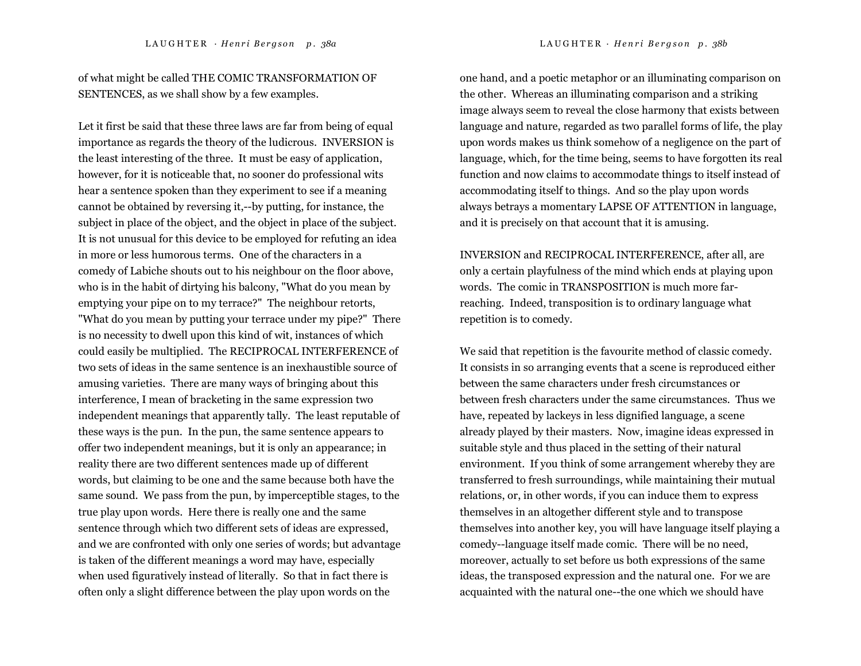of what might be called THE COMIC TRANSFORMATION OF SENTENCES, as we shall show by a few examples.

Let it first be said that these three laws are far from being of equal importance as regards the theory of the ludicrous. INVERSION is the least interesting of the three. It must be easy of application, however, for it is noticeable that, no sooner do professional wits hear a sentence spoken than they experiment to see if a meaning cannot be obtained by reversing it,--by putting, for instance, the subject in place of the object, and the object in place of the subject. It is not unusual for this device to be employed for refuting an idea in more or less humorous terms. One of the characters in a comedy of Labiche shouts out to his neighbour on the floor above, who is in the habit of dirtying his balcony, "What do you mean by emptying your pipe on to my terrace?" The neighbour retorts, "What do you mean by putting your terrace under my pipe?" There is no necessity to dwell upon this kind of wit, instances of which could easily be multiplied. The RECIPROCAL INTERFERENCE of two sets of ideas in the same sentence is an inexhaustible source of amusing varieties. There are many ways of bringing about this interference, I mean of bracketing in the same expression two independent meanings that apparently tally. The least reputable of these ways is the pun. In the pun, the same sentence appears to offer two independent meanings, but it is only an appearance; in reality there are two different sentences made up of different words, but claiming to be one and the same because both have the same sound. We pass from the pun, by imperceptible stages, to the true play upon words. Here there is really one and the same sentence through which two different sets of ideas are expressed, and we are confronted with only one series of words; but advantage is taken of the different meanings a word may have, especially when used figuratively instead of literally. So that in fact there is often only a slight difference between the play upon words on the

one hand, and a poetic metaphor or an illuminating comparison on the other. Whereas an illuminating comparison and a striking image always seem to reveal the close harmony that exists between language and nature, regarded as two parallel forms of life, the play upon words makes us think somehow of a negligence on the part of language, which, for the time being, seems to have forgotten its real function and now claims to accommodate things to itself instead of accommodating itself to things. And so the play upon words always betrays a momentary LAPSE OF ATTENTION in language, and it is precisely on that account that it is amusing.

INVERSION and RECIPROCAL INTERFERENCE, after all, are only a certain playfulness of the mind which ends at playing upon words. The comic in TRANSPOSITION is much more farreaching. Indeed, transposition is to ordinary language what repetition is to comedy.

We said that repetition is the favourite method of classic comedy. It consists in so arranging events that a scene is reproduced either between the same characters under fresh circumstances or between fresh characters under the same circumstances. Thus we have, repeated by lackeys in less dignified language, a scene already played by their masters. Now, imagine ideas expressed in suitable style and thus placed in the setting of their natural environment. If you think of some arrangement whereby they are transferred to fresh surroundings, while maintaining their mutual relations, or, in other words, if you can induce them to express themselves in an altogether different style and to transpose themselves into another key, you will have language itself playing a comedy--language itself made comic. There will be no need, moreover, actually to set before us both expressions of the same ideas, the transposed expression and the natural one. For we are acquainted with the natural one--the one which we should have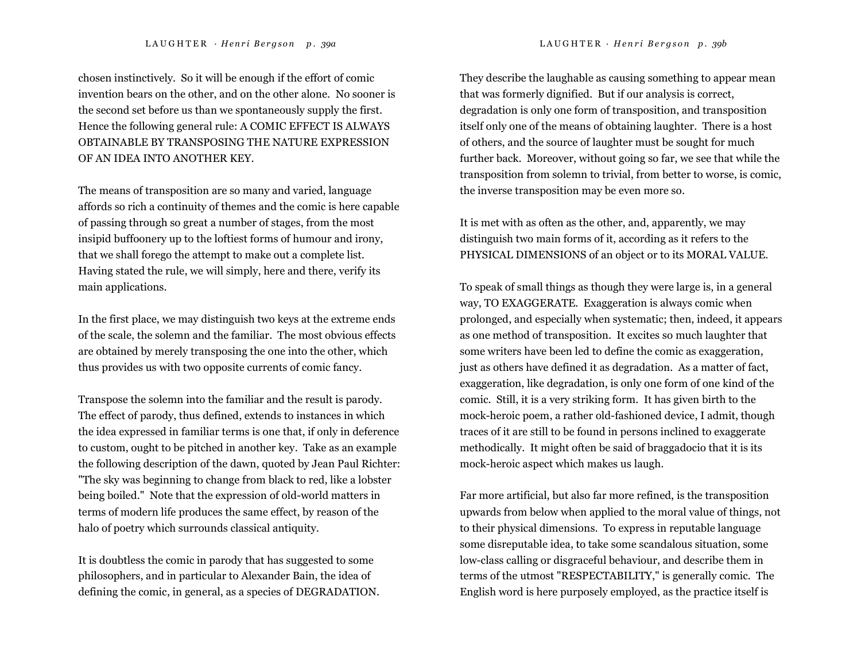chosen instinctively. So it will be enough if the effort of comic invention bears on the other, and on the other alone. No sooner is the second set before us than we spontaneously supply the first. Hence the following general rule: A COMIC EFFECT IS ALWAYS OBTAINABLE BY TRANSPOSING THE NATURE EXPRESSION OF AN IDEA INTO ANOTHER KEY.

The means of transposition are so many and varied, language affords so rich a continuity of themes and the comic is here capable of passing through so great a number of stages, from the most insipid buffoonery up to the loftiest forms of humour and irony, that we shall forego the attempt to make out a complete list. Having stated the rule, we will simply, here and there, verify its main applications.

In the first place, we may distinguish two keys at the extreme ends of the scale, the solemn and the familiar. The most obvious effects are obtained by merely transposing the one into the other, which thus provides us with two opposite currents of comic fancy.

Transpose the solemn into the familiar and the result is parody. The effect of parody, thus defined, extends to instances in which the idea expressed in familiar terms is one that, if only in deference to custom, ought to be pitched in another key. Take as an example the following description of the dawn, quoted by Jean Paul Richter: "The sky was beginning to change from black to red, like a lobster being boiled." Note that the expression of old-world matters in terms of modern life produces the same effect, by reason of the halo of poetry which surrounds classical antiquity.

It is doubtless the comic in parody that has suggested to some philosophers, and in particular to Alexander Bain, the idea of defining the comic, in general, as a species of DEGRADATION. They describe the laughable as causing something to appear mean that was formerly dignified. But if our analysis is correct, degradation is only one form of transposition, and transposition itself only one of the means of obtaining laughter. There is a host of others, and the source of laughter must be sought for much further back. Moreover, without going so far, we see that while the transposition from solemn to trivial, from better to worse, is comic, the inverse transposition may be even more so.

It is met with as often as the other, and, apparently, we may distinguish two main forms of it, according as it refers to the PHYSICAL DIMENSIONS of an object or to its MORAL VALUE.

To speak of small things as though they were large is, in a general way, TO EXAGGERATE. Exaggeration is always comic when prolonged, and especially when systematic; then, indeed, it appears as one method of transposition. It excites so much laughter that some writers have been led to define the comic as exaggeration, just as others have defined it as degradation. As a matter of fact, exaggeration, like degradation, is only one form of one kind of the comic. Still, it is a very striking form. It has given birth to the mock-heroic poem, a rather old-fashioned device, I admit, though traces of it are still to be found in persons inclined to exaggerate methodically. It might often be said of braggadocio that it is its mock-heroic aspect which makes us laugh.

Far more artificial, but also far more refined, is the transposition upwards from below when applied to the moral value of things, not to their physical dimensions. To express in reputable language some disreputable idea, to take some scandalous situation, some low-class calling or disgraceful behaviour, and describe them in terms of the utmost "RESPECTABILITY," is generally comic. The English word is here purposely employed, as the practice itself is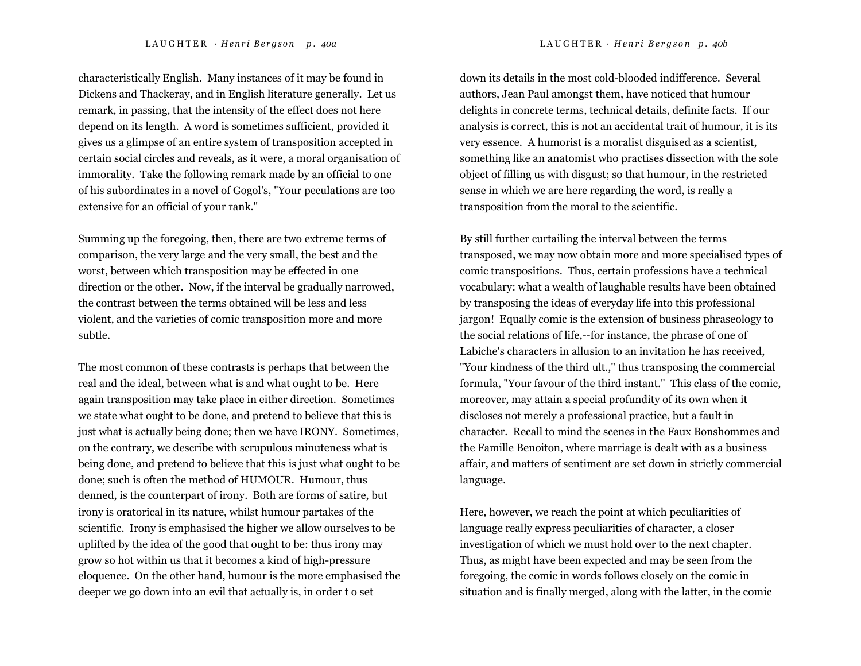characteristically English. Many instances of it may be found in Dickens and Thackeray, and in English literature generally. Let us remark, in passing, that the intensity of the effect does not here depend on its length. A word is sometimes sufficient, provided it gives us a glimpse of an entire system of transposition accepted in certain social circles and reveals, as it were, a moral organisation of immorality. Take the following remark made by an official to one of his subordinates in a novel of Gogol's, "Your peculations are too extensive for an official of your rank."

Summing up the foregoing, then, there are two extreme terms of comparison, the very large and the very small, the best and the worst, between which transposition may be effected in one direction or the other. Now, if the interval be gradually narrowed, the contrast between the terms obtained will be less and less violent, and the varieties of comic transposition more and more subtle.

The most common of these contrasts is perhaps that between the real and the ideal, between what is and what ought to be. Here again transposition may take place in either direction. Sometimes we state what ought to be done, and pretend to believe that this is just what is actually being done; then we have IRONY. Sometimes, on the contrary, we describe with scrupulous minuteness what is being done, and pretend to believe that this is just what ought to be done; such is often the method of HUMOUR. Humour, thus denned, is the counterpart of irony. Both are forms of satire, but irony is oratorical in its nature, whilst humour partakes of the scientific. Irony is emphasised the higher we allow ourselves to be uplifted by the idea of the good that ought to be: thus irony may grow so hot within us that it becomes a kind of high-pressure eloquence. On the other hand, humour is the more emphasised the deeper we go down into an evil that actually is, in order t o set

down its details in the most cold-blooded indifference. Several authors, Jean Paul amongst them, have noticed that humour delights in concrete terms, technical details, definite facts. If our analysis is correct, this is not an accidental trait of humour, it is its very essence. A humorist is a moralist disguised as a scientist, something like an anatomist who practises dissection with the sole object of filling us with disgust; so that humour, in the restricted sense in which we are here regarding the word, is really a transposition from the moral to the scientific.

By still further curtailing the interval between the terms transposed, we may now obtain more and more specialised types of comic transpositions. Thus, certain professions have a technical vocabulary: what a wealth of laughable results have been obtained by transposing the ideas of everyday life into this professional jargon! Equally comic is the extension of business phraseology to the social relations of life,--for instance, the phrase of one of Labiche's characters in allusion to an invitation he has received, "Your kindness of the third ult.," thus transposing the commercial formula, "Your favour of the third instant." This class of the comic, moreover, may attain a special profundity of its own when it discloses not merely a professional practice, but a fault in character. Recall to mind the scenes in the Faux Bonshommes and the Famille Benoiton, where marriage is dealt with as a business affair, and matters of sentiment are set down in strictly commercial language.

Here, however, we reach the point at which peculiarities of language really express peculiarities of character, a closer investigation of which we must hold over to the next chapter. Thus, as might have been expected and may be seen from the foregoing, the comic in words follows closely on the comic in situation and is finally merged, along with the latter, in the comic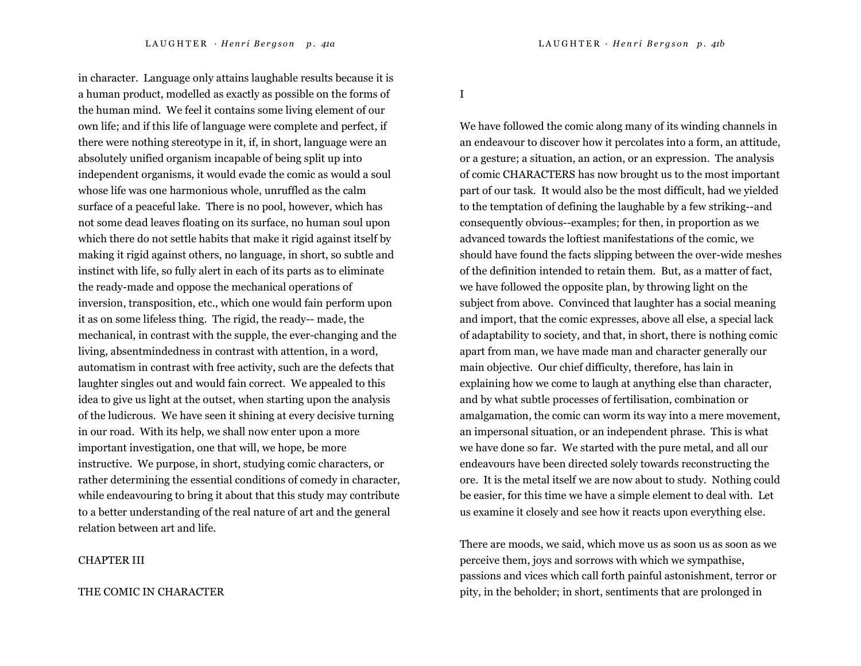in character. Language only attains laughable results because it is a human product, modelled as exactly as possible on the forms of the human mind. We feel it contains some living element of our own life; and if this life of language were complete and perfect, if there were nothing stereotype in it, if, in short, language were an absolutely unified organism incapable of being split up into independent organisms, it would evade the comic as would a soul whose life was one harmonious whole, unruffled as the calm surface of a peaceful lake. There is no pool, however, which has not some dead leaves floating on its surface, no human soul upon which there do not settle habits that make it rigid against itself by making it rigid against others, no language, in short, so subtle and instinct with life, so fully alert in each of its parts as to eliminate the ready-made and oppose the mechanical operations of inversion, transposition, etc., which one would fain perform upon it as on some lifeless thing. The rigid, the ready-- made, the mechanical, in contrast with the supple, the ever-changing and the living, absentmindedness in contrast with attention, in a word, automatism in contrast with free activity, such are the defects that laughter singles out and would fain correct. We appealed to this idea to give us light at the outset, when starting upon the analysis of the ludicrous. We have seen it shining at every decisive turning in our road. With its help, we shall now enter upon a more important investigation, one that will, we hope, be more instructive. We purpose, in short, studying comic characters, or rather determining the essential conditions of comedy in character, while endeavouring to bring it about that this study may contribute to a better understanding of the real nature of art and the general relation between art and life.

#### CHAPTER III

#### THE COMIC IN CHARACTER

I

We have followed the comic along many of its winding channels in an endeavour to discover how it percolates into a form, an attitude, or a gesture; a situation, an action, or an expression. The analysis of comic CHARACTERS has now brought us to the most important part of our task. It would also be the most difficult, had we yielded to the temptation of defining the laughable by a few striking--and consequently obvious--examples; for then, in proportion as we advanced towards the loftiest manifestations of the comic, we should have found the facts slipping between the over-wide meshes of the definition intended to retain them. But, as a matter of fact, we have followed the opposite plan, by throwing light on the subject from above. Convinced that laughter has a social meaning and import, that the comic expresses, above all else, a special lack of adaptability to society, and that, in short, there is nothing comic apart from man, we have made man and character generally our main objective. Our chief difficulty, therefore, has lain in explaining how we come to laugh at anything else than character, and by what subtle processes of fertilisation, combination or amalgamation, the comic can worm its way into a mere movement, an impersonal situation, or an independent phrase. This is what we have done so far. We started with the pure metal, and all our endeavours have been directed solely towards reconstructing the ore. It is the metal itself we are now about to study. Nothing could be easier, for this time we have a simple element to deal with. Let us examine it closely and see how it reacts upon everything else.

There are moods, we said, which move us as soon us as soon as we perceive them, joys and sorrows with which we sympathise, passions and vices which call forth painful astonishment, terror or pity, in the beholder; in short, sentiments that are prolonged in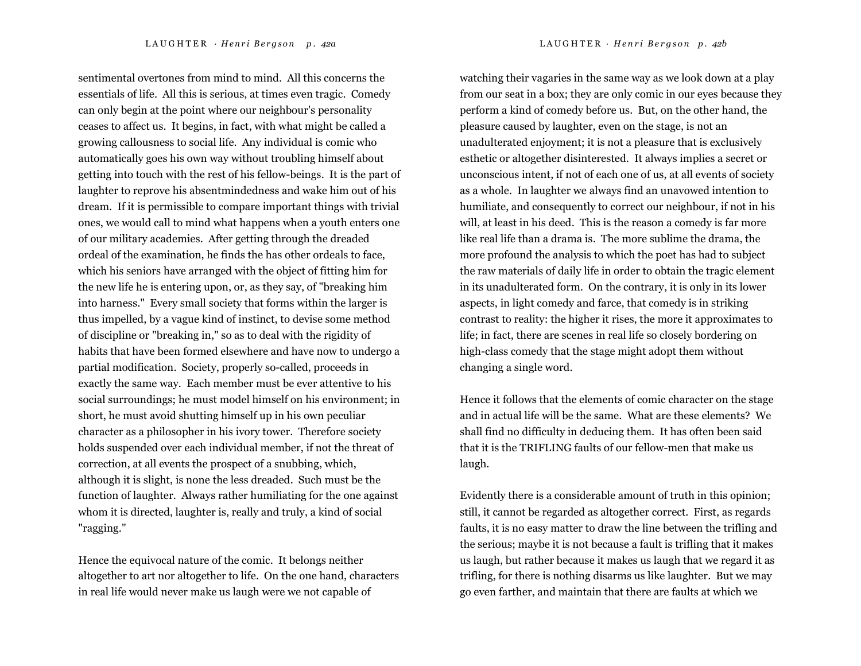LAUGHTER · Henri Bergson p. 42a LAUGHTER · Henri Bergson p. 42b

sentimental overtones from mind to mind. All this concerns the essentials of life. All this is serious, at times even tragic. Comedy can only begin at the point where our neighbour's personality ceases to affect us. It begins, in fact, with what might be called a growing callousness to social life. Any individual is comic who automatically goes his own way without troubling himself about getting into touch with the rest of his fellow-beings. It is the part of laughter to reprove his absentmindedness and wake him out of his dream. If it is permissible to compare important things with trivial ones, we would call to mind what happens when a youth enters one of our military academies. After getting through the dreaded ordeal of the examination, he finds the has other ordeals to face, which his seniors have arranged with the object of fitting him for the new life he is entering upon, or, as they say, of "breaking him into harness." Every small society that forms within the larger is thus impelled, by a vague kind of instinct, to devise some method of discipline or "breaking in," so as to deal with the rigidity of habits that have been formed elsewhere and have now to undergo a partial modification. Society, properly so-called, proceeds in exactly the same way. Each member must be ever attentive to his social surroundings; he must model himself on his environment; in short, he must avoid shutting himself up in his own peculiar character as a philosopher in his ivory tower. Therefore society holds suspended over each individual member, if not the threat of correction, at all events the prospect of a snubbing, which, although it is slight, is none the less dreaded. Such must be the function of laughter. Always rather humiliating for the one against whom it is directed, laughter is, really and truly, a kind of social "ragging."

Hence the equivocal nature of the comic. It belongs neither altogether to art nor altogether to life. On the one hand, characters in real life would never make us laugh were we not capable of

watching their vagaries in the same way as we look down at a play from our seat in a box; they are only comic in our eyes because they perform a kind of comedy before us. But, on the other hand, the pleasure caused by laughter, even on the stage, is not an unadulterated enjoyment; it is not a pleasure that is exclusively esthetic or altogether disinterested. It always implies a secret or unconscious intent, if not of each one of us, at all events of society as a whole. In laughter we always find an unavowed intention to humiliate, and consequently to correct our neighbour, if not in his will, at least in his deed. This is the reason a comedy is far more like real life than a drama is. The more sublime the drama, the more profound the analysis to which the poet has had to subject the raw materials of daily life in order to obtain the tragic element in its unadulterated form. On the contrary, it is only in its lower aspects, in light comedy and farce, that comedy is in striking contrast to reality: the higher it rises, the more it approximates to life; in fact, there are scenes in real life so closely bordering on high-class comedy that the stage might adopt them without changing a single word.

Hence it follows that the elements of comic character on the stage and in actual life will be the same. What are these elements? We shall find no difficulty in deducing them. It has often been said that it is the TRIFLING faults of our fellow-men that make us laugh.

Evidently there is a considerable amount of truth in this opinion; still, it cannot be regarded as altogether correct. First, as regards faults, it is no easy matter to draw the line between the trifling and the serious; maybe it is not because a fault is trifling that it makes us laugh, but rather because it makes us laugh that we regard it as trifling, for there is nothing disarms us like laughter. But we may go even farther, and maintain that there are faults at which we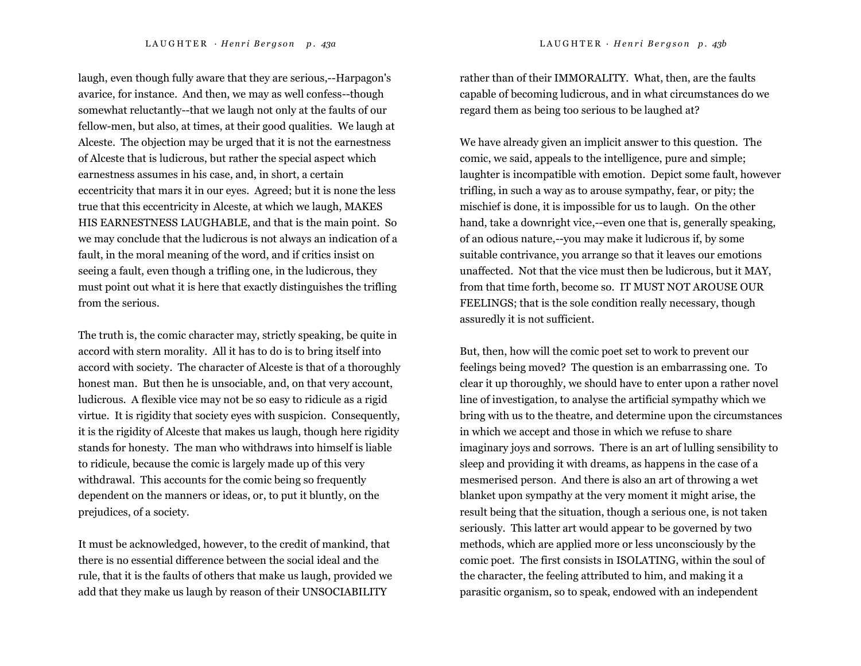laugh, even though fully aware that they are serious,--Harpagon's avarice, for instance. And then, we may as well confess--though somewhat reluctantly--that we laugh not only at the faults of our fellow-men, but also, at times, at their good qualities. We laugh at Alceste. The objection may be urged that it is not the earnestness of Alceste that is ludicrous, but rather the special aspect which earnestness assumes in his case, and, in short, a certain eccentricity that mars it in our eyes. Agreed; but it is none the less true that this eccentricity in Alceste, at which we laugh, MAKES HIS EARNESTNESS LAUGHABLE, and that is the main point. So we may conclude that the ludicrous is not always an indication of a fault, in the moral meaning of the word, and if critics insist on seeing a fault, even though a trifling one, in the ludicrous, they must point out what it is here that exactly distinguishes the trifling from the serious.

The truth is, the comic character may, strictly speaking, be quite in accord with stern morality. All it has to do is to bring itself into accord with society. The character of Alceste is that of a thoroughly honest man. But then he is unsociable, and, on that very account, ludicrous. A flexible vice may not be so easy to ridicule as a rigid virtue. It is rigidity that society eyes with suspicion. Consequently, it is the rigidity of Alceste that makes us laugh, though here rigidity stands for honesty. The man who withdraws into himself is liable to ridicule, because the comic is largely made up of this very withdrawal. This accounts for the comic being so frequently dependent on the manners or ideas, or, to put it bluntly, on the prejudices, of a society.

It must be acknowledged, however, to the credit of mankind, that there is no essential difference between the social ideal and the rule, that it is the faults of others that make us laugh, provided we add that they make us laugh by reason of their UNSOCIABILITY

rather than of their IMMORALITY. What, then, are the faults capable of becoming ludicrous, and in what circumstances do we regard them as being too serious to be laughed at?

We have already given an implicit answer to this question. The comic, we said, appeals to the intelligence, pure and simple; laughter is incompatible with emotion. Depict some fault, however trifling, in such a way as to arouse sympathy, fear, or pity; the mischief is done, it is impossible for us to laugh. On the other hand, take a downright vice,--even one that is, generally speaking, of an odious nature,--you may make it ludicrous if, by some suitable contrivance, you arrange so that it leaves our emotions unaffected. Not that the vice must then be ludicrous, but it MAY, from that time forth, become so. IT MUST NOT AROUSE OUR FEELINGS; that is the sole condition really necessary, though assuredly it is not sufficient.

But, then, how will the comic poet set to work to prevent our feelings being moved? The question is an embarrassing one. To clear it up thoroughly, we should have to enter upon a rather novel line of investigation, to analyse the artificial sympathy which we bring with us to the theatre, and determine upon the circumstances in which we accept and those in which we refuse to share imaginary joys and sorrows. There is an art of lulling sensibility to sleep and providing it with dreams, as happens in the case of a mesmerised person. And there is also an art of throwing a wet blanket upon sympathy at the very moment it might arise, the result being that the situation, though a serious one, is not taken seriously. This latter art would appear to be governed by two methods, which are applied more or less unconsciously by the comic poet. The first consists in ISOLATING, within the soul of the character, the feeling attributed to him, and making it a parasitic organism, so to speak, endowed with an independent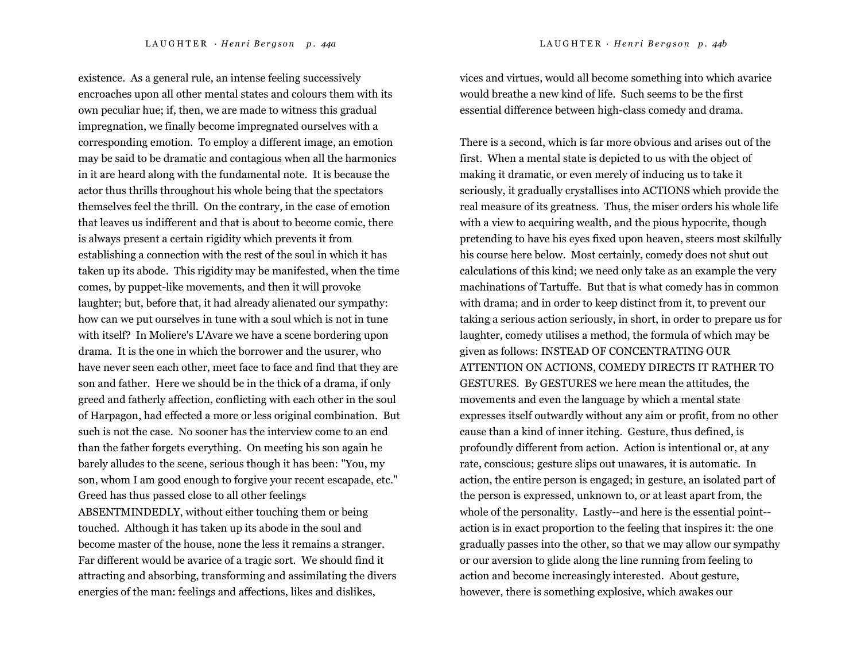existence. As a general rule, an intense feeling successively encroaches upon all other mental states and colours them with its own peculiar hue; if, then, we are made to witness this gradual impregnation, we finally become impregnated ourselves with a corresponding emotion. To employ a different image, an emotion may be said to be dramatic and contagious when all the harmonics in it are heard along with the fundamental note. It is because the actor thus thrills throughout his whole being that the spectators themselves feel the thrill. On the contrary, in the case of emotion that leaves us indifferent and that is about to become comic, there is always present a certain rigidity which prevents it from establishing a connection with the rest of the soul in which it has taken up its abode. This rigidity may be manifested, when the time comes, by puppet-like movements, and then it will provoke laughter; but, before that, it had already alienated our sympathy: how can we put ourselves in tune with a soul which is not in tune with itself? In Moliere's L'Avare we have a scene bordering upon drama. It is the one in which the borrower and the usurer, who have never seen each other, meet face to face and find that they are son and father. Here we should be in the thick of a drama, if only greed and fatherly affection, conflicting with each other in the soul of Harpagon, had effected a more or less original combination. But such is not the case. No sooner has the interview come to an end than the father forgets everything. On meeting his son again he barely alludes to the scene, serious though it has been: "You, my son, whom I am good enough to forgive your recent escapade, etc." Greed has thus passed close to all other feelings ABSENTMINDEDLY, without either touching them or being touched. Although it has taken up its abode in the soul and become master of the house, none the less it remains a stranger. Far different would be avarice of a tragic sort. We should find it attracting and absorbing, transforming and assimilating the divers energies of the man: feelings and affections, likes and dislikes,

vices and virtues, would all become something into which avarice would breathe a new kind of life. Such seems to be the first essential difference between high-class comedy and drama.

There is a second, which is far more obvious and arises out of the first. When a mental state is depicted to us with the object of making it dramatic, or even merely of inducing us to take it seriously, it gradually crystallises into ACTIONS which provide the real measure of its greatness. Thus, the miser orders his whole life with a view to acquiring wealth, and the pious hypocrite, though pretending to have his eyes fixed upon heaven, steers most skilfully his course here below. Most certainly, comedy does not shut out calculations of this kind; we need only take as an example the very machinations of Tartuffe. But that is what comedy has in common with drama; and in order to keep distinct from it, to prevent our taking a serious action seriously, in short, in order to prepare us for laughter, comedy utilises a method, the formula of which may be given as follows: INSTEAD OF CONCENTRATING OUR ATTENTION ON ACTIONS, COMEDY DIRECTS IT RATHER TO GESTURES. By GESTURES we here mean the attitudes, the movements and even the language by which a mental state expresses itself outwardly without any aim or profit, from no other cause than a kind of inner itching. Gesture, thus defined, is profoundly different from action. Action is intentional or, at any rate, conscious; gesture slips out unawares, it is automatic. In action, the entire person is engaged; in gesture, an isolated part of the person is expressed, unknown to, or at least apart from, the whole of the personality. Lastly--and here is the essential point- action is in exact proportion to the feeling that inspires it: the one gradually passes into the other, so that we may allow our sympathy or our aversion to glide along the line running from feeling to action and become increasingly interested. About gesture, however, there is something explosive, which awakes our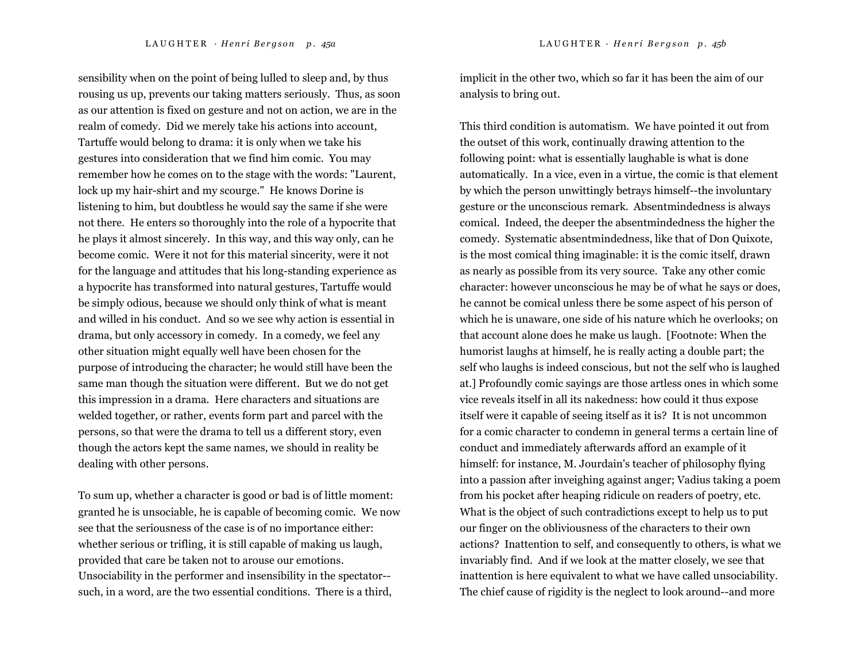sensibility when on the point of being lulled to sleep and, by thus rousing us up, prevents our taking matters seriously. Thus, as soon as our attention is fixed on gesture and not on action, we are in the realm of comedy. Did we merely take his actions into account, Tartuffe would belong to drama: it is only when we take his gestures into consideration that we find him comic. You may remember how he comes on to the stage with the words: "Laurent, lock up my hair-shirt and my scourge." He knows Dorine is listening to him, but doubtless he would say the same if she were not there. He enters so thoroughly into the role of a hypocrite that he plays it almost sincerely. In this way, and this way only, can he become comic. Were it not for this material sincerity, were it not for the language and attitudes that his long-standing experience as a hypocrite has transformed into natural gestures, Tartuffe would be simply odious, because we should only think of what is meant and willed in his conduct. And so we see why action is essential in drama, but only accessory in comedy. In a comedy, we feel any other situation might equally well have been chosen for the purpose of introducing the character; he would still have been the same man though the situation were different. But we do not get this impression in a drama. Here characters and situations are welded together, or rather, events form part and parcel with the persons, so that were the drama to tell us a different story, even though the actors kept the same names, we should in reality be dealing with other persons.

To sum up, whether a character is good or bad is of little moment: granted he is unsociable, he is capable of becoming comic. We now see that the seriousness of the case is of no importance either: whether serious or trifling, it is still capable of making us laugh, provided that care be taken not to arouse our emotions. Unsociability in the performer and insensibility in the spectator- such, in a word, are the two essential conditions. There is a third,

implicit in the other two, which so far it has been the aim of our analysis to bring out.

This third condition is automatism. We have pointed it out from the outset of this work, continually drawing attention to the following point: what is essentially laughable is what is done automatically. In a vice, even in a virtue, the comic is that element by which the person unwittingly betrays himself--the involuntary gesture or the unconscious remark. Absentmindedness is always comical. Indeed, the deeper the absentmindedness the higher the comedy. Systematic absentmindedness, like that of Don Quixote, is the most comical thing imaginable: it is the comic itself, drawn as nearly as possible from its very source. Take any other comic character: however unconscious he may be of what he says or does, he cannot be comical unless there be some aspect of his person of which he is unaware, one side of his nature which he overlooks; on that account alone does he make us laugh. [Footnote: When the humorist laughs at himself, he is really acting a double part; the self who laughs is indeed conscious, but not the self who is laughed at.] Profoundly comic sayings are those artless ones in which some vice reveals itself in all its nakedness: how could it thus expose itself were it capable of seeing itself as it is? It is not uncommon for a comic character to condemn in general terms a certain line of conduct and immediately afterwards afford an example of it himself: for instance, M. Jourdain's teacher of philosophy flying into a passion after inveighing against anger; Vadius taking a poem from his pocket after heaping ridicule on readers of poetry, etc. What is the object of such contradictions except to help us to put our finger on the obliviousness of the characters to their own actions? Inattention to self, and consequently to others, is what we invariably find. And if we look at the matter closely, we see that inattention is here equivalent to what we have called unsociability. The chief cause of rigidity is the neglect to look around--and more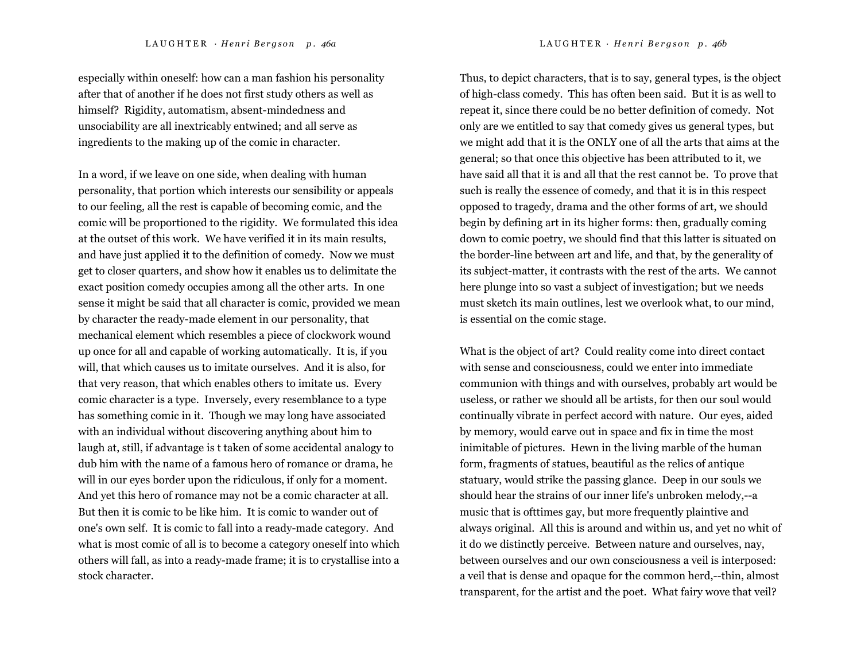especially within oneself: how can a man fashion his personality after that of another if he does not first study others as well as himself? Rigidity, automatism, absent-mindedness and unsociability are all inextricably entwined; and all serve as ingredients to the making up of the comic in character.

In a word, if we leave on one side, when dealing with human personality, that portion which interests our sensibility or appeals to our feeling, all the rest is capable of becoming comic, and the comic will be proportioned to the rigidity. We formulated this idea at the outset of this work. We have verified it in its main results, and have just applied it to the definition of comedy. Now we must get to closer quarters, and show how it enables us to delimitate the exact position comedy occupies among all the other arts. In one sense it might be said that all character is comic, provided we mean by character the ready-made element in our personality, that mechanical element which resembles a piece of clockwork wound up once for all and capable of working automatically. It is, if you will, that which causes us to imitate ourselves. And it is also, for that very reason, that which enables others to imitate us. Every comic character is a type. Inversely, every resemblance to a type has something comic in it. Though we may long have associated with an individual without discovering anything about him to laugh at, still, if advantage is t taken of some accidental analogy to dub him with the name of a famous hero of romance or drama, he will in our eyes border upon the ridiculous, if only for a moment. And yet this hero of romance may not be a comic character at all. But then it is comic to be like him. It is comic to wander out of one's own self. It is comic to fall into a ready-made category. And what is most comic of all is to become a category oneself into which others will fall, as into a ready-made frame; it is to crystallise into a stock character.

Thus, to depict characters, that is to say, general types, is the object of high-class comedy. This has often been said. But it is as well to repeat it, since there could be no better definition of comedy. Not only are we entitled to say that comedy gives us general types, but we might add that it is the ONLY one of all the arts that aims at the general; so that once this objective has been attributed to it, we have said all that it is and all that the rest cannot be. To prove that such is really the essence of comedy, and that it is in this respect opposed to tragedy, drama and the other forms of art, we should begin by defining art in its higher forms: then, gradually coming down to comic poetry, we should find that this latter is situated on the border-line between art and life, and that, by the generality of its subject-matter, it contrasts with the rest of the arts. We cannot here plunge into so vast a subject of investigation; but we needs must sketch its main outlines, lest we overlook what, to our mind, is essential on the comic stage.

What is the object of art? Could reality come into direct contact with sense and consciousness, could we enter into immediate communion with things and with ourselves, probably art would be useless, or rather we should all be artists, for then our soul would continually vibrate in perfect accord with nature. Our eyes, aided by memory, would carve out in space and fix in time the most inimitable of pictures. Hewn in the living marble of the human form, fragments of statues, beautiful as the relics of antique statuary, would strike the passing glance. Deep in our souls we should hear the strains of our inner life's unbroken melody,--a music that is ofttimes gay, but more frequently plaintive and always original. All this is around and within us, and yet no whit of it do we distinctly perceive. Between nature and ourselves, nay, between ourselves and our own consciousness a veil is interposed: a veil that is dense and opaque for the common herd,--thin, almost transparent, for the artist and the poet. What fairy wove that veil?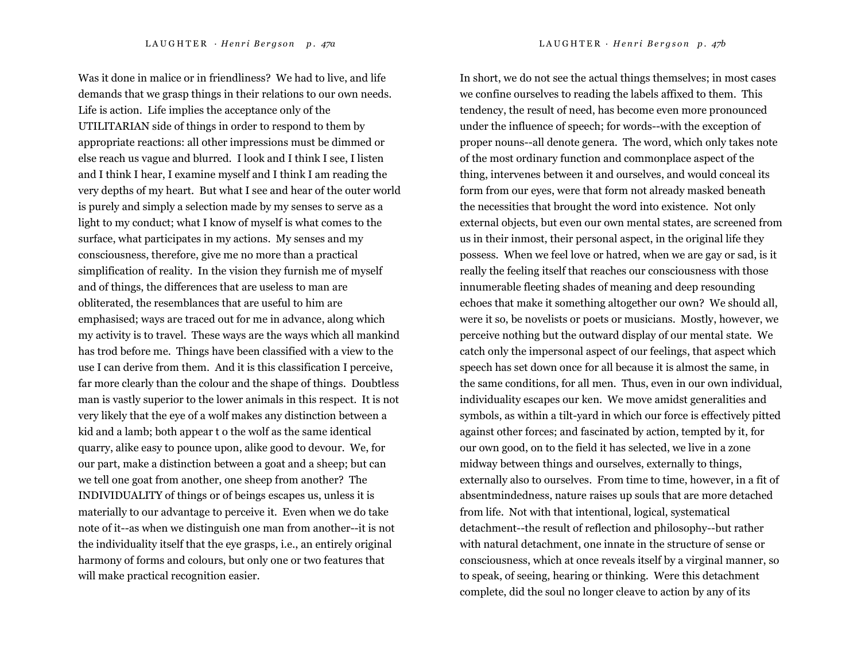L A U G H T E R · *H <sup>e</sup> <sup>n</sup> <sup>r</sup> i B <sup>e</sup> <sup>r</sup> g <sup>s</sup> <sup>o</sup> <sup>n</sup> p . 47a* LAUGHTER *· H <sup>e</sup> <sup>n</sup> <sup>r</sup> i B <sup>e</sup> <sup>r</sup> g <sup>s</sup> <sup>o</sup> <sup>n</sup> p . 47b*  Was it done in malice or in friendliness? We had to live, and life demands that we grasp things in their relations to our own needs. Life is action. Life implies the acceptance only of the UTILITARIAN side of things in order to respond to them by appropriate reactions: all other impressions must be dimmed or

else reach us vague and blurred. I look and I think I see, I listen and I think I hear, I examine myself and I think I am reading the very depths of my heart. But what I see and hear of the outer world is purely and simply a selection made by my senses to serve as a light to my conduct; what I know of myself is what comes to the surface, what participates in my actions. My senses and my consciousness, therefore, give me no more than a practical simplification of reality. In the vision they furnish me of myself and of things, the differences that are useless to man are obliterated, the resemblances that are useful to him are emphasised; ways are traced out for me in advance, along which my activity is to travel. These ways are the ways which all mankind has trod before me. Things have been classified with a view to the use I can derive from them. And it is this classification I perceive, far more clearly than the colour and the shape of things. Doubtless man is vastly superior to the lower animals in this respect. It is not very likely that the eye of a wolf makes any distinction between a kid and a lamb; both appear t o the wolf as the same identical quarry, alike easy to pounce upon, alike good to devour. We, for our part, make a distinction between a goat and a sheep; but can we tell one goat from another, one sheep from another? The INDIVIDUALITY of things or of beings escapes us, unless it is materially to our advantage to perceive it. Even when we do take note of it--as when we distinguish one man from another--it is not the individuality itself that the eye grasps, i.e., an entirely original harmony of forms and colours, but only one or two features that will make practical recognition easier.

In short, we do not see the actual things themselves; in most cases we confine ourselves to reading the labels affixed to them. This tendency, the result of need, has become even more pronounced under the influence of speech; for words--with the exception of proper nouns--all denote genera. The word, which only takes note of the most ordinary function and commonplace aspect of the thing, intervenes between it and ourselves, and would conceal its form from our eyes, were that form not already masked beneath the necessities that brought the word into existence. Not only external objects, but even our own mental states, are screened from us in their inmost, their personal aspect, in the original life they possess. When we feel love or hatred, when we are gay or sad, is it really the feeling itself that reaches our consciousness with those innumerable fleeting shades of meaning and deep resounding echoes that make it something altogether our own? We should all, were it so, be novelists or poets or musicians. Mostly, however, we perceive nothing but the outward display of our mental state. We catch only the impersonal aspect of our feelings, that aspect which speech has set down once for all because it is almost the same, in the same conditions, for all men. Thus, even in our own individual, individuality escapes our ken. We move amidst generalities and symbols, as within a tilt-yard in which our force is effectively pitted against other forces; and fascinated by action, tempted by it, for our own good, on to the field it has selected, we live in a zone midway between things and ourselves, externally to things, externally also to ourselves. From time to time, however, in a fit of absentmindedness, nature raises up souls that are more detached from life. Not with that intentional, logical, systematical detachment--the result of reflection and philosophy--but rather with natural detachment, one innate in the structure of sense or consciousness, which at once reveals itself by a virginal manner, so to speak, of seeing, hearing or thinking. Were this detachment complete, did the soul no longer cleave to action by any of its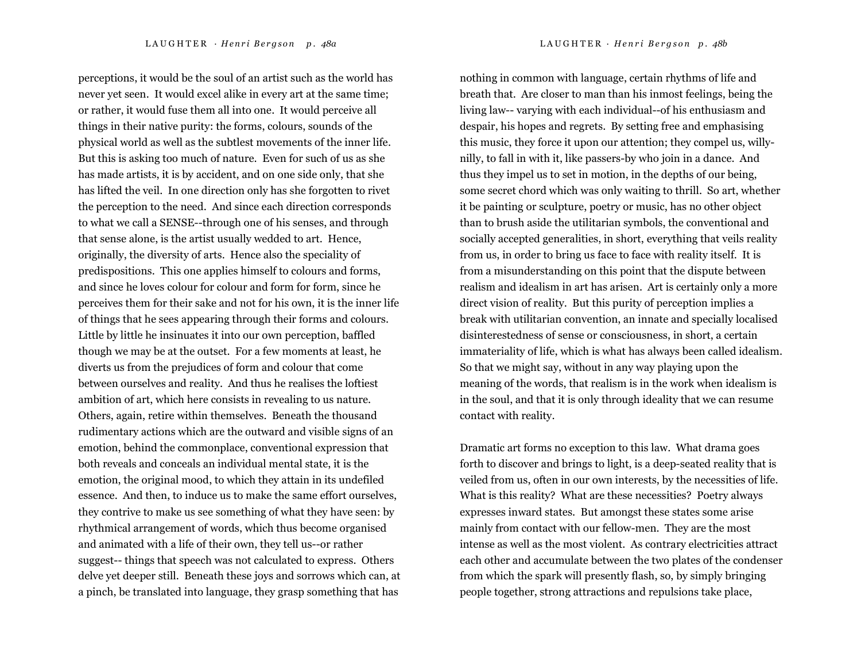perceptions, it would be the soul of an artist such as the world has never yet seen. It would excel alike in every art at the same time; or rather, it would fuse them all into one. It would perceive all things in their native purity: the forms, colours, sounds of the physical world as well as the subtlest movements of the inner life. But this is asking too much of nature. Even for such of us as she has made artists, it is by accident, and on one side only, that she has lifted the veil. In one direction only has she forgotten to rivet the perception to the need. And since each direction corresponds to what we call a SENSE--through one of his senses, and through that sense alone, is the artist usually wedded to art. Hence, originally, the diversity of arts. Hence also the speciality of predispositions. This one applies himself to colours and forms, and since he loves colour for colour and form for form, since he perceives them for their sake and not for his own, it is the inner life of things that he sees appearing through their forms and colours. Little by little he insinuates it into our own perception, baffled though we may be at the outset. For a few moments at least, he diverts us from the prejudices of form and colour that come

between ourselves and reality. And thus he realises the loftiest ambition of art, which here consists in revealing to us nature. Others, again, retire within themselves. Beneath the thousand rudimentary actions which are the outward and visible signs of an emotion, behind the commonplace, conventional expression that both reveals and conceals an individual mental state, it is the emotion, the original mood, to which they attain in its undefiled essence. And then, to induce us to make the same effort ourselves, they contrive to make us see something of what they have seen: by rhythmical arrangement of words, which thus become organised and animated with a life of their own, they tell us--or rather suggest-- things that speech was not calculated to express. Others delve yet deeper still. Beneath these joys and sorrows which can, at a pinch, be translated into language, they grasp something that has

nothing in common with language, certain rhythms of life and breath that. Are closer to man than his inmost feelings, being the living law-- varying with each individual--of his enthusiasm and despair, his hopes and regrets. By setting free and emphasising this music, they force it upon our attention; they compel us, willynilly, to fall in with it, like passers-by who join in a dance. And thus they impel us to set in motion, in the depths of our being, some secret chord which was only waiting to thrill. So art, whether it be painting or sculpture, poetry or music, has no other object than to brush aside the utilitarian symbols, the conventional and socially accepted generalities, in short, everything that veils reality from us, in order to bring us face to face with reality itself. It is from a misunderstanding on this point that the dispute between realism and idealism in art has arisen. Art is certainly only a more direct vision of reality. But this purity of perception implies a break with utilitarian convention, an innate and specially localised disinterestedness of sense or consciousness, in short, a certain immateriality of life, which is what has always been called idealism. So that we might say, without in any way playing upon the meaning of the words, that realism is in the work when idealism is in the soul, and that it is only through ideality that we can resume contact with reality.

Dramatic art forms no exception to this law. What drama goes forth to discover and brings to light, is a deep-seated reality that is veiled from us, often in our own interests, by the necessities of life. What is this reality? What are these necessities? Poetry always expresses inward states. But amongst these states some arise mainly from contact with our fellow-men. They are the most intense as well as the most violent. As contrary electricities attract each other and accumulate between the two plates of the condenser from which the spark will presently flash, so, by simply bringing people together, strong attractions and repulsions take place,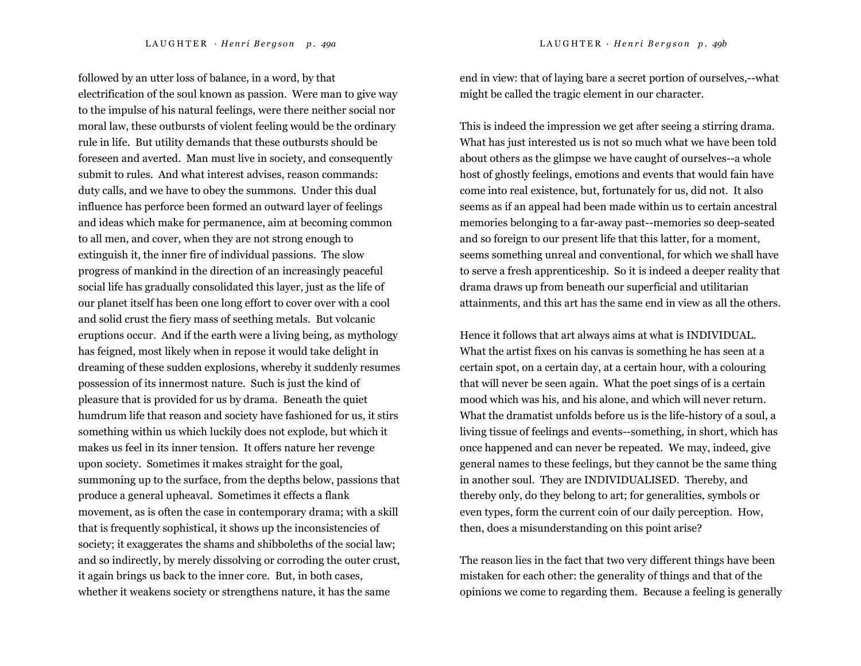followed by an utter loss of balance, in a word, by that electrification of the soul known as passion. Were man to give way to the impulse of his natural feelings, were there neither social nor moral law, these outbursts of violent feeling would be the ordinary rule in life. But utility demands that these outbursts should be foreseen and averted. Man must live in society, and consequently submit to rules. And what interest advises, reason commands: duty calls, and we have to obey the summons. Under this dual influence has perforce been formed an outward layer of feelings and ideas which make for permanence, aim at becoming common to all men, and cover, when they are not strong enough to extinguish it, the inner fire of individual passions. The slow progress of mankind in the direction of an increasingly peaceful social life has gradually consolidated this layer, just as the life of our planet itself has been one long effort to cover over with a cool and solid crust the fiery mass of seething metals. But volcanic eruptions occur. And if the earth were a living being, as mythology has feigned, most likely when in repose it would take delight in dreaming of these sudden explosions, whereby it suddenly resumes possession of its innermost nature. Such is just the kind of pleasure that is provided for us by drama. Beneath the quiet humdrum life that reason and society have fashioned for us, it stirs something within us which luckily does not explode, but which it makes us feel in its inner tension. It offers nature her revenge upon society. Sometimes it makes straight for the goal, summoning up to the surface, from the depths below, passions that produce a general upheaval. Sometimes it effects a flank movement, as is often the case in contemporary drama; with a skill that is frequently sophistical, it shows up the inconsistencies of society; it exaggerates the shams and shibboleths of the social law; and so indirectly, by merely dissolving or corroding the outer crust, it again brings us back to the inner core. But, in both cases, whether it weakens society or strengthens nature, it has the same

end in view: that of laying bare a secret portion of ourselves,--what might be called the tragic element in our character.

This is indeed the impression we get after seeing a stirring drama. What has just interested us is not so much what we have been told about others as the glimpse we have caught of ourselves--a whole host of ghostly feelings, emotions and events that would fain have come into real existence, but, fortunately for us, did not. It also seems as if an appeal had been made within us to certain ancestral memories belonging to a far-away past--memories so deep-seated and so foreign to our present life that this latter, for a moment, seems something unreal and conventional, for which we shall have to serve a fresh apprenticeship. So it is indeed a deeper reality that drama draws up from beneath our superficial and utilitarian attainments, and this art has the same end in view as all the others.

Hence it follows that art always aims at what is INDIVIDUAL. What the artist fixes on his canvas is something he has seen at a certain spot, on a certain day, at a certain hour, with a colouring that will never be seen again. What the poet sings of is a certain mood which was his, and his alone, and which will never return. What the dramatist unfolds before us is the life-history of a soul, a living tissue of feelings and events--something, in short, which has once happened and can never be repeated. We may, indeed, give general names to these feelings, but they cannot be the same thing in another soul. They are INDIVIDUALISED. Thereby, and thereby only, do they belong to art; for generalities, symbols or even types, form the current coin of our daily perception. How, then, does a misunderstanding on this point arise?

The reason lies in the fact that two very different things have been mistaken for each other: the generality of things and that of the opinions we come to regarding them. Because a feeling is generally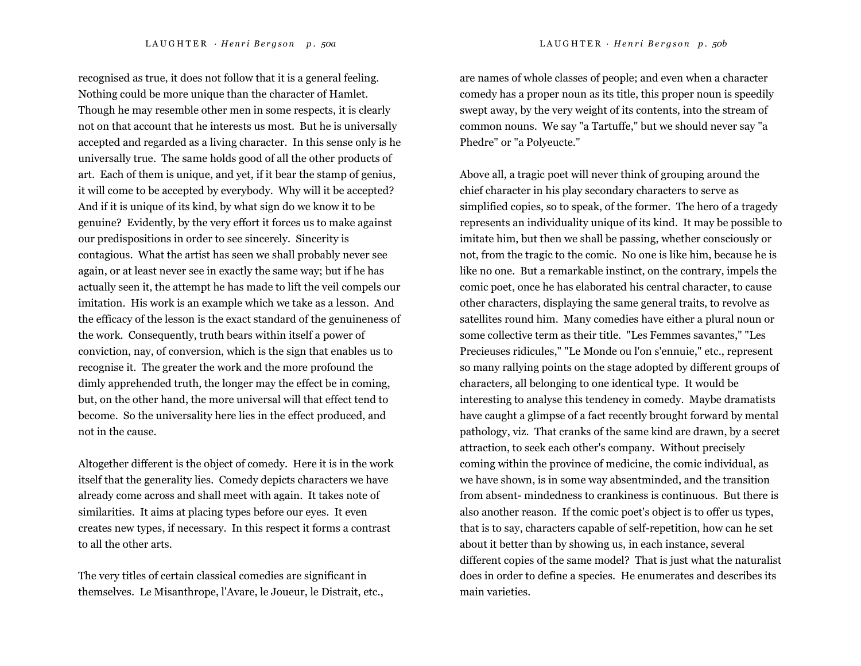recognised as true, it does not follow that it is a general feeling. Nothing could be more unique than the character of Hamlet. Though he may resemble other men in some respects, it is clearly not on that account that he interests us most. But he is universally accepted and regarded as a living character. In this sense only is he universally true. The same holds good of all the other products of art. Each of them is unique, and yet, if it bear the stamp of genius, it will come to be accepted by everybody. Why will it be accepted? And if it is unique of its kind, by what sign do we know it to be genuine? Evidently, by the very effort it forces us to make against our predispositions in order to see sincerely. Sincerity is contagious. What the artist has seen we shall probably never see again, or at least never see in exactly the same way; but if he has actually seen it, the attempt he has made to lift the veil compels our imitation. His work is an example which we take as a lesson. And the efficacy of the lesson is the exact standard of the genuineness of the work. Consequently, truth bears within itself a power of conviction, nay, of conversion, which is the sign that enables us to recognise it. The greater the work and the more profound the dimly apprehended truth, the longer may the effect be in coming, but, on the other hand, the more universal will that effect tend to become. So the universality here lies in the effect produced, and not in the cause.

Altogether different is the object of comedy. Here it is in the work itself that the generality lies. Comedy depicts characters we have already come across and shall meet with again. It takes note of similarities. It aims at placing types before our eyes. It even creates new types, if necessary. In this respect it forms a contrast to all the other arts.

The very titles of certain classical comedies are significant in themselves. Le Misanthrope, l'Avare, le Joueur, le Distrait, etc., are names of whole classes of people; and even when a character comedy has a proper noun as its title, this proper noun is speedily swept away, by the very weight of its contents, into the stream of common nouns. We say "a Tartuffe," but we should never say "a Phedre" or "a Polyeucte."

Above all, a tragic poet will never think of grouping around the chief character in his play secondary characters to serve as simplified copies, so to speak, of the former. The hero of a tragedy represents an individuality unique of its kind. It may be possible to imitate him, but then we shall be passing, whether consciously or not, from the tragic to the comic. No one is like him, because he is like no one. But a remarkable instinct, on the contrary, impels the comic poet, once he has elaborated his central character, to cause other characters, displaying the same general traits, to revolve as satellites round him. Many comedies have either a plural noun or some collective term as their title. "Les Femmes savantes," "Les Precieuses ridicules," "Le Monde ou l'on s'ennuie," etc., represent so many rallying points on the stage adopted by different groups of characters, all belonging to one identical type. It would be interesting to analyse this tendency in comedy. Maybe dramatists have caught a glimpse of a fact recently brought forward by mental pathology, viz. That cranks of the same kind are drawn, by a secret attraction, to seek each other's company. Without precisely coming within the province of medicine, the comic individual, as we have shown, is in some way absentminded, and the transition from absent- mindedness to crankiness is continuous. But there is also another reason. If the comic poet's object is to offer us types, that is to say, characters capable of self-repetition, how can he set about it better than by showing us, in each instance, several different copies of the same model? That is just what the naturalist does in order to define a species. He enumerates and describes its main varieties.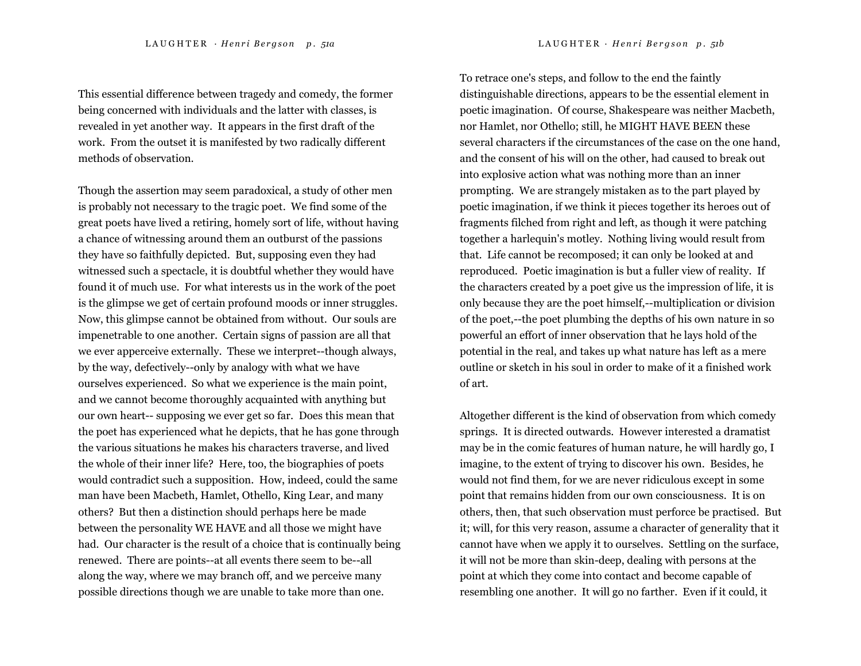This essential difference between tragedy and comedy, the former being concerned with individuals and the latter with classes, is revealed in yet another way. It appears in the first draft of the work. From the outset it is manifested by two radically different methods of observation.

Though the assertion may seem paradoxical, a study of other men is probably not necessary to the tragic poet. We find some of the great poets have lived a retiring, homely sort of life, without having a chance of witnessing around them an outburst of the passions they have so faithfully depicted. But, supposing even they had witnessed such a spectacle, it is doubtful whether they would have found it of much use. For what interests us in the work of the poet is the glimpse we get of certain profound moods or inner struggles. Now, this glimpse cannot be obtained from without. Our souls are impenetrable to one another. Certain signs of passion are all that we ever apperceive externally. These we interpret--though always, by the way, defectively--only by analogy with what we have ourselves experienced. So what we experience is the main point, and we cannot become thoroughly acquainted with anything but our own heart-- supposing we ever get so far. Does this mean that the poet has experienced what he depicts, that he has gone through the various situations he makes his characters traverse, and lived the whole of their inner life? Here, too, the biographies of poets would contradict such a supposition. How, indeed, could the same man have been Macbeth, Hamlet, Othello, King Lear, and many others? But then a distinction should perhaps here be made between the personality WE HAVE and all those we might have had. Our character is the result of a choice that is continually being renewed. There are points--at all events there seem to be--all along the way, where we may branch off, and we perceive many possible directions though we are unable to take more than one.

To retrace one's steps, and follow to the end the faintly distinguishable directions, appears to be the essential element in poetic imagination. Of course, Shakespeare was neither Macbeth, nor Hamlet, nor Othello; still, he MIGHT HAVE BEEN these several characters if the circumstances of the case on the one hand, and the consent of his will on the other, had caused to break out into explosive action what was nothing more than an inner prompting. We are strangely mistaken as to the part played by poetic imagination, if we think it pieces together its heroes out of fragments filched from right and left, as though it were patching together a harlequin's motley. Nothing living would result from that. Life cannot be recomposed; it can only be looked at and reproduced. Poetic imagination is but a fuller view of reality. If the characters created by a poet give us the impression of life, it is only because they are the poet himself,--multiplication or division of the poet,--the poet plumbing the depths of his own nature in so powerful an effort of inner observation that he lays hold of the potential in the real, and takes up what nature has left as a mere outline or sketch in his soul in order to make of it a finished work of art.

Altogether different is the kind of observation from which comedy springs. It is directed outwards. However interested a dramatist may be in the comic features of human nature, he will hardly go, I imagine, to the extent of trying to discover his own. Besides, he would not find them, for we are never ridiculous except in some point that remains hidden from our own consciousness. It is on others, then, that such observation must perforce be practised. But it; will, for this very reason, assume a character of generality that it cannot have when we apply it to ourselves. Settling on the surface, it will not be more than skin-deep, dealing with persons at the point at which they come into contact and become capable of resembling one another. It will go no farther. Even if it could, it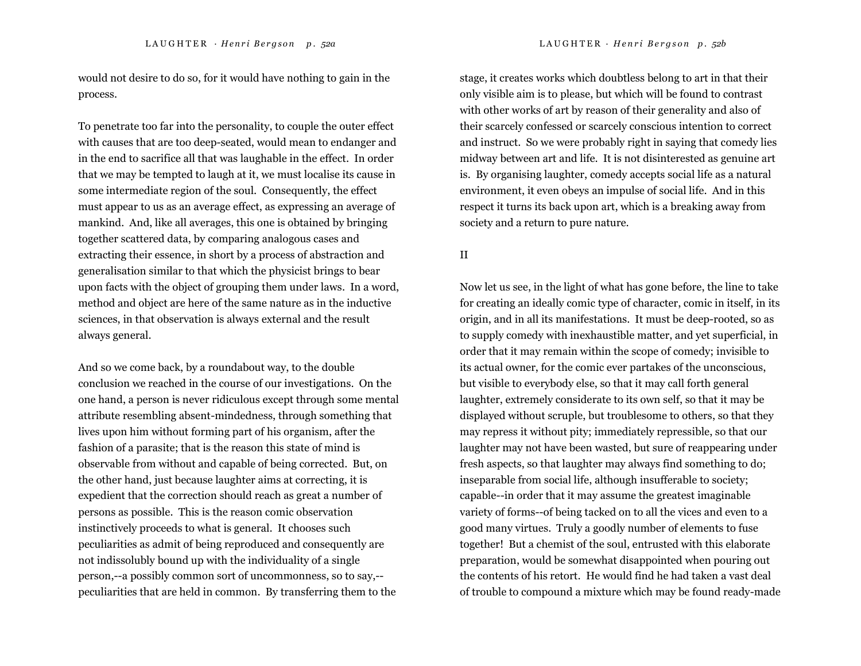would not desire to do so, for it would have nothing to gain in the process.

To penetrate too far into the personality, to couple the outer effect with causes that are too deep-seated, would mean to endanger and in the end to sacrifice all that was laughable in the effect. In order that we may be tempted to laugh at it, we must localise its cause in some intermediate region of the soul. Consequently, the effect must appear to us as an average effect, as expressing an average of mankind. And, like all averages, this one is obtained by bringing together scattered data, by comparing analogous cases and extracting their essence, in short by a process of abstraction and generalisation similar to that which the physicist brings to bear upon facts with the object of grouping them under laws. In a word, method and object are here of the same nature as in the inductive sciences, in that observation is always external and the result always general.

And so we come back, by a roundabout way, to the double conclusion we reached in the course of our investigations. On the one hand, a person is never ridiculous except through some mental attribute resembling absent-mindedness, through something that lives upon him without forming part of his organism, after the fashion of a parasite; that is the reason this state of mind is observable from without and capable of being corrected. But, on the other hand, just because laughter aims at correcting, it is expedient that the correction should reach as great a number of persons as possible. This is the reason comic observation instinctively proceeds to what is general. It chooses such peculiarities as admit of being reproduced and consequently are not indissolubly bound up with the individuality of a single person,--a possibly common sort of uncommonness, so to say,- peculiarities that are held in common. By transferring them to the

stage, it creates works which doubtless belong to art in that their only visible aim is to please, but which will be found to contrast with other works of art by reason of their generality and also of their scarcely confessed or scarcely conscious intention to correct and instruct. So we were probably right in saying that comedy lies midway between art and life. It is not disinterested as genuine art is. By organising laughter, comedy accepts social life as a natural environment, it even obeys an impulse of social life. And in this respect it turns its back upon art, which is a breaking away from society and a return to pure nature.

### II

Now let us see, in the light of what has gone before, the line to take for creating an ideally comic type of character, comic in itself, in its origin, and in all its manifestations. It must be deep-rooted, so as to supply comedy with inexhaustible matter, and yet superficial, in order that it may remain within the scope of comedy; invisible to its actual owner, for the comic ever partakes of the unconscious, but visible to everybody else, so that it may call forth general laughter, extremely considerate to its own self, so that it may be displayed without scruple, but troublesome to others, so that they may repress it without pity; immediately repressible, so that our laughter may not have been wasted, but sure of reappearing under fresh aspects, so that laughter may always find something to do; inseparable from social life, although insufferable to society; capable--in order that it may assume the greatest imaginable variety of forms--of being tacked on to all the vices and even to a good many virtues. Truly a goodly number of elements to fuse together! But a chemist of the soul, entrusted with this elaborate preparation, would be somewhat disappointed when pouring out the contents of his retort. He would find he had taken a vast deal of trouble to compound a mixture which may be found ready-made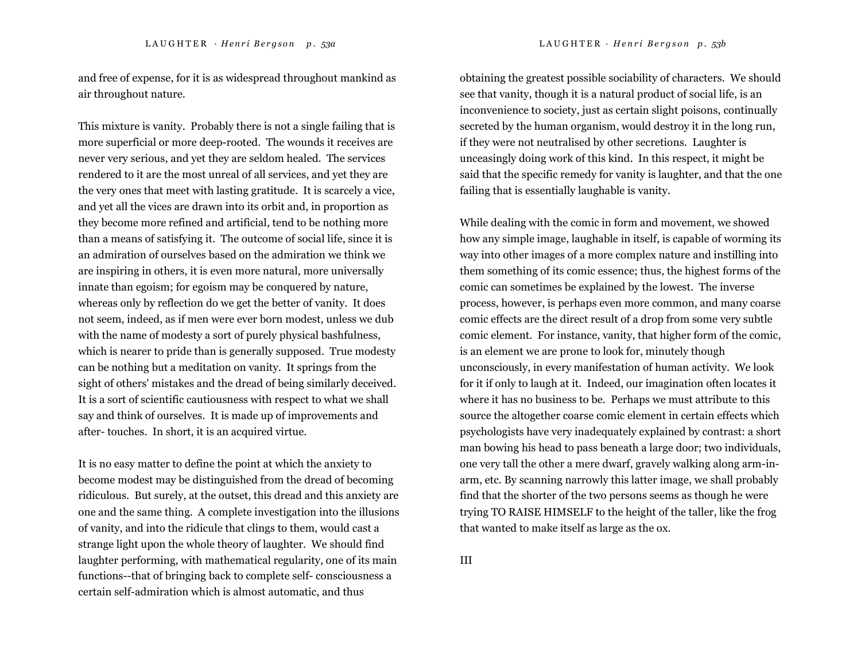and free of expense, for it is as widespread throughout mankind as air throughout nature.

This mixture is vanity. Probably there is not a single failing that is more superficial or more deep-rooted. The wounds it receives are never very serious, and yet they are seldom healed. The services rendered to it are the most unreal of all services, and yet they are the very ones that meet with lasting gratitude. It is scarcely a vice, and yet all the vices are drawn into its orbit and, in proportion as they become more refined and artificial, tend to be nothing more than a means of satisfying it. The outcome of social life, since it is an admiration of ourselves based on the admiration we think we are inspiring in others, it is even more natural, more universally innate than egoism; for egoism may be conquered by nature, whereas only by reflection do we get the better of vanity. It does not seem, indeed, as if men were ever born modest, unless we dub with the name of modesty a sort of purely physical bashfulness, which is nearer to pride than is generally supposed. True modesty can be nothing but a meditation on vanity. It springs from the sight of others' mistakes and the dread of being similarly deceived. It is a sort of scientific cautiousness with respect to what we shall say and think of ourselves. It is made up of improvements and after- touches. In short, it is an acquired virtue.

It is no easy matter to define the point at which the anxiety to become modest may be distinguished from the dread of becoming ridiculous. But surely, at the outset, this dread and this anxiety are one and the same thing. A complete investigation into the illusions of vanity, and into the ridicule that clings to them, would cast a strange light upon the whole theory of laughter. We should find laughter performing, with mathematical regularity, one of its main functions--that of bringing back to complete self- consciousness a certain self-admiration which is almost automatic, and thus

obtaining the greatest possible sociability of characters. We should see that vanity, though it is a natural product of social life, is an inconvenience to society, just as certain slight poisons, continually secreted by the human organism, would destroy it in the long run, if they were not neutralised by other secretions. Laughter is unceasingly doing work of this kind. In this respect, it might be said that the specific remedy for vanity is laughter, and that the one failing that is essentially laughable is vanity.

While dealing with the comic in form and movement, we showed how any simple image, laughable in itself, is capable of worming its way into other images of a more complex nature and instilling into them something of its comic essence; thus, the highest forms of the comic can sometimes be explained by the lowest. The inverse process, however, is perhaps even more common, and many coarse comic effects are the direct result of a drop from some very subtle comic element. For instance, vanity, that higher form of the comic, is an element we are prone to look for, minutely though unconsciously, in every manifestation of human activity. We look for it if only to laugh at it. Indeed, our imagination often locates it where it has no business to be. Perhaps we must attribute to this source the altogether coarse comic element in certain effects which psychologists have very inadequately explained by contrast: a short man bowing his head to pass beneath a large door; two individuals, one very tall the other a mere dwarf, gravely walking along arm-inarm, etc. By scanning narrowly this latter image, we shall probably find that the shorter of the two persons seems as though he were trying TO RAISE HIMSELF to the height of the taller, like the frog that wanted to make itself as large as the ox.

III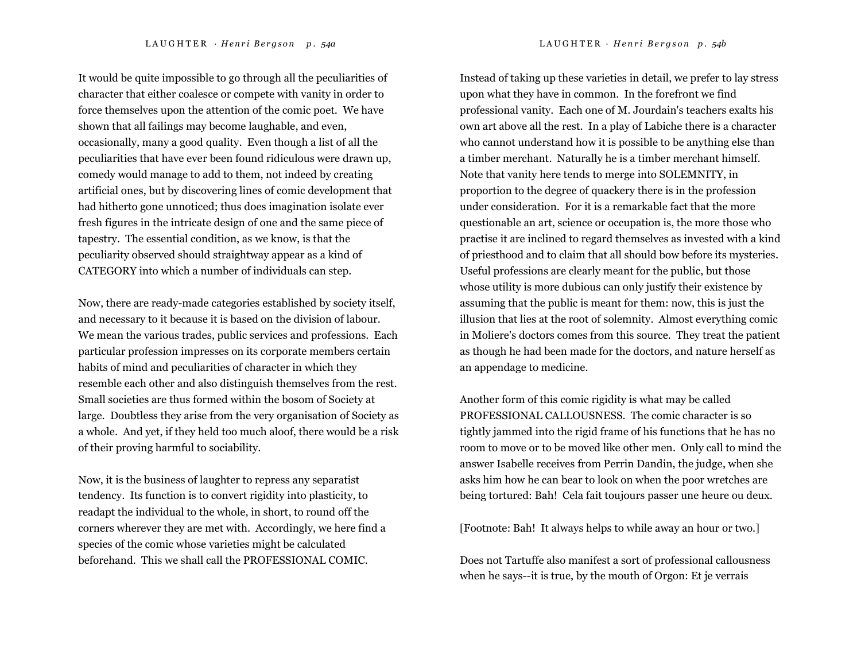It would be quite impossible to go through all the peculiarities of character that either coalesce or compete with vanity in order to force themselves upon the attention of the comic poet. We have shown that all failings may become laughable, and even, occasionally, many a good quality. Even though a list of all the peculiarities that have ever been found ridiculous were drawn up, comedy would manage to add to them, not indeed by creating artificial ones, but by discovering lines of comic development that had hitherto gone unnoticed; thus does imagination isolate ever fresh figures in the intricate design of one and the same piece of tapestry. The essential condition, as we know, is that the peculiarity observed should straightway appear as a kind of CATEGORY into which a number of individuals can step.

Now, there are ready-made categories established by society itself, and necessary to it because it is based on the division of labour. We mean the various trades, public services and professions. Each particular profession impresses on its corporate members certain habits of mind and peculiarities of character in which they resemble each other and also distinguish themselves from the rest. Small societies are thus formed within the bosom of Society at large. Doubtless they arise from the very organisation of Society as a whole. And yet, if they held too much aloof, there would be a risk of their proving harmful to sociability.

Now, it is the business of laughter to repress any separatist tendency. Its function is to convert rigidity into plasticity, to readapt the individual to the whole, in short, to round off the corners wherever they are met with. Accordingly, we here find a species of the comic whose varieties might be calculated beforehand. This we shall call the PROFESSIONAL COMIC.

Instead of taking up these varieties in detail, we prefer to lay stress upon what they have in common. In the forefront we find professional vanity. Each one of M. Jourdain's teachers exalts his own art above all the rest. In a play of Labiche there is a character who cannot understand how it is possible to be anything else than a timber merchant. Naturally he is a timber merchant himself. Note that vanity here tends to merge into SOLEMNITY, in proportion to the degree of quackery there is in the profession under consideration. For it is a remarkable fact that the more questionable an art, science or occupation is, the more those who practise it are inclined to regard themselves as invested with a kind of priesthood and to claim that all should bow before its mysteries. Useful professions are clearly meant for the public, but those whose utility is more dubious can only justify their existence by assuming that the public is meant for them: now, this is just the illusion that lies at the root of solemnity. Almost everything comic in Moliere's doctors comes from this source. They treat the patient as though he had been made for the doctors, and nature herself as an appendage to medicine.

Another form of this comic rigidity is what may be called PROFESSIONAL CALLOUSNESS. The comic character is so tightly jammed into the rigid frame of his functions that he has no room to move or to be moved like other men. Only call to mind the answer Isabelle receives from Perrin Dandin, the judge, when she asks him how he can bear to look on when the poor wretches are being tortured: Bah! Cela fait toujours passer une heure ou deux.

[Footnote: Bah! It always helps to while away an hour or two.]

Does not Tartuffe also manifest a sort of professional callousness when he says--it is true, by the mouth of Orgon: Et je verrais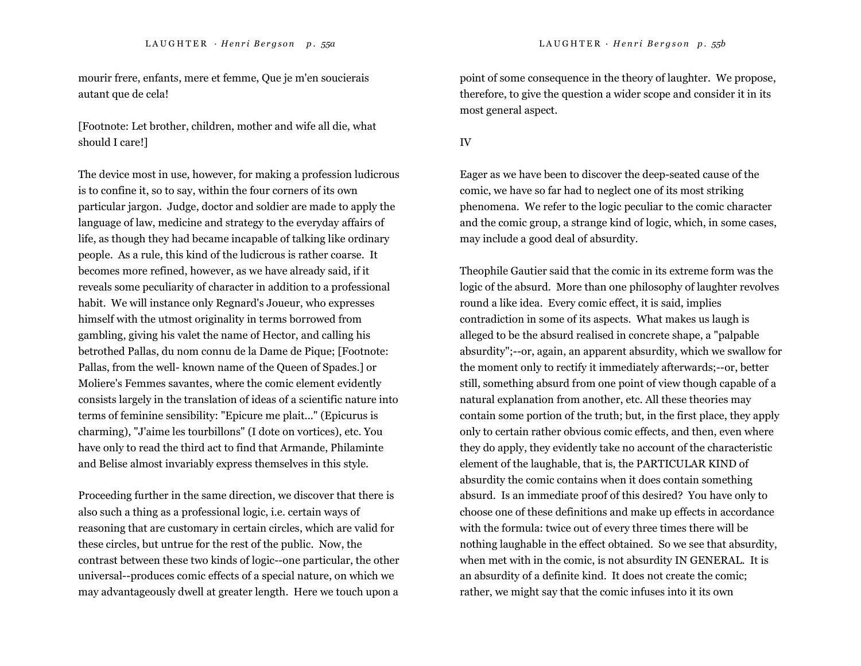mourir frere, enfants, mere et femme, Que je m'en soucierais autant que de cela!

[Footnote: Let brother, children, mother and wife all die, what should I care!]

The device most in use, however, for making a profession ludicrous is to confine it, so to say, within the four corners of its own particular jargon. Judge, doctor and soldier are made to apply the language of law, medicine and strategy to the everyday affairs of life, as though they had became incapable of talking like ordinary people. As a rule, this kind of the ludicrous is rather coarse. It becomes more refined, however, as we have already said, if it reveals some peculiarity of character in addition to a professional habit. We will instance only Regnard's Joueur, who expresses himself with the utmost originality in terms borrowed from gambling, giving his valet the name of Hector, and calling his betrothed Pallas, du nom connu de la Dame de Pique; [Footnote: Pallas, from the well- known name of the Queen of Spades.] or Moliere's Femmes savantes, where the comic element evidently consists largely in the translation of ideas of a scientific nature into terms of feminine sensibility: "Epicure me plait..." (Epicurus is charming), "J'aime les tourbillons" (I dote on vortices), etc. You have only to read the third act to find that Armande, Philaminte and Belise almost invariably express themselves in this style.

Proceeding further in the same direction, we discover that there is also such a thing as a professional logic, i.e. certain ways of reasoning that are customary in certain circles, which are valid for these circles, but untrue for the rest of the public. Now, the contrast between these two kinds of logic--one particular, the other universal--produces comic effects of a special nature, on which we may advantageously dwell at greater length. Here we touch upon a

point of some consequence in the theory of laughter. We propose, therefore, to give the question a wider scope and consider it in its most general aspect.

#### IV

Eager as we have been to discover the deep-seated cause of the comic, we have so far had to neglect one of its most striking phenomena. We refer to the logic peculiar to the comic character and the comic group, a strange kind of logic, which, in some cases, may include a good deal of absurdity.

Theophile Gautier said that the comic in its extreme form was the logic of the absurd. More than one philosophy of laughter revolves round a like idea. Every comic effect, it is said, implies contradiction in some of its aspects. What makes us laugh is alleged to be the absurd realised in concrete shape, a "palpable absurdity";--or, again, an apparent absurdity, which we swallow for the moment only to rectify it immediately afterwards;--or, better still, something absurd from one point of view though capable of a natural explanation from another, etc. All these theories may contain some portion of the truth; but, in the first place, they apply only to certain rather obvious comic effects, and then, even where they do apply, they evidently take no account of the characteristic element of the laughable, that is, the PARTICULAR KIND of absurdity the comic contains when it does contain something absurd. Is an immediate proof of this desired? You have only to choose one of these definitions and make up effects in accordance with the formula: twice out of every three times there will be nothing laughable in the effect obtained. So we see that absurdity, when met with in the comic, is not absurdity IN GENERAL. It is an absurdity of a definite kind. It does not create the comic; rather, we might say that the comic infuses into it its own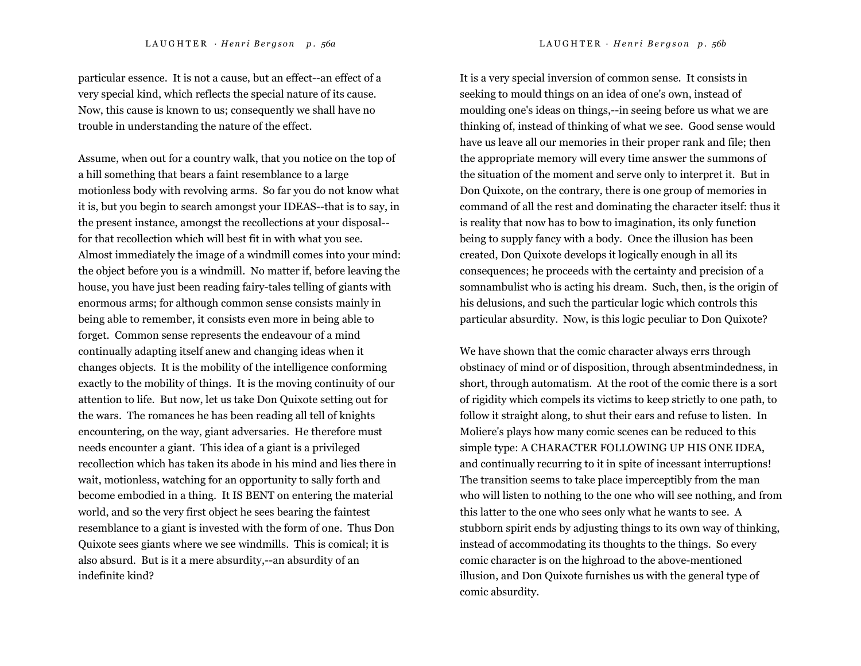particular essence. It is not a cause, but an effect--an effect of a very special kind, which reflects the special nature of its cause. Now, this cause is known to us; consequently we shall have no trouble in understanding the nature of the effect.

Assume, when out for a country walk, that you notice on the top of a hill something that bears a faint resemblance to a large motionless body with revolving arms. So far you do not know what it is, but you begin to search amongst your IDEAS--that is to say, in the present instance, amongst the recollections at your disposal- for that recollection which will best fit in with what you see. Almost immediately the image of a windmill comes into your mind: the object before you is a windmill. No matter if, before leaving the house, you have just been reading fairy-tales telling of giants with enormous arms; for although common sense consists mainly in being able to remember, it consists even more in being able to forget. Common sense represents the endeavour of a mind continually adapting itself anew and changing ideas when it changes objects. It is the mobility of the intelligence conforming exactly to the mobility of things. It is the moving continuity of our attention to life. But now, let us take Don Quixote setting out for the wars. The romances he has been reading all tell of knights encountering, on the way, giant adversaries. He therefore must needs encounter a giant. This idea of a giant is a privileged recollection which has taken its abode in his mind and lies there in wait, motionless, watching for an opportunity to sally forth and become embodied in a thing. It IS BENT on entering the material world, and so the very first object he sees bearing the faintest resemblance to a giant is invested with the form of one. Thus Don Quixote sees giants where we see windmills. This is comical; it is also absurd. But is it a mere absurdity,--an absurdity of an indefinite kind?

It is a very special inversion of common sense. It consists in seeking to mould things on an idea of one's own, instead of moulding one's ideas on things,--in seeing before us what we are thinking of, instead of thinking of what we see. Good sense would have us leave all our memories in their proper rank and file; then the appropriate memory will every time answer the summons of the situation of the moment and serve only to interpret it. But in Don Quixote, on the contrary, there is one group of memories in command of all the rest and dominating the character itself: thus it is reality that now has to bow to imagination, its only function being to supply fancy with a body. Once the illusion has been created, Don Quixote develops it logically enough in all its consequences; he proceeds with the certainty and precision of a somnambulist who is acting his dream. Such, then, is the origin of his delusions, and such the particular logic which controls this particular absurdity. Now, is this logic peculiar to Don Quixote?

We have shown that the comic character always errs through obstinacy of mind or of disposition, through absentmindedness, in short, through automatism. At the root of the comic there is a sort of rigidity which compels its victims to keep strictly to one path, to follow it straight along, to shut their ears and refuse to listen. In Moliere's plays how many comic scenes can be reduced to this simple type: A CHARACTER FOLLOWING UP HIS ONE IDEA, and continually recurring to it in spite of incessant interruptions! The transition seems to take place imperceptibly from the man who will listen to nothing to the one who will see nothing, and from this latter to the one who sees only what he wants to see. A stubborn spirit ends by adjusting things to its own way of thinking, instead of accommodating its thoughts to the things. So every comic character is on the highroad to the above-mentioned illusion, and Don Quixote furnishes us with the general type of comic absurdity.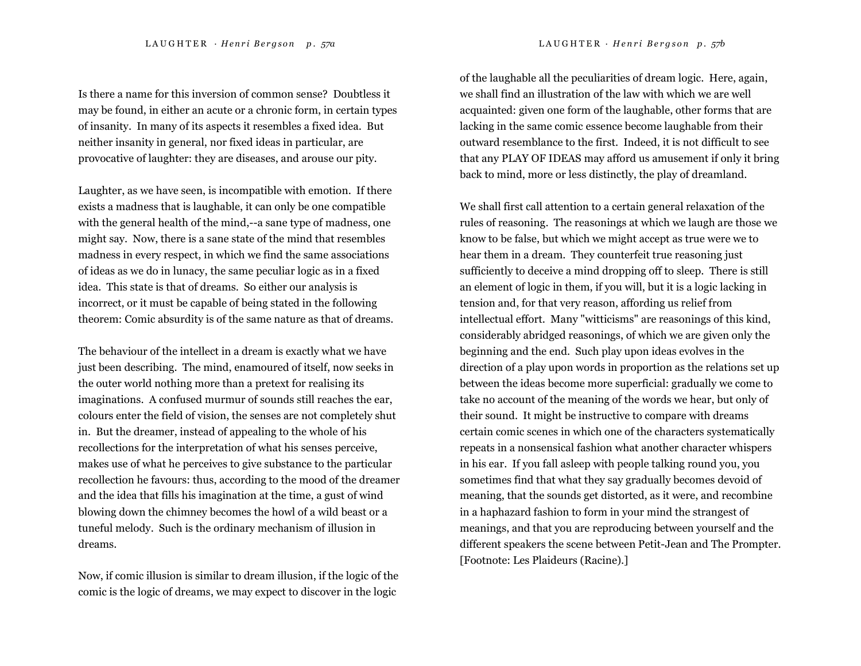Is there a name for this inversion of common sense? Doubtless it may be found, in either an acute or a chronic form, in certain types of insanity. In many of its aspects it resembles a fixed idea. But neither insanity in general, nor fixed ideas in particular, are provocative of laughter: they are diseases, and arouse our pity.

Laughter, as we have seen, is incompatible with emotion. If there exists a madness that is laughable, it can only be one compatible with the general health of the mind,--a sane type of madness, one might say. Now, there is a sane state of the mind that resembles madness in every respect, in which we find the same associations of ideas as we do in lunacy, the same peculiar logic as in a fixed idea. This state is that of dreams. So either our analysis is incorrect, or it must be capable of being stated in the following theorem: Comic absurdity is of the same nature as that of dreams.

The behaviour of the intellect in a dream is exactly what we have just been describing. The mind, enamoured of itself, now seeks in the outer world nothing more than a pretext for realising its imaginations. A confused murmur of sounds still reaches the ear, colours enter the field of vision, the senses are not completely shut in. But the dreamer, instead of appealing to the whole of his recollections for the interpretation of what his senses perceive, makes use of what he perceives to give substance to the particular recollection he favours: thus, according to the mood of the dreamer and the idea that fills his imagination at the time, a gust of wind blowing down the chimney becomes the howl of a wild beast or a tuneful melody. Such is the ordinary mechanism of illusion in dreams.

Now, if comic illusion is similar to dream illusion, if the logic of the comic is the logic of dreams, we may expect to discover in the logic

of the laughable all the peculiarities of dream logic. Here, again, we shall find an illustration of the law with which we are well acquainted: given one form of the laughable, other forms that are lacking in the same comic essence become laughable from their outward resemblance to the first. Indeed, it is not difficult to see that any PLAY OF IDEAS may afford us amusement if only it bring back to mind, more or less distinctly, the play of dreamland.

We shall first call attention to a certain general relaxation of the rules of reasoning. The reasonings at which we laugh are those we know to be false, but which we might accept as true were we to hear them in a dream. They counterfeit true reasoning just sufficiently to deceive a mind dropping off to sleep. There is still an element of logic in them, if you will, but it is a logic lacking in tension and, for that very reason, affording us relief from intellectual effort. Many "witticisms" are reasonings of this kind, considerably abridged reasonings, of which we are given only the beginning and the end. Such play upon ideas evolves in the direction of a play upon words in proportion as the relations set up between the ideas become more superficial: gradually we come to take no account of the meaning of the words we hear, but only of their sound. It might be instructive to compare with dreams certain comic scenes in which one of the characters systematically repeats in a nonsensical fashion what another character whispers in his ear. If you fall asleep with people talking round you, you sometimes find that what they say gradually becomes devoid of meaning, that the sounds get distorted, as it were, and recombine in a haphazard fashion to form in your mind the strangest of meanings, and that you are reproducing between yourself and the different speakers the scene between Petit-Jean and The Prompter. [Footnote: Les Plaideurs (Racine).]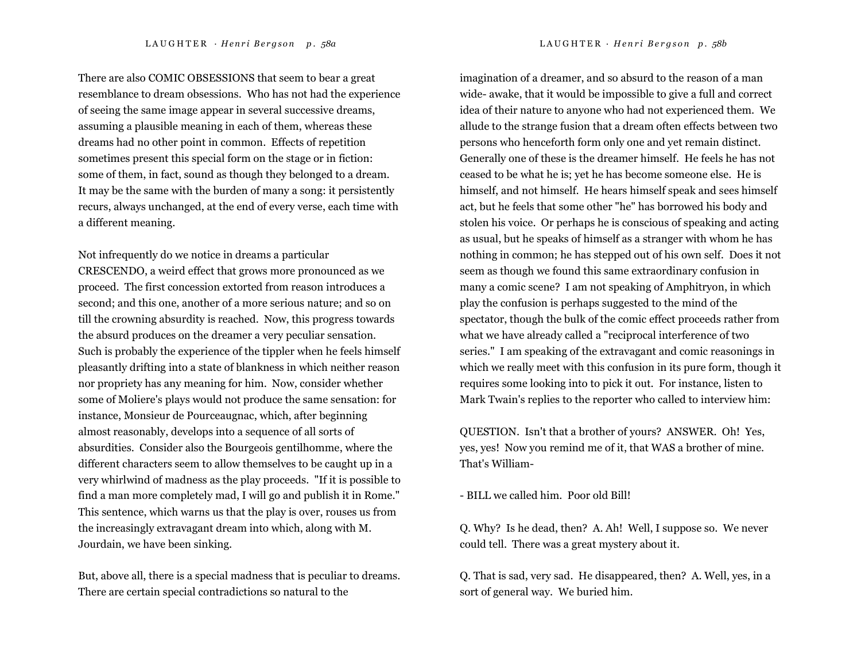There are also COMIC OBSESSIONS that seem to bear a great resemblance to dream obsessions. Who has not had the experience of seeing the same image appear in several successive dreams, assuming a plausible meaning in each of them, whereas these dreams had no other point in common. Effects of repetition sometimes present this special form on the stage or in fiction: some of them, in fact, sound as though they belonged to a dream. It may be the same with the burden of many a song: it persistently recurs, always unchanged, at the end of every verse, each time with a different meaning.

Not infrequently do we notice in dreams a particular CRESCENDO, a weird effect that grows more pronounced as we proceed. The first concession extorted from reason introduces a second; and this one, another of a more serious nature; and so on till the crowning absurdity is reached. Now, this progress towards the absurd produces on the dreamer a very peculiar sensation. Such is probably the experience of the tippler when he feels himself pleasantly drifting into a state of blankness in which neither reason nor propriety has any meaning for him. Now, consider whether some of Moliere's plays would not produce the same sensation: for instance, Monsieur de Pourceaugnac, which, after beginning almost reasonably, develops into a sequence of all sorts of absurdities. Consider also the Bourgeois gentilhomme, where the different characters seem to allow themselves to be caught up in a very whirlwind of madness as the play proceeds. "If it is possible to find a man more completely mad, I will go and publish it in Rome." This sentence, which warns us that the play is over, rouses us from the increasingly extravagant dream into which, along with M. Jourdain, we have been sinking.

But, above all, there is a special madness that is peculiar to dreams. There are certain special contradictions so natural to the

imagination of a dreamer, and so absurd to the reason of a man wide- awake, that it would be impossible to give a full and correct idea of their nature to anyone who had not experienced them. We allude to the strange fusion that a dream often effects between two persons who henceforth form only one and yet remain distinct. Generally one of these is the dreamer himself. He feels he has not ceased to be what he is; yet he has become someone else. He is himself, and not himself. He hears himself speak and sees himself act, but he feels that some other "he" has borrowed his body and stolen his voice. Or perhaps he is conscious of speaking and acting as usual, but he speaks of himself as a stranger with whom he has nothing in common; he has stepped out of his own self. Does it not seem as though we found this same extraordinary confusion in many a comic scene? I am not speaking of Amphitryon, in which play the confusion is perhaps suggested to the mind of the spectator, though the bulk of the comic effect proceeds rather from what we have already called a "reciprocal interference of two series." I am speaking of the extravagant and comic reasonings in which we really meet with this confusion in its pure form, though it requires some looking into to pick it out. For instance, listen to Mark Twain's replies to the reporter who called to interview him:

QUESTION. Isn't that a brother of yours? ANSWER. Oh! Yes, yes, yes! Now you remind me of it, that WAS a brother of mine. That's William-

- BILL we called him. Poor old Bill!

Q. Why? Is he dead, then? A. Ah! Well, I suppose so. We never could tell. There was a great mystery about it.

Q. That is sad, very sad. He disappeared, then? A. Well, yes, in a sort of general way. We buried him.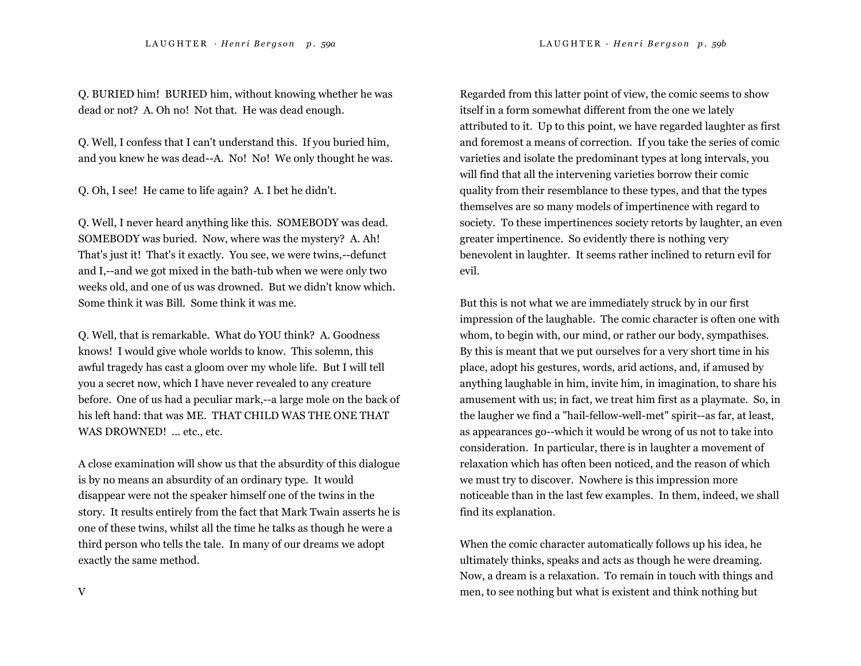Q. BURIED him! BURIED him, without knowing whether he was dead or not? A. Oh no! Not that. He was dead enough.

Q. Well, I confess that I can't understand this. If you buried him, and you knew he was dead--A. No! No! We only thought he was.

Q. Oh, I see! He came to life again? A. I bet he didn't.

Q. Well, I never heard anything like this. SOMEBODY was dead. SOMEBODY was buried. Now, where was the mystery? A. Ah! That's just it! That's it exactly. You see, we were twins,--defunct and I,--and we got mixed in the bath-tub when we were only two weeks old, and one of us was drowned. But we didn't know which. Some think it was Bill. Some think it was me.

Q. Well, that is remarkable. What do YOU think? A. Goodness knows! I would give whole worlds to know. This solemn, this awful tragedy has cast a gloom over my whole life. But I will tell you a secret now, which I have never revealed to any creature before. One of us had a peculiar mark,--a large mole on the back of his left hand: that was ME. THAT CHILD WAS THE ONE THAT WAS DROWNED! ... etc., etc.

A close examination will show us that the absurdity of this dialogue is by no means an absurdity of an ordinary type. It would disappear were not the speaker himself one of the twins in the story. It results entirely from the fact that Mark Twain asserts he is one of these twins, whilst all the time he talks as though he were a third person who tells the tale. In many of our dreams we adopt exactly the same method.

Regarded from this latter point of view, the comic seems to show itself in a form somewhat different from the one we lately attributed to it. Up to this point, we have regarded laughter as first and foremost a means of correction. If you take the series of comic varieties and isolate the predominant types at long intervals, you will find that all the intervening varieties borrow their comic quality from their resemblance to these types, and that the types themselves are so many models of impertinence with regard to society. To these impertinences society retorts by laughter, an even greater impertinence. So evidently there is nothing very benevolent in laughter. It seems rather inclined to return evil for evil.

But this is not what we are immediately struck by in our first impression of the laughable. The comic character is often one with whom, to begin with, our mind, or rather our body, sympathises. By this is meant that we put ourselves for a very short time in his place, adopt his gestures, words, arid actions, and, if amused by anything laughable in him, invite him, in imagination, to share his amusement with us; in fact, we treat him first as a playmate. So, in the laugher we find a "hail-fellow-well-met" spirit--as far, at least, as appearances go--which it would be wrong of us not to take into consideration. In particular, there is in laughter a movement of relaxation which has often been noticed, and the reason of which we must try to discover. Nowhere is this impression more noticeable than in the last few examples. In them, indeed, we shall find its explanation.

When the comic character automatically follows up his idea, he ultimately thinks, speaks and acts as though he were dreaming. Now, a dream is a relaxation. To remain in touch with things and men, to see nothing but what is existent and think nothing but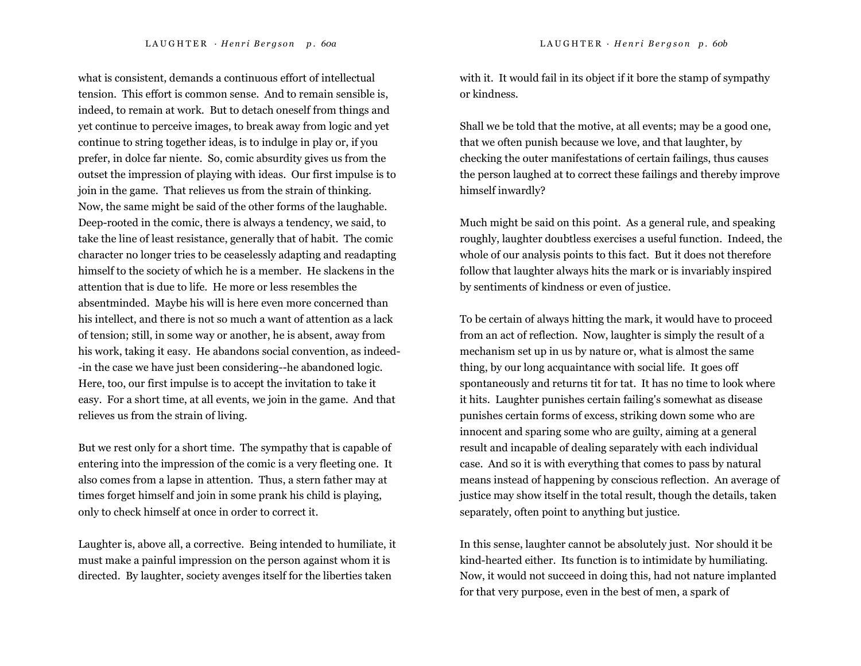what is consistent, demands a continuous effort of intellectual tension. This effort is common sense. And to remain sensible is, indeed, to remain at work. But to detach oneself from things and yet continue to perceive images, to break away from logic and yet continue to string together ideas, is to indulge in play or, if you prefer, in dolce far niente. So, comic absurdity gives us from the outset the impression of playing with ideas. Our first impulse is to join in the game. That relieves us from the strain of thinking. Now, the same might be said of the other forms of the laughable. Deep-rooted in the comic, there is always a tendency, we said, to take the line of least resistance, generally that of habit. The comic character no longer tries to be ceaselessly adapting and readapting himself to the society of which he is a member. He slackens in the attention that is due to life. He more or less resembles the absentminded. Maybe his will is here even more concerned than his intellect, and there is not so much a want of attention as a lack of tension; still, in some way or another, he is absent, away from his work, taking it easy. He abandons social convention, as indeed- -in the case we have just been considering--he abandoned logic. Here, too, our first impulse is to accept the invitation to take it easy. For a short time, at all events, we join in the game. And that relieves us from the strain of living.

But we rest only for a short time. The sympathy that is capable of entering into the impression of the comic is a very fleeting one. It also comes from a lapse in attention. Thus, a stern father may at times forget himself and join in some prank his child is playing, only to check himself at once in order to correct it.

Laughter is, above all, a corrective. Being intended to humiliate, it must make a painful impression on the person against whom it is directed. By laughter, society avenges itself for the liberties taken

with it. It would fail in its object if it bore the stamp of sympathy or kindness.

Shall we be told that the motive, at all events; may be a good one, that we often punish because we love, and that laughter, by checking the outer manifestations of certain failings, thus causes the person laughed at to correct these failings and thereby improve himself inwardly?

Much might be said on this point. As a general rule, and speaking roughly, laughter doubtless exercises a useful function. Indeed, the whole of our analysis points to this fact. But it does not therefore follow that laughter always hits the mark or is invariably inspired by sentiments of kindness or even of justice.

To be certain of always hitting the mark, it would have to proceed from an act of reflection. Now, laughter is simply the result of a mechanism set up in us by nature or, what is almost the same thing, by our long acquaintance with social life. It goes off spontaneously and returns tit for tat. It has no time to look where it hits. Laughter punishes certain failing's somewhat as disease punishes certain forms of excess, striking down some who are innocent and sparing some who are guilty, aiming at a general result and incapable of dealing separately with each individual case. And so it is with everything that comes to pass by natural means instead of happening by conscious reflection. An average of justice may show itself in the total result, though the details, taken separately, often point to anything but justice.

In this sense, laughter cannot be absolutely just. Nor should it be kind-hearted either. Its function is to intimidate by humiliating. Now, it would not succeed in doing this, had not nature implanted for that very purpose, even in the best of men, a spark of